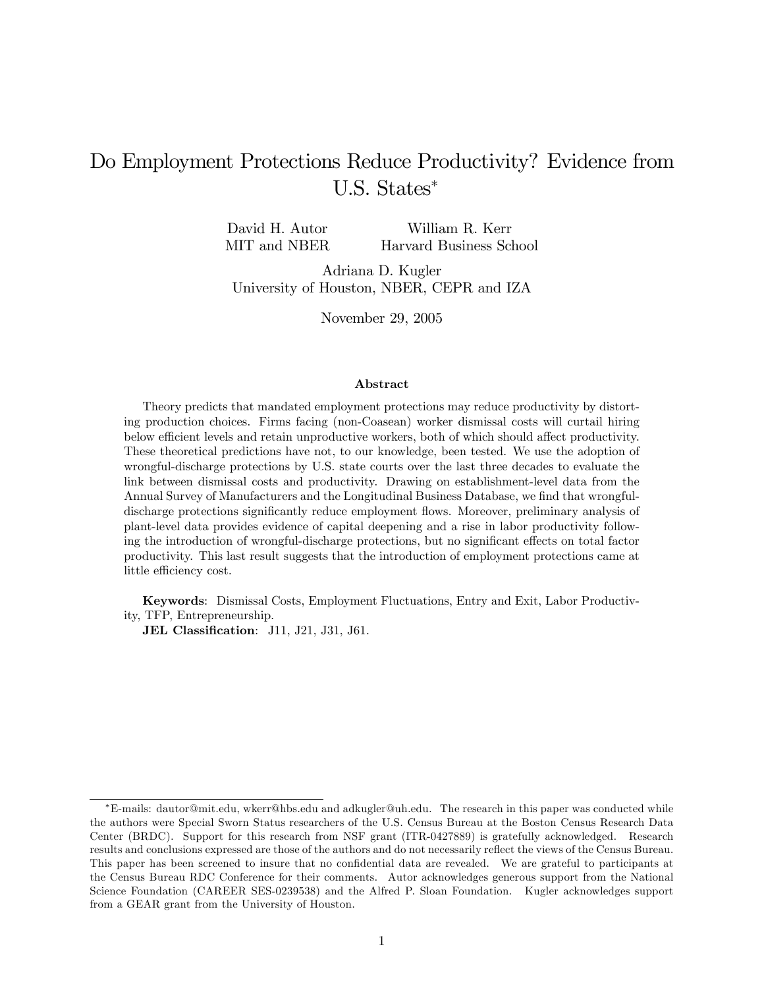# Do Employment Protections Reduce Productivity? Evidence from U.S. States

David H. Autor MIT and NBER William R. Kerr Harvard Business School

Adriana D. Kugler University of Houston, NBER, CEPR and IZA

November 29, 2005

#### Abstract

Theory predicts that mandated employment protections may reduce productivity by distorting production choices. Firms facing (non-Coasean) worker dismissal costs will curtail hiring below efficient levels and retain unproductive workers, both of which should affect productivity. These theoretical predictions have not, to our knowledge, been tested. We use the adoption of wrongful-discharge protections by U.S. state courts over the last three decades to evaluate the link between dismissal costs and productivity. Drawing on establishment-level data from the Annual Survey of Manufacturers and the Longitudinal Business Database, we find that wrongfuldischarge protections significantly reduce employment flows. Moreover, preliminary analysis of plant-level data provides evidence of capital deepening and a rise in labor productivity following the introduction of wrongful-discharge protections, but no significant effects on total factor productivity. This last result suggests that the introduction of employment protections came at little efficiency cost.

Keywords: Dismissal Costs, Employment Fluctuations, Entry and Exit, Labor Productivity, TFP, Entrepreneurship.

JEL Classification: J11, J21, J31, J61.

E-mails: dautor@mit.edu, wkerr@hbs.edu and adkugler@uh.edu. The research in this paper was conducted while the authors were Special Sworn Status researchers of the U.S. Census Bureau at the Boston Census Research Data Center (BRDC). Support for this research from NSF grant (ITR-0427889) is gratefully acknowledged. Research results and conclusions expressed are those of the authors and do not necessarily reflect the views of the Census Bureau. This paper has been screened to insure that no confidential data are revealed. We are grateful to participants at the Census Bureau RDC Conference for their comments. Autor acknowledges generous support from the National Science Foundation (CAREER SES-0239538) and the Alfred P. Sloan Foundation. Kugler acknowledges support from a GEAR grant from the University of Houston.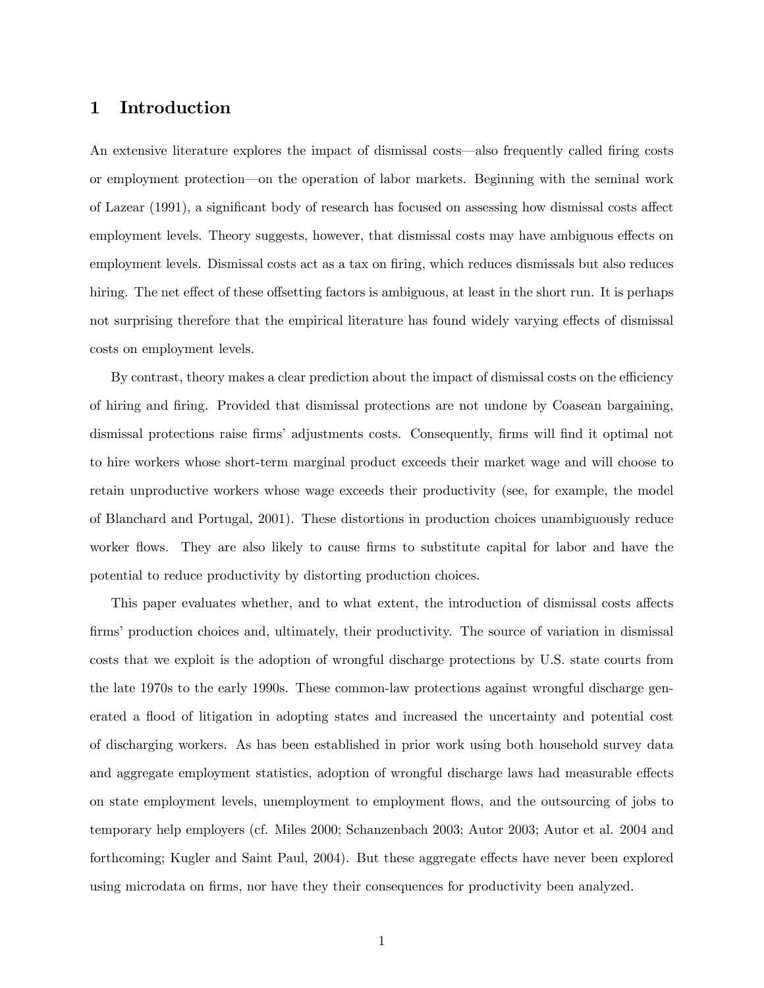### 1 Introduction

An extensive literature explores the impact of dismissal costs—also frequently called firing costs or employment protection—on the operation of labor markets. Beginning with the seminal work of Lazear (1991), a significant body of research has focused on assessing how dismissal costs affect employment levels. Theory suggests, however, that dismissal costs may have ambiguous effects on employment levels. Dismissal costs act as a tax on firing, which reduces dismissals but also reduces hiring. The net effect of these offsetting factors is ambiguous, at least in the short run. It is perhaps not surprising therefore that the empirical literature has found widely varying effects of dismissal costs on employment levels.

By contrast, theory makes a clear prediction about the impact of dismissal costs on the efficiency of hiring and Öring. Provided that dismissal protections are not undone by Coasean bargaining, dismissal protections raise firms' adjustments costs. Consequently, firms will find it optimal not to hire workers whose short-term marginal product exceeds their market wage and will choose to retain unproductive workers whose wage exceeds their productivity (see, for example, the model of Blanchard and Portugal, 2001). These distortions in production choices unambiguously reduce worker flows. They are also likely to cause firms to substitute capital for labor and have the potential to reduce productivity by distorting production choices.

This paper evaluates whether, and to what extent, the introduction of dismissal costs affects firms' production choices and, ultimately, their productivity. The source of variation in dismissal costs that we exploit is the adoption of wrongful discharge protections by U.S. state courts from the late 1970s to the early 1990s. These common-law protections against wrongful discharge generated a flood of litigation in adopting states and increased the uncertainty and potential cost of discharging workers. As has been established in prior work using both household survey data and aggregate employment statistics, adoption of wrongful discharge laws had measurable effects on state employment levels, unemployment to employment áows, and the outsourcing of jobs to temporary help employers (cf. Miles 2000; Schanzenbach 2003; Autor 2003; Autor et al. 2004 and forthcoming; Kugler and Saint Paul, 2004). But these aggregate effects have never been explored using microdata on firms, nor have they their consequences for productivity been analyzed.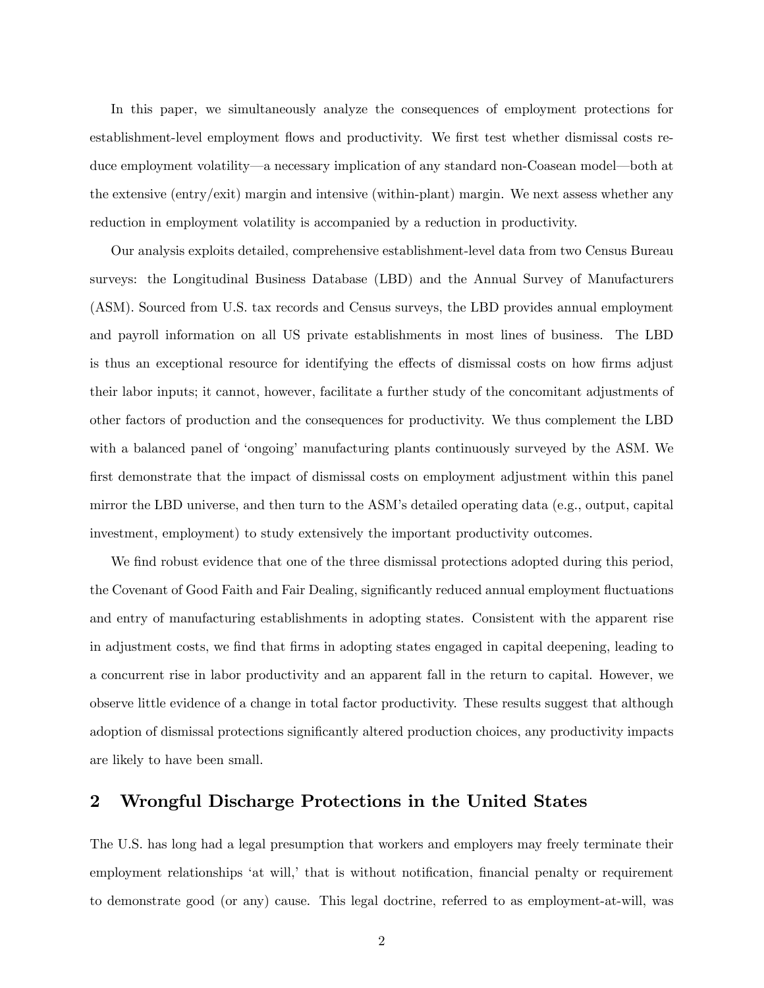In this paper, we simultaneously analyze the consequences of employment protections for establishment-level employment flows and productivity. We first test whether dismissal costs reduce employment volatility—a necessary implication of any standard non-Coasean model—both at the extensive (entry/exit) margin and intensive (within-plant) margin. We next assess whether any reduction in employment volatility is accompanied by a reduction in productivity.

Our analysis exploits detailed, comprehensive establishment-level data from two Census Bureau surveys: the Longitudinal Business Database (LBD) and the Annual Survey of Manufacturers (ASM). Sourced from U.S. tax records and Census surveys, the LBD provides annual employment and payroll information on all US private establishments in most lines of business. The LBD is thus an exceptional resource for identifying the effects of dismissal costs on how firms adjust their labor inputs; it cannot, however, facilitate a further study of the concomitant adjustments of other factors of production and the consequences for productivity. We thus complement the LBD with a balanced panel of 'ongoing' manufacturing plants continuously surveyed by the ASM. We first demonstrate that the impact of dismissal costs on employment adjustment within this panel mirror the LBD universe, and then turn to the ASMís detailed operating data (e.g., output, capital investment, employment) to study extensively the important productivity outcomes.

We find robust evidence that one of the three dismissal protections adopted during this period. the Covenant of Good Faith and Fair Dealing, significantly reduced annual employment fluctuations and entry of manufacturing establishments in adopting states. Consistent with the apparent rise in adjustment costs, we Önd that Örms in adopting states engaged in capital deepening, leading to a concurrent rise in labor productivity and an apparent fall in the return to capital. However, we observe little evidence of a change in total factor productivity. These results suggest that although adoption of dismissal protections significantly altered production choices, any productivity impacts are likely to have been small.

## 2 Wrongful Discharge Protections in the United States

The U.S. has long had a legal presumption that workers and employers may freely terminate their employment relationships 'at will,' that is without notification, financial penalty or requirement to demonstrate good (or any) cause. This legal doctrine, referred to as employment-at-will, was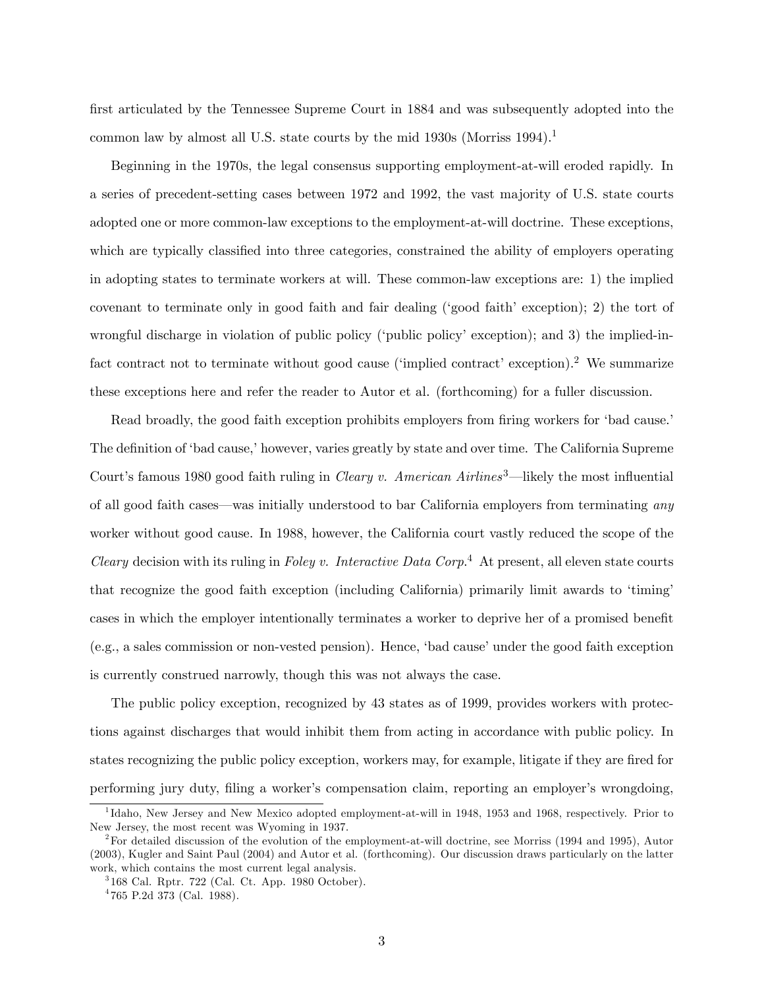first articulated by the Tennessee Supreme Court in 1884 and was subsequently adopted into the common law by almost all U.S. state courts by the mid 1930s (Morriss 1994).<sup>1</sup>

Beginning in the 1970s, the legal consensus supporting employment-at-will eroded rapidly. In a series of precedent-setting cases between 1972 and 1992, the vast majority of U.S. state courts adopted one or more common-law exceptions to the employment-at-will doctrine. These exceptions, which are typically classified into three categories, constrained the ability of employers operating in adopting states to terminate workers at will. These common-law exceptions are: 1) the implied covenant to terminate only in good faith and fair dealing ('good faith' exception); 2) the tort of wrongful discharge in violation of public policy ('public policy' exception); and 3) the implied-infact contract not to terminate without good cause ('implied contract' exception).<sup>2</sup> We summarize these exceptions here and refer the reader to Autor et al. (forthcoming) for a fuller discussion.

Read broadly, the good faith exception prohibits employers from firing workers for 'bad cause. The definition of 'bad cause,' however, varies greatly by state and over time. The California Supreme Court's famous 1980 good faith ruling in *Cleary v. American Airlines*<sup>3</sup>—likely the most influential of all good faith cases—was initially understood to bar California employers from terminating any worker without good cause. In 1988, however, the California court vastly reduced the scope of the Cleary decision with its ruling in Foley v. Interactive Data Corp.<sup>4</sup> At present, all eleven state courts that recognize the good faith exception (including California) primarily limit awards to 'timing' cases in which the employer intentionally terminates a worker to deprive her of a promised benefit  $(e.g., a sales commission or non-vested pension)$ . Hence, 'bad cause' under the good faith exception is currently construed narrowly, though this was not always the case.

The public policy exception, recognized by 43 states as of 1999, provides workers with protections against discharges that would inhibit them from acting in accordance with public policy. In states recognizing the public policy exception, workers may, for example, litigate if they are fired for performing jury duty, filing a worker's compensation claim, reporting an employer's wrongdoing,

<sup>&</sup>lt;sup>1</sup>Idaho, New Jersey and New Mexico adopted employment-at-will in 1948, 1953 and 1968, respectively. Prior to New Jersey, the most recent was Wyoming in 1937.

 $2^2$ For detailed discussion of the evolution of the employment-at-will doctrine, see Morriss (1994 and 1995), Autor (2003), Kugler and Saint Paul (2004) and Autor et al. (forthcoming). Our discussion draws particularly on the latter work, which contains the most current legal analysis.

<sup>3</sup> 168 Cal. Rptr. 722 (Cal. Ct. App. 1980 October).

<sup>4</sup> 765 P.2d 373 (Cal. 1988).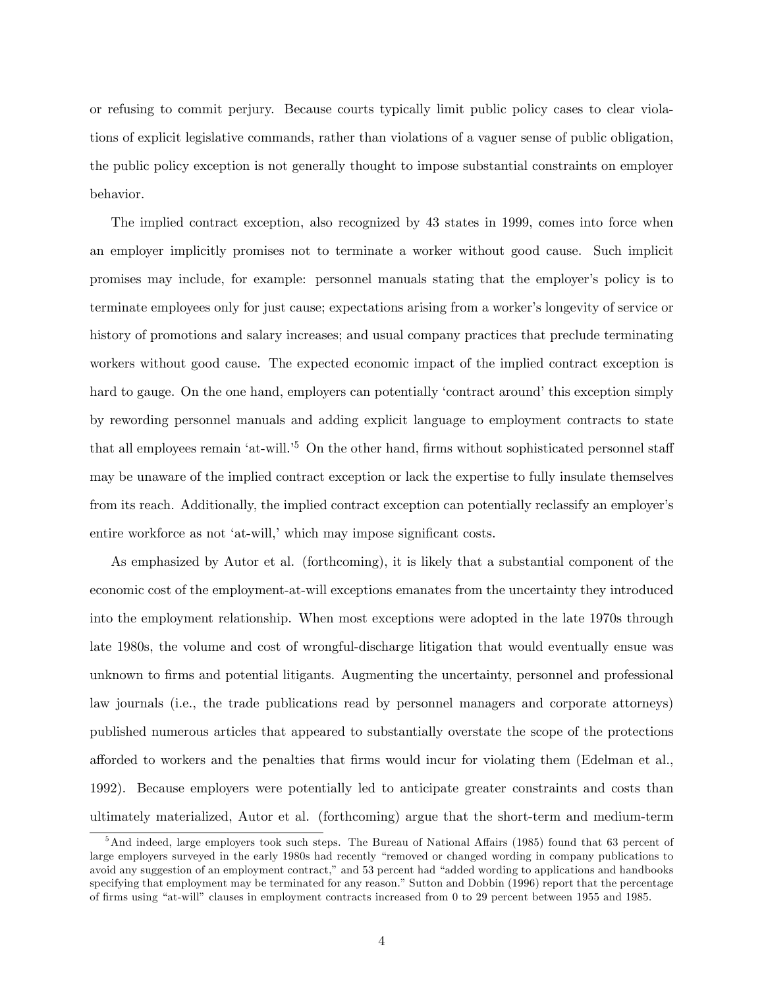or refusing to commit perjury. Because courts typically limit public policy cases to clear violations of explicit legislative commands, rather than violations of a vaguer sense of public obligation, the public policy exception is not generally thought to impose substantial constraints on employer behavior.

The implied contract exception, also recognized by 43 states in 1999, comes into force when an employer implicitly promises not to terminate a worker without good cause. Such implicit promises may include, for example: personnel manuals stating that the employer's policy is to terminate employees only for just cause; expectations arising from a worker's longevity of service or history of promotions and salary increases; and usual company practices that preclude terminating workers without good cause. The expected economic impact of the implied contract exception is hard to gauge. On the one hand, employers can potentially 'contract around' this exception simply by rewording personnel manuals and adding explicit language to employment contracts to state that all employees remain 'at-will.<sup>5</sup> On the other hand, firms without sophisticated personnel staff may be unaware of the implied contract exception or lack the expertise to fully insulate themselves from its reach. Additionally, the implied contract exception can potentially reclassify an employer's entire workforce as not 'at-will,' which may impose significant costs.

As emphasized by Autor et al. (forthcoming), it is likely that a substantial component of the economic cost of the employment-at-will exceptions emanates from the uncertainty they introduced into the employment relationship. When most exceptions were adopted in the late 1970s through late 1980s, the volume and cost of wrongful-discharge litigation that would eventually ensue was unknown to Örms and potential litigants. Augmenting the uncertainty, personnel and professional law journals (i.e., the trade publications read by personnel managers and corporate attorneys) published numerous articles that appeared to substantially overstate the scope of the protections afforded to workers and the penalties that firms would incur for violating them (Edelman et al., 1992). Because employers were potentially led to anticipate greater constraints and costs than ultimately materialized, Autor et al. (forthcoming) argue that the short-term and medium-term

 $5$ And indeed, large employers took such steps. The Bureau of National Affairs (1985) found that 63 percent of large employers surveyed in the early 1980s had recently "removed or changed wording in company publications to avoid any suggestion of an employment contract," and 53 percent had "added wording to applications and handbooks specifying that employment may be terminated for any reason." Sutton and Dobbin (1996) report that the percentage of Örms using ìat-willî clauses in employment contracts increased from 0 to 29 percent between 1955 and 1985.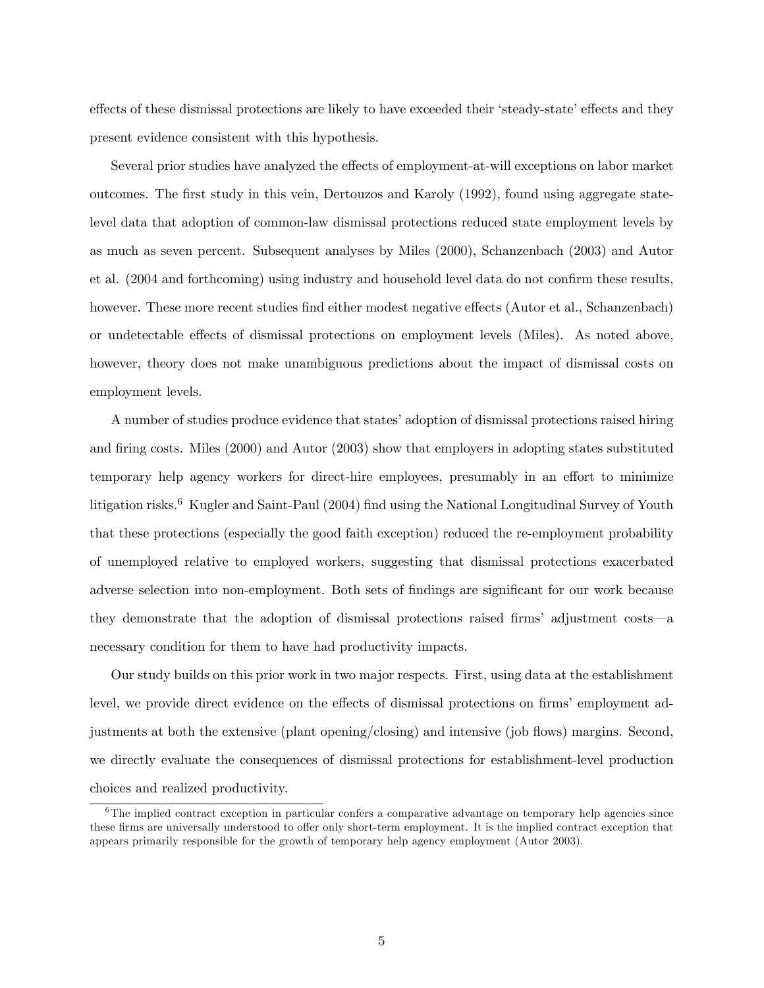effects of these dismissal protections are likely to have exceeded their 'steady-state' effects and they present evidence consistent with this hypothesis.

Several prior studies have analyzed the effects of employment-at-will exceptions on labor market outcomes. The first study in this vein, Dertouzos and Karoly (1992), found using aggregate statelevel data that adoption of common-law dismissal protections reduced state employment levels by as much as seven percent. Subsequent analyses by Miles (2000), Schanzenbach (2003) and Autor et al. (2004 and forthcoming) using industry and household level data do not confirm these results, however. These more recent studies find either modest negative effects (Autor et al., Schanzenbach) or undetectable effects of dismissal protections on employment levels (Miles). As noted above, however, theory does not make unambiguous predictions about the impact of dismissal costs on employment levels.

A number of studies produce evidence that states' adoption of dismissal protections raised hiring and firing costs. Miles (2000) and Autor (2003) show that employers in adopting states substituted temporary help agency workers for direct-hire employees, presumably in an effort to minimize litigation risks.<sup>6</sup> Kugler and Saint-Paul (2004) find using the National Longitudinal Survey of Youth that these protections (especially the good faith exception) reduced the re-employment probability of unemployed relative to employed workers, suggesting that dismissal protections exacerbated adverse selection into non-employment. Both sets of findings are significant for our work because they demonstrate that the adoption of dismissal protections raised firms' adjustment  $costs$ —a necessary condition for them to have had productivity impacts.

Our study builds on this prior work in two major respects. First, using data at the establishment level, we provide direct evidence on the effects of dismissal protections on firms' employment adjustments at both the extensive (plant opening/closing) and intensive (job flows) margins. Second, we directly evaluate the consequences of dismissal protections for establishment-level production choices and realized productivity.

<sup>&</sup>lt;sup>6</sup>The implied contract exception in particular confers a comparative advantage on temporary help agencies since these firms are universally understood to offer only short-term employment. It is the implied contract exception that appears primarily responsible for the growth of temporary help agency employment (Autor 2003).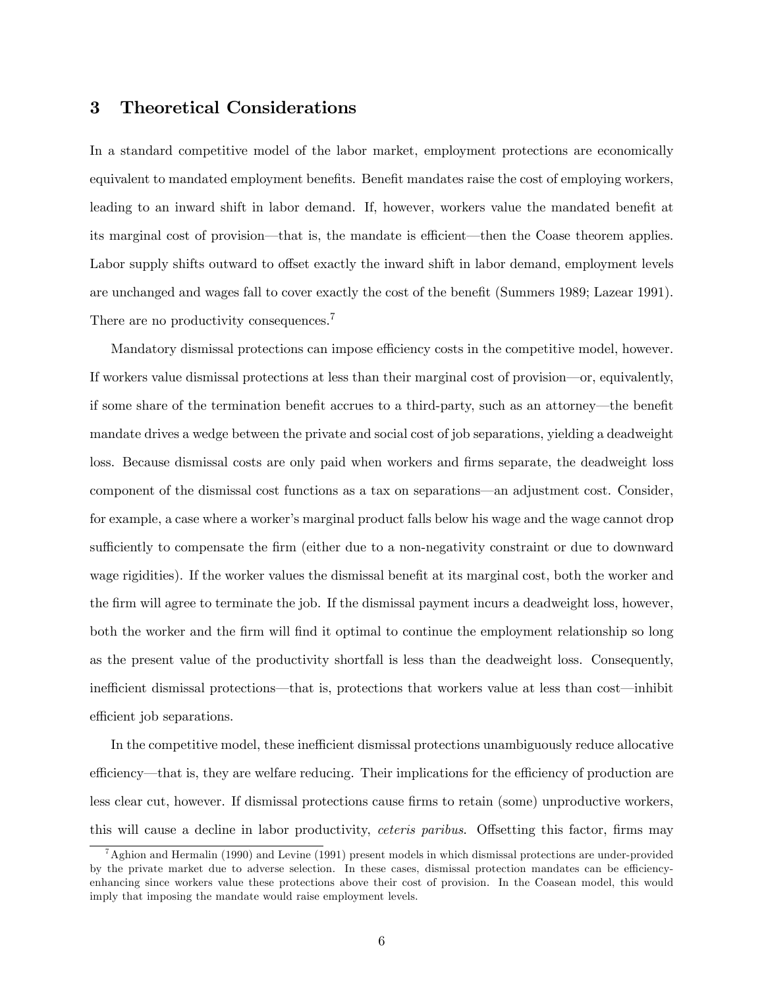### 3 Theoretical Considerations

In a standard competitive model of the labor market, employment protections are economically equivalent to mandated employment benefits. Benefit mandates raise the cost of employing workers, leading to an inward shift in labor demand. If, however, workers value the mandated benefit at its marginal cost of provision—that is, the mandate is efficient—then the Coase theorem applies. Labor supply shifts outward to offset exactly the inward shift in labor demand, employment levels are unchanged and wages fall to cover exactly the cost of the benefit (Summers 1989; Lazear 1991). There are no productivity consequences.<sup>7</sup>

Mandatory dismissal protections can impose efficiency costs in the competitive model, however. If workers value dismissal protections at less than their marginal cost of provision—or, equivalently, if some share of the termination benefit accrues to a third-party, such as an attorney—the benefit mandate drives a wedge between the private and social cost of job separations, yielding a deadweight loss. Because dismissal costs are only paid when workers and firms separate, the deadweight loss component of the dismissal cost functions as a tax on separations—an adjustment cost. Consider, for example, a case where a worker's marginal product falls below his wage and the wage cannot drop sufficiently to compensate the firm (either due to a non-negativity constraint or due to downward wage rigidities). If the worker values the dismissal benefit at its marginal cost, both the worker and the firm will agree to terminate the job. If the dismissal payment incurs a deadweight loss, however, both the worker and the firm will find it optimal to continue the employment relationship so long as the present value of the productivity shortfall is less than the deadweight loss. Consequently, inefficient dismissal protections—that is, protections that workers value at less than cost—inhibit efficient job separations.

In the competitive model, these inefficient dismissal protections unambiguously reduce allocative efficiency—that is, they are welfare reducing. Their implications for the efficiency of production are less clear cut, however. If dismissal protections cause firms to retain (some) unproductive workers, this will cause a decline in labor productivity, *ceteris paribus*. Offsetting this factor, firms may

 $7$ Aghion and Hermalin (1990) and Levine (1991) present models in which dismissal protections are under-provided by the private market due to adverse selection. In these cases, dismissal protection mandates can be efficiencyenhancing since workers value these protections above their cost of provision. In the Coasean model, this would imply that imposing the mandate would raise employment levels.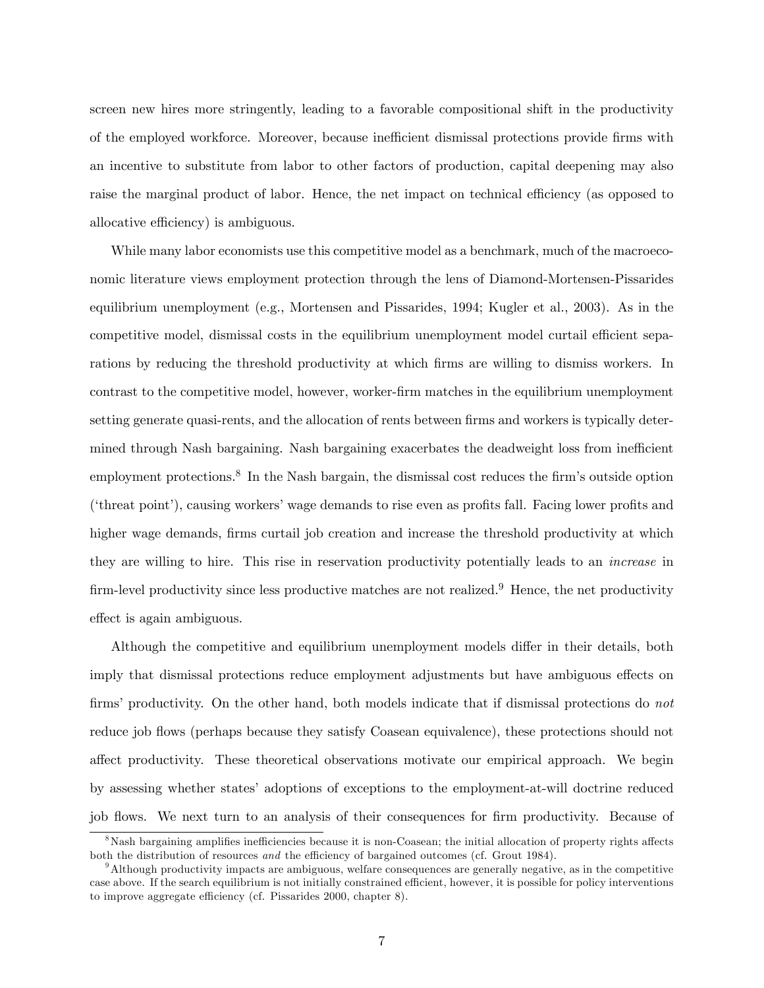screen new hires more stringently, leading to a favorable compositional shift in the productivity of the employed workforce. Moreover, because inefficient dismissal protections provide firms with an incentive to substitute from labor to other factors of production, capital deepening may also raise the marginal product of labor. Hence, the net impact on technical efficiency (as opposed to allocative efficiency) is ambiguous.

While many labor economists use this competitive model as a benchmark, much of the macroeconomic literature views employment protection through the lens of Diamond-Mortensen-Pissarides equilibrium unemployment (e.g., Mortensen and Pissarides, 1994; Kugler et al., 2003). As in the competitive model, dismissal costs in the equilibrium unemployment model curtail efficient separations by reducing the threshold productivity at which firms are willing to dismiss workers. In contrast to the competitive model, however, worker-Örm matches in the equilibrium unemployment setting generate quasi-rents, and the allocation of rents between firms and workers is typically determined through Nash bargaining. Nash bargaining exacerbates the deadweight loss from inefficient employment protections.<sup>8</sup> In the Nash bargain, the dismissal cost reduces the firm's outside option ('threat point'), causing workers' wage demands to rise even as profits fall. Facing lower profits and higher wage demands, firms curtail job creation and increase the threshold productivity at which they are willing to hire. This rise in reservation productivity potentially leads to an increase in firm-level productivity since less productive matches are not realized.<sup>9</sup> Hence, the net productivity effect is again ambiguous.

Although the competitive and equilibrium unemployment models differ in their details, both imply that dismissal protections reduce employment adjustments but have ambiguous effects on firms' productivity. On the other hand, both models indicate that if dismissal protections do not reduce job flows (perhaps because they satisfy Coasean equivalence), these protections should not affect productivity. These theoretical observations motivate our empirical approach. We begin by assessing whether statesí adoptions of exceptions to the employment-at-will doctrine reduced job flows. We next turn to an analysis of their consequences for firm productivity. Because of

<sup>&</sup>lt;sup>8</sup>Nash bargaining amplifies inefficiencies because it is non-Coasean; the initial allocation of property rights affects both the distribution of resources and the efficiency of bargained outcomes (cf. Grout 1984).

<sup>9</sup>Although productivity impacts are ambiguous, welfare consequences are generally negative, as in the competitive case above. If the search equilibrium is not initially constrained efficient, however, it is possible for policy interventions to improve aggregate efficiency (cf. Pissarides  $2000$ , chapter 8).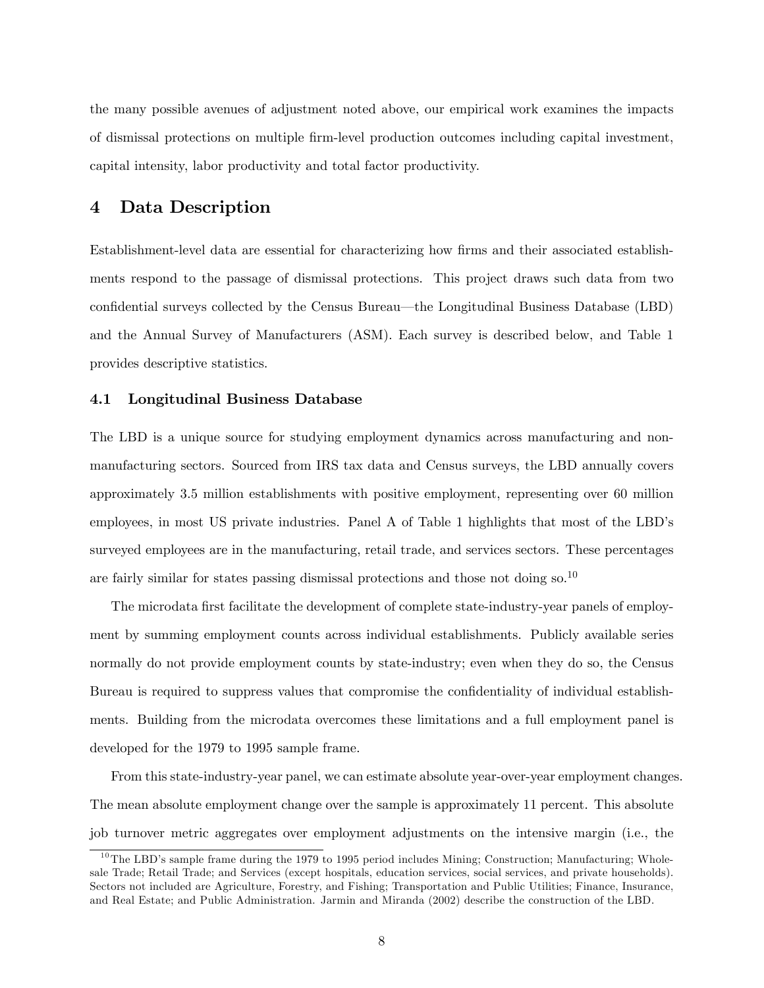the many possible avenues of adjustment noted above, our empirical work examines the impacts of dismissal protections on multiple Örm-level production outcomes including capital investment, capital intensity, labor productivity and total factor productivity.

## 4 Data Description

Establishment-level data are essential for characterizing how Örms and their associated establishments respond to the passage of dismissal protections. This project draws such data from two confidential surveys collected by the Census Bureau—the Longitudinal Business Database (LBD) and the Annual Survey of Manufacturers (ASM). Each survey is described below, and Table 1 provides descriptive statistics.

#### 4.1 Longitudinal Business Database

The LBD is a unique source for studying employment dynamics across manufacturing and nonmanufacturing sectors. Sourced from IRS tax data and Census surveys, the LBD annually covers approximately 3.5 million establishments with positive employment, representing over 60 million employees, in most US private industries. Panel A of Table 1 highlights that most of the LBD's surveyed employees are in the manufacturing, retail trade, and services sectors. These percentages are fairly similar for states passing dismissal protections and those not doing so.<sup>10</sup>

The microdata first facilitate the development of complete state-industry-year panels of employment by summing employment counts across individual establishments. Publicly available series normally do not provide employment counts by state-industry; even when they do so, the Census Bureau is required to suppress values that compromise the confidentiality of individual establishments. Building from the microdata overcomes these limitations and a full employment panel is developed for the 1979 to 1995 sample frame.

From this state-industry-year panel, we can estimate absolute year-over-year employment changes. The mean absolute employment change over the sample is approximately 11 percent. This absolute job turnover metric aggregates over employment adjustments on the intensive margin (i.e., the

 $10$ The LBD's sample frame during the 1979 to 1995 period includes Mining; Construction; Manufacturing; Wholesale Trade; Retail Trade; and Services (except hospitals, education services, social services, and private households). Sectors not included are Agriculture, Forestry, and Fishing; Transportation and Public Utilities; Finance, Insurance, and Real Estate; and Public Administration. Jarmin and Miranda (2002) describe the construction of the LBD.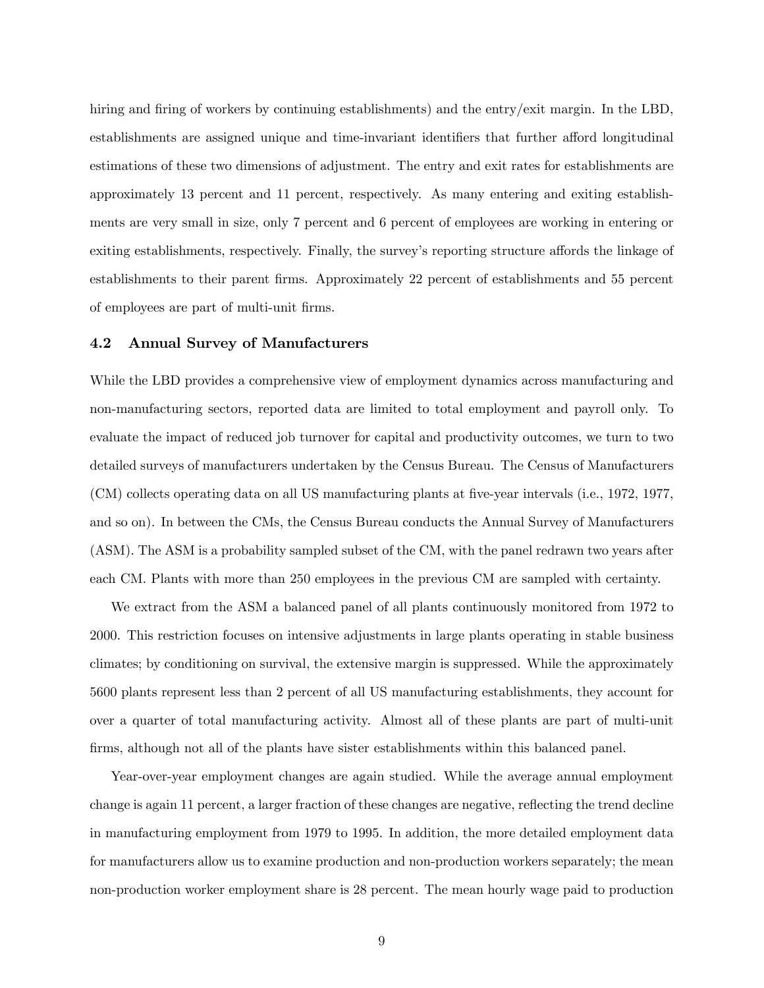hiring and firing of workers by continuing establishments) and the entry/exit margin. In the LBD, establishments are assigned unique and time-invariant identifiers that further afford longitudinal estimations of these two dimensions of adjustment. The entry and exit rates for establishments are approximately 13 percent and 11 percent, respectively. As many entering and exiting establishments are very small in size, only 7 percent and 6 percent of employees are working in entering or exiting establishments, respectively. Finally, the survey's reporting structure affords the linkage of establishments to their parent firms. Approximately 22 percent of establishments and 55 percent of employees are part of multi-unit Örms.

#### 4.2 Annual Survey of Manufacturers

While the LBD provides a comprehensive view of employment dynamics across manufacturing and non-manufacturing sectors, reported data are limited to total employment and payroll only. To evaluate the impact of reduced job turnover for capital and productivity outcomes, we turn to two detailed surveys of manufacturers undertaken by the Census Bureau. The Census of Manufacturers (CM) collects operating data on all US manufacturing plants at Öve-year intervals (i.e., 1972, 1977, and so on). In between the CMs, the Census Bureau conducts the Annual Survey of Manufacturers (ASM). The ASM is a probability sampled subset of the CM, with the panel redrawn two years after each CM. Plants with more than 250 employees in the previous CM are sampled with certainty.

We extract from the ASM a balanced panel of all plants continuously monitored from 1972 to 2000. This restriction focuses on intensive adjustments in large plants operating in stable business climates; by conditioning on survival, the extensive margin is suppressed. While the approximately 5600 plants represent less than 2 percent of all US manufacturing establishments, they account for over a quarter of total manufacturing activity. Almost all of these plants are part of multi-unit firms, although not all of the plants have sister establishments within this balanced panel.

Year-over-year employment changes are again studied. While the average annual employment change is again 11 percent, a larger fraction of these changes are negative, reflecting the trend decline in manufacturing employment from 1979 to 1995. In addition, the more detailed employment data for manufacturers allow us to examine production and non-production workers separately; the mean non-production worker employment share is 28 percent. The mean hourly wage paid to production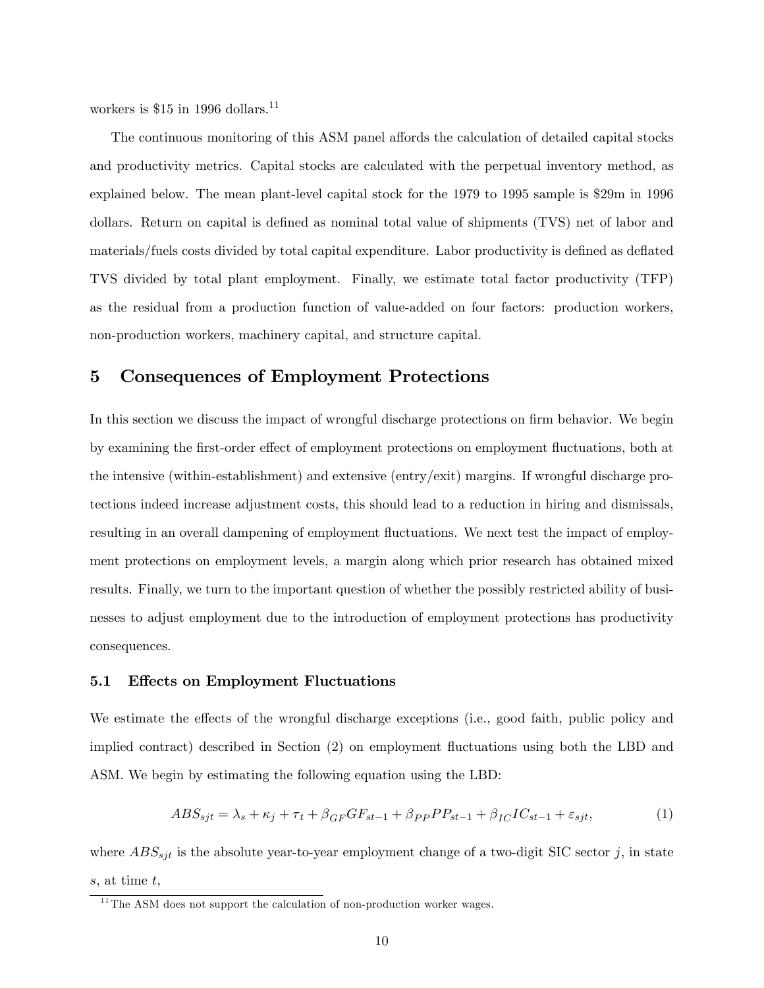workers is \$15 in 1996 dollars.<sup>11</sup>

The continuous monitoring of this ASM panel affords the calculation of detailed capital stocks and productivity metrics. Capital stocks are calculated with the perpetual inventory method, as explained below. The mean plant-level capital stock for the 1979 to 1995 sample is \$29m in 1996 dollars. Return on capital is defined as nominal total value of shipments (TVS) net of labor and materials/fuels costs divided by total capital expenditure. Labor productivity is defined as deflated TVS divided by total plant employment. Finally, we estimate total factor productivity (TFP) as the residual from a production function of value-added on four factors: production workers, non-production workers, machinery capital, and structure capital.

### 5 Consequences of Employment Protections

In this section we discuss the impact of wrongful discharge protections on firm behavior. We begin by examining the first-order effect of employment protections on employment fluctuations, both at the intensive (within-establishment) and extensive (entry/exit) margins. If wrongful discharge protections indeed increase adjustment costs, this should lead to a reduction in hiring and dismissals, resulting in an overall dampening of employment fluctuations. We next test the impact of employment protections on employment levels, a margin along which prior research has obtained mixed results. Finally, we turn to the important question of whether the possibly restricted ability of businesses to adjust employment due to the introduction of employment protections has productivity consequences.

#### 5.1 Effects on Employment Fluctuations

We estimate the effects of the wrongful discharge exceptions (i.e., good faith, public policy and implied contract) described in Section (2) on employment áuctuations using both the LBD and ASM. We begin by estimating the following equation using the LBD:

$$
ABS_{sjt} = \lambda_s + \kappa_j + \tau_t + \beta_{GF}GF_{st-1} + \beta_{PP}PP_{st-1} + \beta_{IC}IC_{st-1} + \varepsilon_{sjt},\tag{1}
$$

where  $ABS_{sjt}$  is the absolute year-to-year employment change of a two-digit SIC sector j, in state s, at time t,

 $11$ <sup>The ASM</sup> does not support the calculation of non-production worker wages.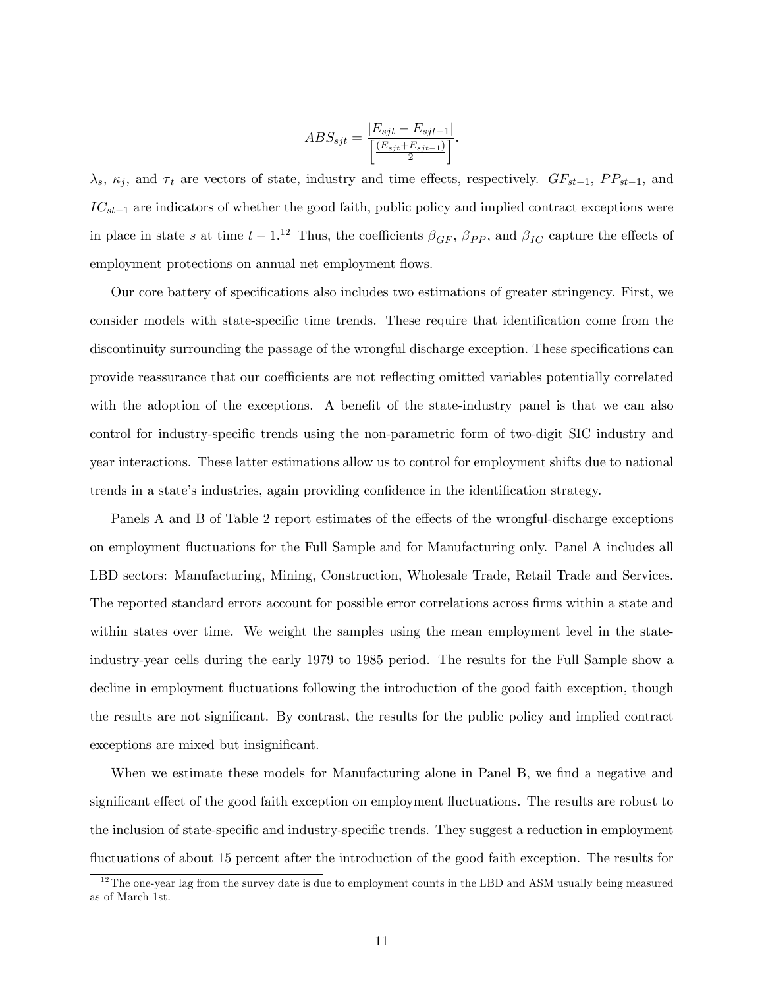$$
ABS_{sjt} = \frac{|E_{sjt} - E_{sjt-1}|}{\left[\frac{(E_{sjt} + E_{sjt-1})}{2}\right]}.
$$

 $\lambda_s$ ,  $\kappa_j$ , and  $\tau_t$  are vectors of state, industry and time effects, respectively.  $GF_{st-1}$ ,  $PP_{st-1}$ , and  $IC_{st-1}$  are indicators of whether the good faith, public policy and implied contract exceptions were in place in state s at time  $t-1$ .<sup>12</sup> Thus, the coefficients  $\beta_{GF}$ ,  $\beta_{PP}$ , and  $\beta_{IC}$  capture the effects of employment protections on annual net employment flows.

Our core battery of specifications also includes two estimations of greater stringency. First, we consider models with state-specific time trends. These require that identification come from the discontinuity surrounding the passage of the wrongful discharge exception. These specifications can provide reassurance that our coefficients are not reflecting omitted variables potentially correlated with the adoption of the exceptions. A benefit of the state-industry panel is that we can also control for industry-specific trends using the non-parametric form of two-digit SIC industry and year interactions. These latter estimations allow us to control for employment shifts due to national trends in a state's industries, again providing confidence in the identification strategy.

Panels A and B of Table 2 report estimates of the effects of the wrongful-discharge exceptions on employment áuctuations for the Full Sample and for Manufacturing only. Panel A includes all LBD sectors: Manufacturing, Mining, Construction, Wholesale Trade, Retail Trade and Services. The reported standard errors account for possible error correlations across firms within a state and within states over time. We weight the samples using the mean employment level in the stateindustry-year cells during the early 1979 to 1985 period. The results for the Full Sample show a decline in employment fluctuations following the introduction of the good faith exception, though the results are not significant. By contrast, the results for the public policy and implied contract exceptions are mixed but insignificant.

When we estimate these models for Manufacturing alone in Panel B, we find a negative and significant effect of the good faith exception on employment fluctuations. The results are robust to the inclusion of state-specific and industry-specific trends. They suggest a reduction in employment fluctuations of about 15 percent after the introduction of the good faith exception. The results for

 $12$ The one-year lag from the survey date is due to employment counts in the LBD and ASM usually being measured as of March 1st.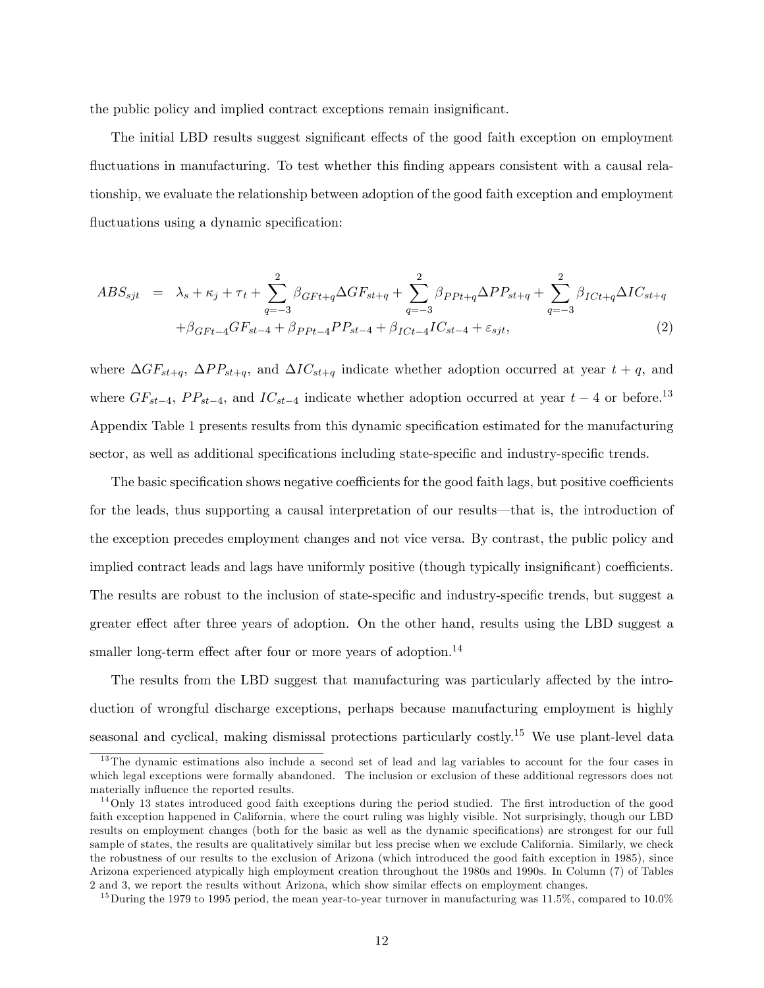the public policy and implied contract exceptions remain insignificant.

The initial LBD results suggest significant effects of the good faith exception on employment fluctuations in manufacturing. To test whether this finding appears consistent with a causal relationship, we evaluate the relationship between adoption of the good faith exception and employment fluctuations using a dynamic specification:

$$
ABS_{sjt} = \lambda_s + \kappa_j + \tau_t + \sum_{q=-3}^{2} \beta_{GFt+q} \Delta GF_{st+q} + \sum_{q=-3}^{2} \beta_{PPt+q} \Delta PP_{st+q} + \sum_{q=-3}^{2} \beta_{ICt+q} \Delta IC_{st+q} + \beta_{GFt-4} GF_{st-4} + \beta_{PPt-4} PP_{st-4} + \beta_{ICt-4} IC_{st-4} + \varepsilon_{sjt},
$$
\n(2)

where  $\Delta GF_{st+q}$ ,  $\Delta PP_{st+q}$ , and  $\Delta IC_{st+q}$  indicate whether adoption occurred at year  $t + q$ , and where  $GF_{st-4}$ ,  $PP_{st-4}$ , and  $IC_{st-4}$  indicate whether adoption occurred at year  $t-4$  or before.<sup>13</sup> Appendix Table 1 presents results from this dynamic specification estimated for the manufacturing sector, as well as additional specifications including state-specific and industry-specific trends.

The basic specification shows negative coefficients for the good faith lags, but positive coefficients for the leads, thus supporting a causal interpretation of our results—that is, the introduction of the exception precedes employment changes and not vice versa. By contrast, the public policy and implied contract leads and lags have uniformly positive (though typically insignificant) coefficients. The results are robust to the inclusion of state-specific and industry-specific trends, but suggest a greater effect after three years of adoption. On the other hand, results using the LBD suggest a smaller long-term effect after four or more years of adoption.<sup>14</sup>

The results from the LBD suggest that manufacturing was particularly affected by the introduction of wrongful discharge exceptions, perhaps because manufacturing employment is highly seasonal and cyclical, making dismissal protections particularly costly.<sup>15</sup> We use plant-level data

<sup>&</sup>lt;sup>13</sup>The dynamic estimations also include a second set of lead and lag variables to account for the four cases in which legal exceptions were formally abandoned. The inclusion or exclusion of these additional regressors does not materially influence the reported results.

 $14$ Only 13 states introduced good faith exceptions during the period studied. The first introduction of the good faith exception happened in California, where the court ruling was highly visible. Not surprisingly, though our LBD results on employment changes (both for the basic as well as the dynamic specifications) are strongest for our full sample of states, the results are qualitatively similar but less precise when we exclude California. Similarly, we check the robustness of our results to the exclusion of Arizona (which introduced the good faith exception in 1985), since Arizona experienced atypically high employment creation throughout the 1980s and 1990s. In Column (7) of Tables 2 and 3, we report the results without Arizona, which show similar effects on employment changes.

<sup>&</sup>lt;sup>15</sup>During the 1979 to 1995 period, the mean year-to-year turnover in manufacturing was 11.5%, compared to 10.0%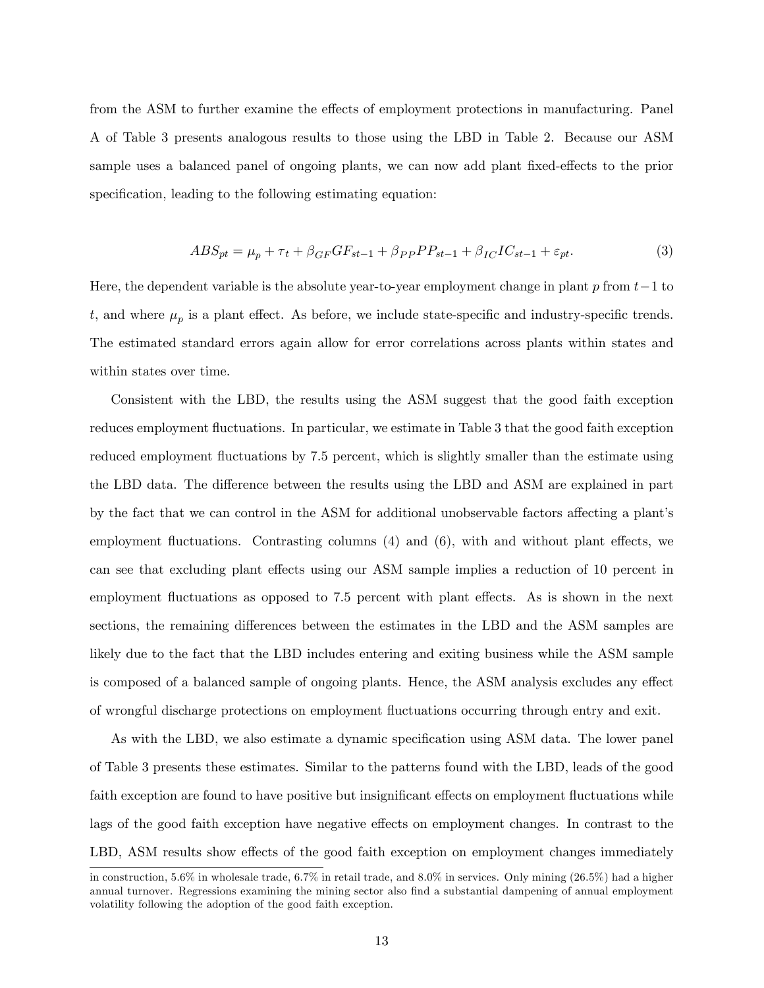from the ASM to further examine the effects of employment protections in manufacturing. Panel A of Table 3 presents analogous results to those using the LBD in Table 2. Because our ASM sample uses a balanced panel of ongoing plants, we can now add plant fixed-effects to the prior specification, leading to the following estimating equation:

$$
ABS_{pt} = \mu_p + \tau_t + \beta_{GF}GF_{st-1} + \beta_{PP}PP_{st-1} + \beta_{IC}IC_{st-1} + \varepsilon_{pt}.
$$
\n(3)

Here, the dependent variable is the absolute year-to-year employment change in plant  $p$  from  $t-1$  to t, and where  $\mu_p$  is a plant effect. As before, we include state-specific and industry-specific trends. The estimated standard errors again allow for error correlations across plants within states and within states over time.

Consistent with the LBD, the results using the ASM suggest that the good faith exception reduces employment fluctuations. In particular, we estimate in Table 3 that the good faith exception reduced employment fluctuations by 7.5 percent, which is slightly smaller than the estimate using the LBD data. The difference between the results using the LBD and ASM are explained in part by the fact that we can control in the ASM for additional unobservable factors affecting a plant's employment fluctuations. Contrasting columns  $(4)$  and  $(6)$ , with and without plant effects, we can see that excluding plant effects using our ASM sample implies a reduction of 10 percent in employment fluctuations as opposed to 7.5 percent with plant effects. As is shown in the next sections, the remaining differences between the estimates in the LBD and the ASM samples are likely due to the fact that the LBD includes entering and exiting business while the ASM sample is composed of a balanced sample of ongoing plants. Hence, the ASM analysis excludes any effect of wrongful discharge protections on employment áuctuations occurring through entry and exit.

As with the LBD, we also estimate a dynamic specification using ASM data. The lower panel of Table 3 presents these estimates. Similar to the patterns found with the LBD, leads of the good faith exception are found to have positive but insignificant effects on employment fluctuations while lags of the good faith exception have negative effects on employment changes. In contrast to the LBD, ASM results show effects of the good faith exception on employment changes immediately

in construction, 5.6% in wholesale trade, 6.7% in retail trade, and 8.0% in services. Only mining (26.5%) had a higher annual turnover. Regressions examining the mining sector also find a substantial dampening of annual employment volatility following the adoption of the good faith exception.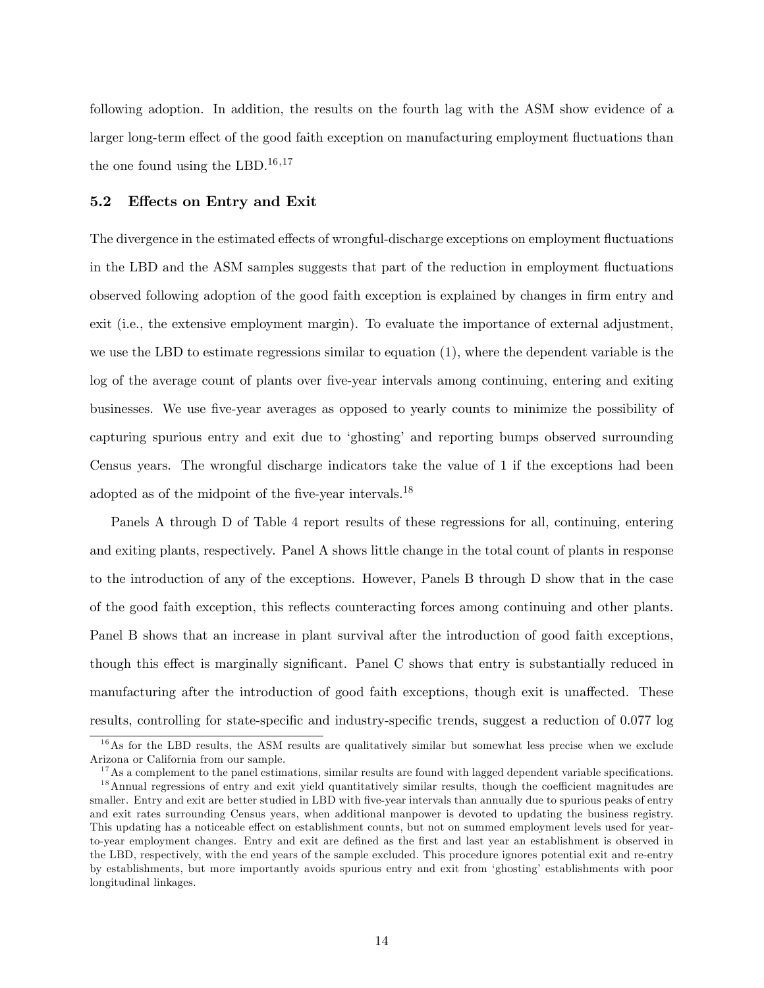following adoption. In addition, the results on the fourth lag with the ASM show evidence of a larger long-term effect of the good faith exception on manufacturing employment fluctuations than the one found using the LBD.<sup>16,17</sup>

#### 5.2 Effects on Entry and Exit

The divergence in the estimated effects of wrongful-discharge exceptions on employment fluctuations in the LBD and the ASM samples suggests that part of the reduction in employment áuctuations observed following adoption of the good faith exception is explained by changes in firm entry and exit (i.e., the extensive employment margin). To evaluate the importance of external adjustment, we use the LBD to estimate regressions similar to equation (1), where the dependent variable is the log of the average count of plants over five-year intervals among continuing, entering and exiting businesses. We use Öve-year averages as opposed to yearly counts to minimize the possibility of capturing spurious entry and exit due to ëghostingí and reporting bumps observed surrounding Census years. The wrongful discharge indicators take the value of 1 if the exceptions had been adopted as of the midpoint of the five-year intervals.<sup>18</sup>

Panels A through D of Table 4 report results of these regressions for all, continuing, entering and exiting plants, respectively. Panel A shows little change in the total count of plants in response to the introduction of any of the exceptions. However, Panels B through D show that in the case of the good faith exception, this reflects counteracting forces among continuing and other plants. Panel B shows that an increase in plant survival after the introduction of good faith exceptions, though this effect is marginally significant. Panel C shows that entry is substantially reduced in manufacturing after the introduction of good faith exceptions, though exit is unaffected. These results, controlling for state-specific and industry-specific trends, suggest a reduction of 0.077 log

<sup>&</sup>lt;sup>16</sup>As for the LBD results, the ASM results are qualitatively similar but somewhat less precise when we exclude Arizona or California from our sample.

 $17$ As a complement to the panel estimations, similar results are found with lagged dependent variable specifications.  $18$ Annual regressions of entry and exit yield quantitatively similar results, though the coefficient magnitudes are smaller. Entry and exit are better studied in LBD with five-year intervals than annually due to spurious peaks of entry and exit rates surrounding Census years, when additional manpower is devoted to updating the business registry. This updating has a noticeable effect on establishment counts, but not on summed employment levels used for yearto-year employment changes. Entry and exit are defined as the first and last year an establishment is observed in the LBD, respectively, with the end years of the sample excluded. This procedure ignores potential exit and re-entry by establishments, but more importantly avoids spurious entry and exit from ëghostingí establishments with poor longitudinal linkages.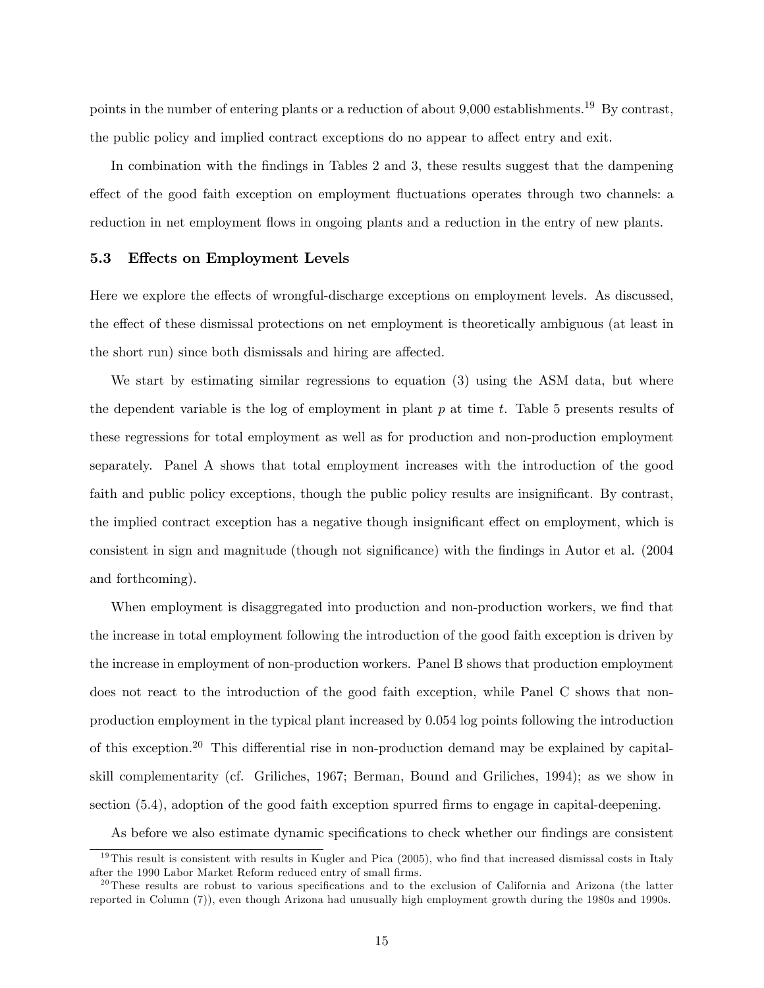points in the number of entering plants or a reduction of about 9,000 establishments.<sup>19</sup> By contrast, the public policy and implied contract exceptions do no appear to affect entry and exit.

In combination with the findings in Tables 2 and 3, these results suggest that the dampening effect of the good faith exception on employment fluctuations operates through two channels: a reduction in net employment flows in ongoing plants and a reduction in the entry of new plants.

#### 5.3 Effects on Employment Levels

Here we explore the effects of wrongful-discharge exceptions on employment levels. As discussed, the effect of these dismissal protections on net employment is theoretically ambiguous (at least in the short run) since both dismissals and hiring are affected.

We start by estimating similar regressions to equation (3) using the ASM data, but where the dependent variable is the log of employment in plant  $p$  at time  $t$ . Table 5 presents results of these regressions for total employment as well as for production and non-production employment separately. Panel A shows that total employment increases with the introduction of the good faith and public policy exceptions, though the public policy results are insignificant. By contrast, the implied contract exception has a negative though insignificant effect on employment, which is consistent in sign and magnitude (though not significance) with the findings in Autor et al. (2004 and forthcoming).

When employment is disaggregated into production and non-production workers, we find that the increase in total employment following the introduction of the good faith exception is driven by the increase in employment of non-production workers. Panel B shows that production employment does not react to the introduction of the good faith exception, while Panel C shows that nonproduction employment in the typical plant increased by 0.054 log points following the introduction of this exception.<sup>20</sup> This differential rise in non-production demand may be explained by capitalskill complementarity (cf. Griliches, 1967; Berman, Bound and Griliches, 1994); as we show in section (5.4), adoption of the good faith exception spurred firms to engage in capital-deepening.

As before we also estimate dynamic specifications to check whether our findings are consistent

 $19$ This result is consistent with results in Kugler and Pica (2005), who find that increased dismissal costs in Italy after the 1990 Labor Market Reform reduced entry of small firms.

 $^{20}$ These results are robust to various specifications and to the exclusion of California and Arizona (the latter reported in Column (7)), even though Arizona had unusually high employment growth during the 1980s and 1990s.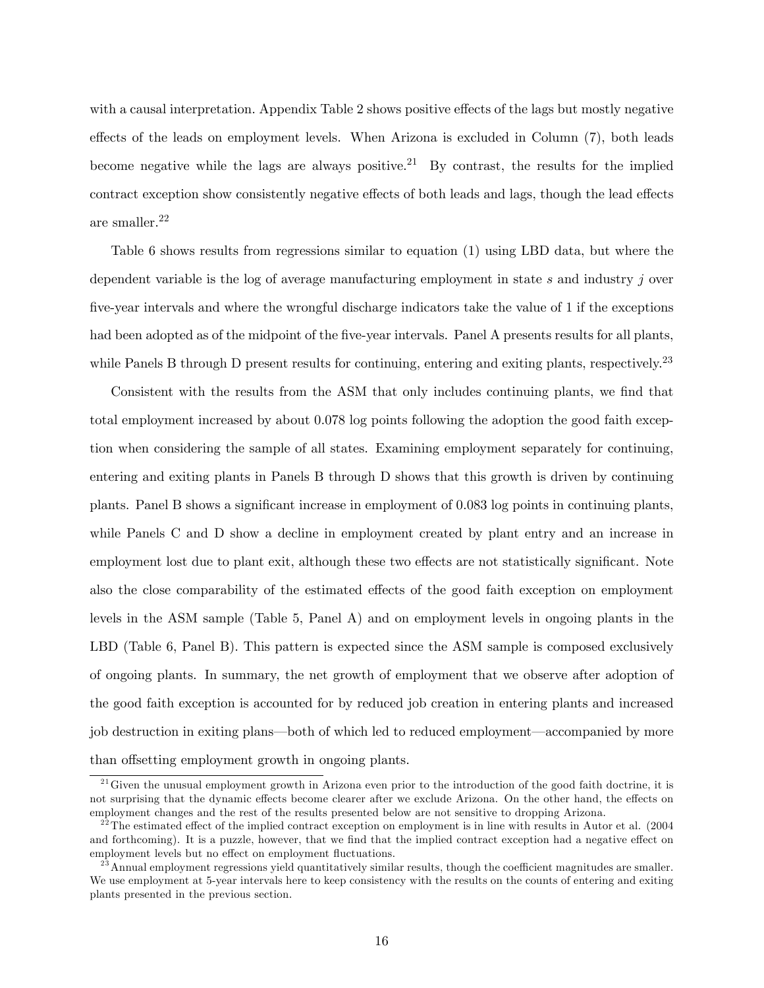with a causal interpretation. Appendix Table 2 shows positive effects of the lags but mostly negative effects of the leads on employment levels. When Arizona is excluded in Column (7), both leads become negative while the lags are always positive.<sup>21</sup> By contrast, the results for the implied contract exception show consistently negative effects of both leads and lags, though the lead effects are smaller.<sup>22</sup>

Table 6 shows results from regressions similar to equation (1) using LBD data, but where the dependent variable is the log of average manufacturing employment in state s and industry j over five-year intervals and where the wrongful discharge indicators take the value of 1 if the exceptions had been adopted as of the midpoint of the five-year intervals. Panel A presents results for all plants, while Panels B through D present results for continuing, entering and exiting plants, respectively.<sup>23</sup>

Consistent with the results from the ASM that only includes continuing plants, we find that total employment increased by about 0.078 log points following the adoption the good faith exception when considering the sample of all states. Examining employment separately for continuing, entering and exiting plants in Panels B through D shows that this growth is driven by continuing plants. Panel B shows a significant increase in employment of 0.083 log points in continuing plants, while Panels C and D show a decline in employment created by plant entry and an increase in employment lost due to plant exit, although these two effects are not statistically significant. Note also the close comparability of the estimated effects of the good faith exception on employment levels in the ASM sample (Table 5, Panel A) and on employment levels in ongoing plants in the LBD (Table 6, Panel B). This pattern is expected since the ASM sample is composed exclusively of ongoing plants. In summary, the net growth of employment that we observe after adoption of the good faith exception is accounted for by reduced job creation in entering plants and increased job destruction in exiting plans—both of which led to reduced employment—accompanied by more than offsetting employment growth in ongoing plants.

 $^{21}$  Given the unusual employment growth in Arizona even prior to the introduction of the good faith doctrine, it is not surprising that the dynamic effects become clearer after we exclude Arizona. On the other hand, the effects on employment changes and the rest of the results presented below are not sensitive to dropping Arizona.

<sup>&</sup>lt;sup>22</sup>The estimated effect of the implied contract exception on employment is in line with results in Autor et al.  $(2004)$ and forthcoming). It is a puzzle, however, that we find that the implied contract exception had a negative effect on employment levels but no effect on employment fluctuations.

 $^{23}$  Annual employment regressions yield quantitatively similar results, though the coefficient magnitudes are smaller. We use employment at 5-year intervals here to keep consistency with the results on the counts of entering and exiting plants presented in the previous section.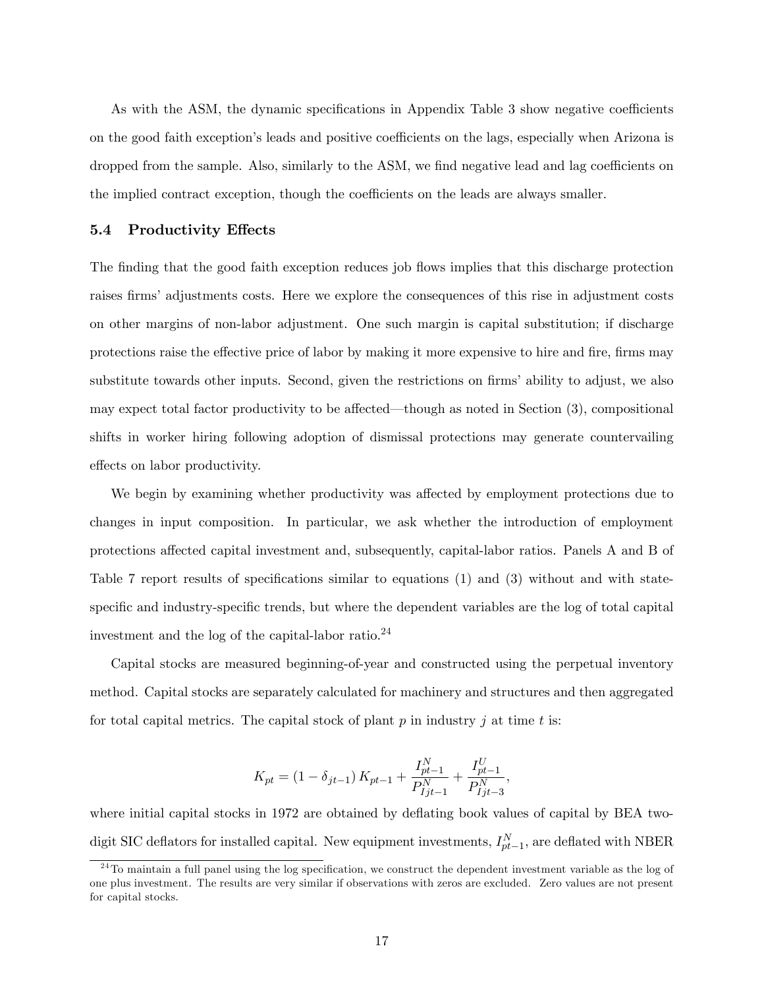As with the ASM, the dynamic specifications in Appendix Table 3 show negative coefficients on the good faith exception's leads and positive coefficients on the lags, especially when Arizona is dropped from the sample. Also, similarly to the ASM, we find negative lead and lag coefficients on the implied contract exception, though the coefficients on the leads are always smaller.

#### 5.4 Productivity Effects

The finding that the good faith exception reduces job flows implies that this discharge protection raises firms' adjustments costs. Here we explore the consequences of this rise in adjustment costs on other margins of non-labor adjustment. One such margin is capital substitution; if discharge protections raise the effective price of labor by making it more expensive to hire and fire, firms may substitute towards other inputs. Second, given the restrictions on firms' ability to adjust, we also may expect total factor productivity to be affected—though as noted in Section  $(3)$ , compositional shifts in worker hiring following adoption of dismissal protections may generate countervailing effects on labor productivity.

We begin by examining whether productivity was affected by employment protections due to changes in input composition. In particular, we ask whether the introduction of employment protections affected capital investment and, subsequently, capital-labor ratios. Panels A and B of Table 7 report results of specifications similar to equations  $(1)$  and  $(3)$  without and with statespecific and industry-specific trends, but where the dependent variables are the log of total capital investment and the log of the capital-labor ratio.<sup>24</sup>

Capital stocks are measured beginning-of-year and constructed using the perpetual inventory method. Capital stocks are separately calculated for machinery and structures and then aggregated for total capital metrics. The capital stock of plant  $p$  in industry  $j$  at time  $t$  is:

$$
K_{pt} = (1 - \delta_{jt-1}) K_{pt-1} + \frac{I_{pt-1}^N}{P_{ljt-1}^N} + \frac{I_{pt-1}^U}{P_{ljt-3}^N},
$$

where initial capital stocks in 1972 are obtained by deflating book values of capital by BEA twodigit SIC deflators for installed capital. New equipment investments,  $I_{pt-1}^N$ , are deflated with NBER

 $^{24}$ To maintain a full panel using the log specification, we construct the dependent investment variable as the log of one plus investment. The results are very similar if observations with zeros are excluded. Zero values are not present for capital stocks.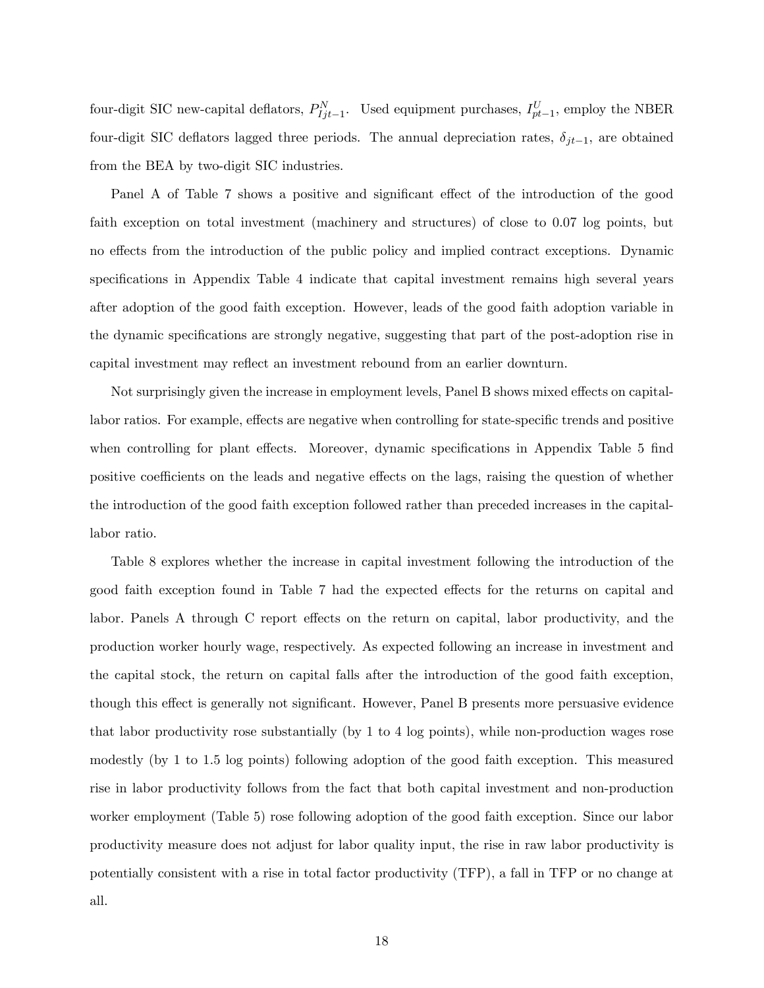four-digit SIC new-capital deflators,  $P_{Ijt-1}^{N}$ . Used equipment purchases,  $I_{pt-1}^{U}$ , employ the NBER four-digit SIC deflators lagged three periods. The annual depreciation rates,  $\delta_{jt-1}$ , are obtained from the BEA by two-digit SIC industries.

Panel A of Table 7 shows a positive and significant effect of the introduction of the good faith exception on total investment (machinery and structures) of close to 0.07 log points, but no effects from the introduction of the public policy and implied contract exceptions. Dynamic specifications in Appendix Table 4 indicate that capital investment remains high several years after adoption of the good faith exception. However, leads of the good faith adoption variable in the dynamic specifications are strongly negative, suggesting that part of the post-adoption rise in capital investment may reflect an investment rebound from an earlier downturn.

Not surprisingly given the increase in employment levels, Panel B shows mixed effects on capitallabor ratios. For example, effects are negative when controlling for state-specific trends and positive when controlling for plant effects. Moreover, dynamic specifications in Appendix Table 5 find positive coefficients on the leads and negative effects on the lags, raising the question of whether the introduction of the good faith exception followed rather than preceded increases in the capitallabor ratio.

Table 8 explores whether the increase in capital investment following the introduction of the good faith exception found in Table 7 had the expected effects for the returns on capital and labor. Panels A through C report effects on the return on capital, labor productivity, and the production worker hourly wage, respectively. As expected following an increase in investment and the capital stock, the return on capital falls after the introduction of the good faith exception, though this effect is generally not significant. However, Panel B presents more persuasive evidence that labor productivity rose substantially (by 1 to 4 log points), while non-production wages rose modestly (by 1 to 1:5 log points) following adoption of the good faith exception. This measured rise in labor productivity follows from the fact that both capital investment and non-production worker employment (Table 5) rose following adoption of the good faith exception. Since our labor productivity measure does not adjust for labor quality input, the rise in raw labor productivity is potentially consistent with a rise in total factor productivity (TFP), a fall in TFP or no change at all.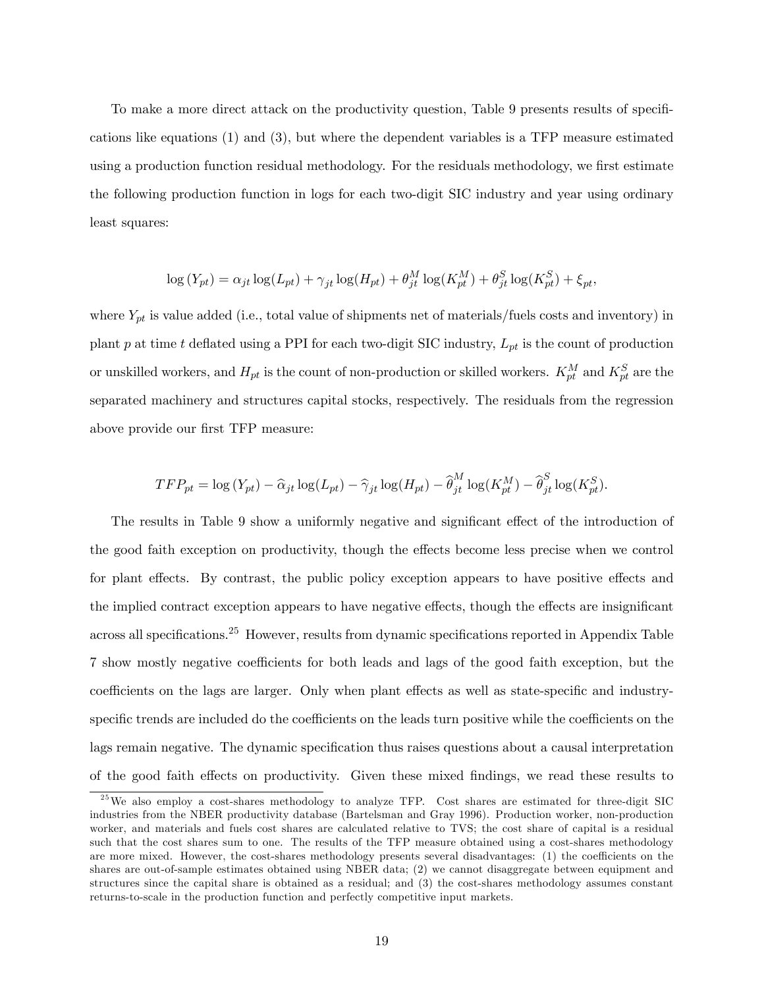To make a more direct attack on the productivity question, Table 9 presents results of specifications like equations (1) and (3), but where the dependent variables is a TFP measure estimated using a production function residual methodology. For the residuals methodology, we first estimate the following production function in logs for each two-digit SIC industry and year using ordinary least squares:

$$
\log(Y_{pt}) = \alpha_{jt} \log(L_{pt}) + \gamma_{jt} \log(H_{pt}) + \theta_{jt}^M \log(K_{pt}^M) + \theta_{jt}^S \log(K_{pt}^S) + \xi_{pt},
$$

where  $Y_{pt}$  is value added (i.e., total value of shipments net of materials/fuels costs and inventory) in plant p at time t deflated using a PPI for each two-digit SIC industry,  $L_{pt}$  is the count of production or unskilled workers, and  $H_{pt}$  is the count of non-production or skilled workers.  $K_{pt}^M$  and  $K_{pt}^S$  are the separated machinery and structures capital stocks, respectively. The residuals from the regression above provide our first TFP measure:

$$
TFP_{pt} = \log(Y_{pt}) - \widehat{\alpha}_{jt} \log(L_{pt}) - \widehat{\gamma}_{jt} \log(H_{pt}) - \widehat{\theta}_{jt}^M \log(K_{pt}^M) - \widehat{\theta}_{jt}^S \log(K_{pt}^S).
$$

The results in Table 9 show a uniformly negative and significant effect of the introduction of the good faith exception on productivity, though the effects become less precise when we control for plant effects. By contrast, the public policy exception appears to have positive effects and the implied contract exception appears to have negative effects, though the effects are insignificant across all specifications.<sup>25</sup> However, results from dynamic specifications reported in Appendix Table 7 show mostly negative coefficients for both leads and lags of the good faith exception, but the coefficients on the lags are larger. Only when plant effects as well as state-specific and industryspecific trends are included do the coefficients on the leads turn positive while the coefficients on the lags remain negative. The dynamic specification thus raises questions about a causal interpretation of the good faith effects on productivity. Given these mixed findings, we read these results to

<sup>&</sup>lt;sup>25</sup>We also employ a cost-shares methodology to analyze TFP. Cost shares are estimated for three-digit SIC industries from the NBER productivity database (Bartelsman and Gray 1996). Production worker, non-production worker, and materials and fuels cost shares are calculated relative to TVS; the cost share of capital is a residual such that the cost shares sum to one. The results of the TFP measure obtained using a cost-shares methodology are more mixed. However, the cost-shares methodology presents several disadvantages: (1) the coefficients on the shares are out-of-sample estimates obtained using NBER data; (2) we cannot disaggregate between equipment and structures since the capital share is obtained as a residual; and (3) the cost-shares methodology assumes constant returns-to-scale in the production function and perfectly competitive input markets.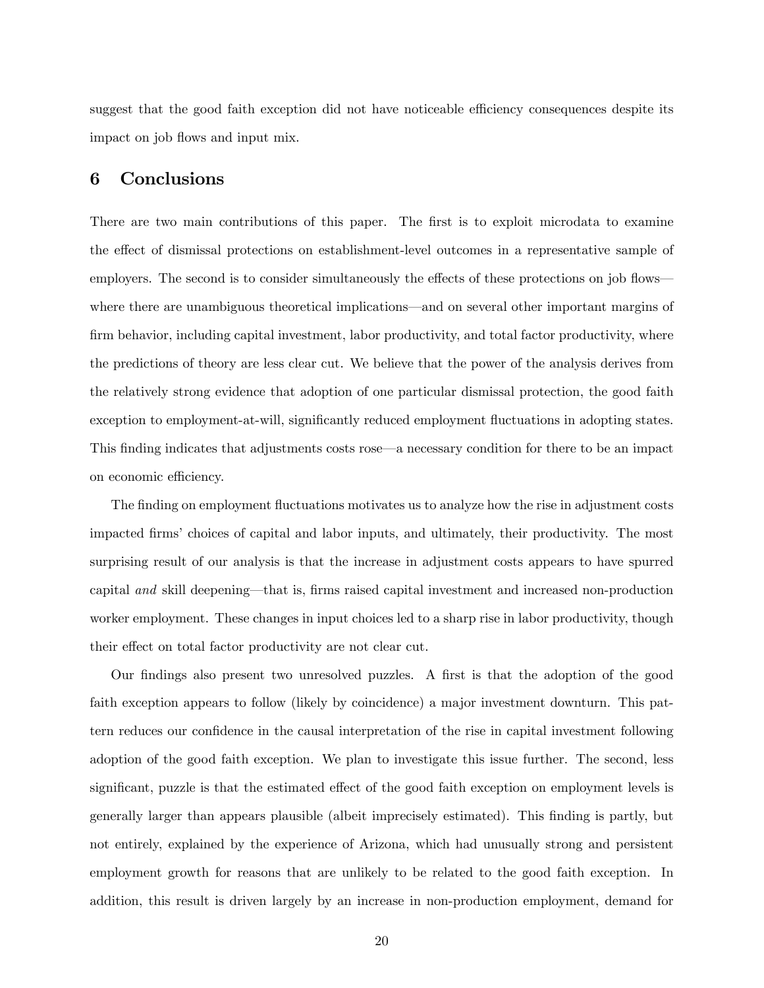suggest that the good faith exception did not have noticeable efficiency consequences despite its impact on job flows and input mix.

## 6 Conclusions

There are two main contributions of this paper. The first is to exploit microdata to examine the effect of dismissal protections on establishment-level outcomes in a representative sample of employers. The second is to consider simultaneously the effects of these protections on job flows where there are unambiguous theoretical implications—and on several other important margins of firm behavior, including capital investment, labor productivity, and total factor productivity, where the predictions of theory are less clear cut. We believe that the power of the analysis derives from the relatively strong evidence that adoption of one particular dismissal protection, the good faith exception to employment-at-will, significantly reduced employment fluctuations in adopting states. This finding indicates that adjustments costs rose—a necessary condition for there to be an impact on economic efficiency.

The finding on employment fluctuations motivates us to analyze how the rise in adjustment costs impacted firms' choices of capital and labor inputs, and ultimately, their productivity. The most surprising result of our analysis is that the increase in adjustment costs appears to have spurred capital and skill deepening—that is, firms raised capital investment and increased non-production worker employment. These changes in input choices led to a sharp rise in labor productivity, though their effect on total factor productivity are not clear cut.

Our findings also present two unresolved puzzles. A first is that the adoption of the good faith exception appears to follow (likely by coincidence) a major investment downturn. This pattern reduces our confidence in the causal interpretation of the rise in capital investment following adoption of the good faith exception. We plan to investigate this issue further. The second, less significant, puzzle is that the estimated effect of the good faith exception on employment levels is generally larger than appears plausible (albeit imprecisely estimated). This Önding is partly, but not entirely, explained by the experience of Arizona, which had unusually strong and persistent employment growth for reasons that are unlikely to be related to the good faith exception. In addition, this result is driven largely by an increase in non-production employment, demand for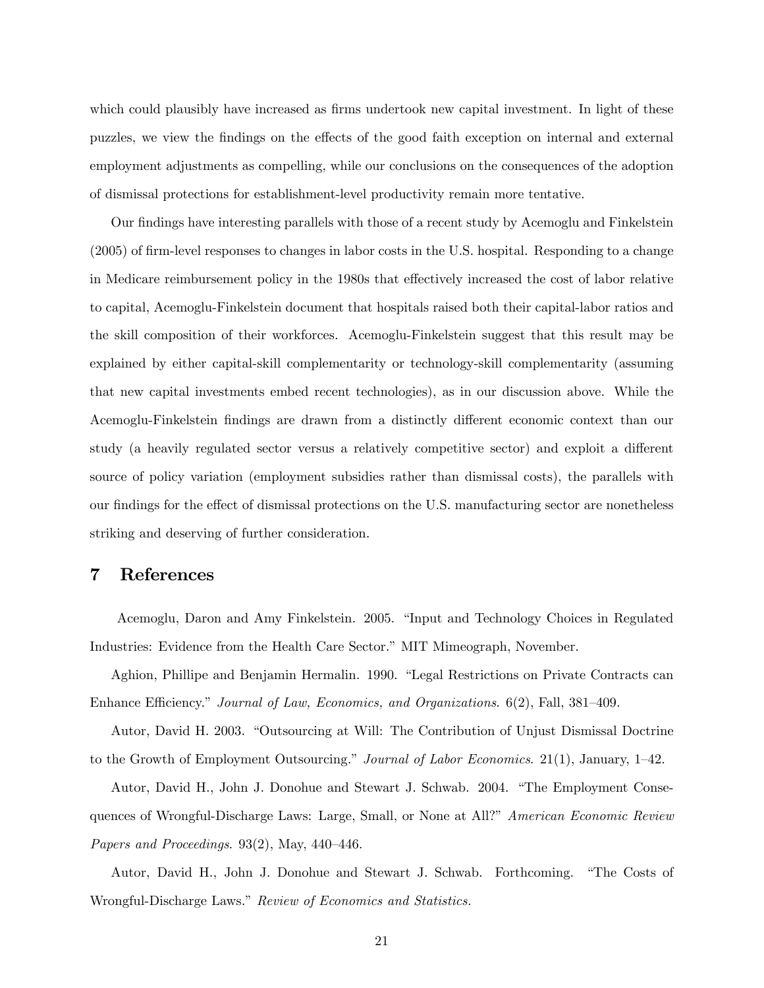which could plausibly have increased as firms undertook new capital investment. In light of these puzzles, we view the findings on the effects of the good faith exception on internal and external employment adjustments as compelling, while our conclusions on the consequences of the adoption of dismissal protections for establishment-level productivity remain more tentative.

Our findings have interesting parallels with those of a recent study by Acemoglu and Finkelstein (2005) of firm-level responses to changes in labor costs in the U.S. hospital. Responding to a change in Medicare reimbursement policy in the 1980s that effectively increased the cost of labor relative to capital, Acemoglu-Finkelstein document that hospitals raised both their capital-labor ratios and the skill composition of their workforces. Acemoglu-Finkelstein suggest that this result may be explained by either capital-skill complementarity or technology-skill complementarity (assuming that new capital investments embed recent technologies), as in our discussion above. While the Acemoglu-Finkelstein findings are drawn from a distinctly different economic context than our study (a heavily regulated sector versus a relatively competitive sector) and exploit a different source of policy variation (employment subsidies rather than dismissal costs), the parallels with our findings for the effect of dismissal protections on the U.S. manufacturing sector are nonetheless striking and deserving of further consideration.

## 7 References

Acemoglu, Daron and Amy Finkelstein. 2005. "Input and Technology Choices in Regulated Industries: Evidence from the Health Care Sector." MIT Mimeograph, November.

Aghion, Phillipe and Benjamin Hermalin. 1990. "Legal Restrictions on Private Contracts can Enhance Efficiency." Journal of Law, Economics, and Organizations.  $6(2)$ , Fall,  $381-409$ .

Autor, David H. 2003. "Outsourcing at Will: The Contribution of Unjust Dismissal Doctrine to the Growth of Employment Outsourcing." Journal of Labor Economics. 21(1), January, 1–42.

Autor, David H., John J. Donohue and Stewart J. Schwab. 2004. "The Employment Consequences of Wrongful-Discharge Laws: Large, Small, or None at All?" American Economic Review Papers and Proceedings.  $93(2)$ , May,  $440-446$ .

Autor, David H., John J. Donohue and Stewart J. Schwab. Forthcoming. "The Costs of Wrongful-Discharge Laws." Review of Economics and Statistics.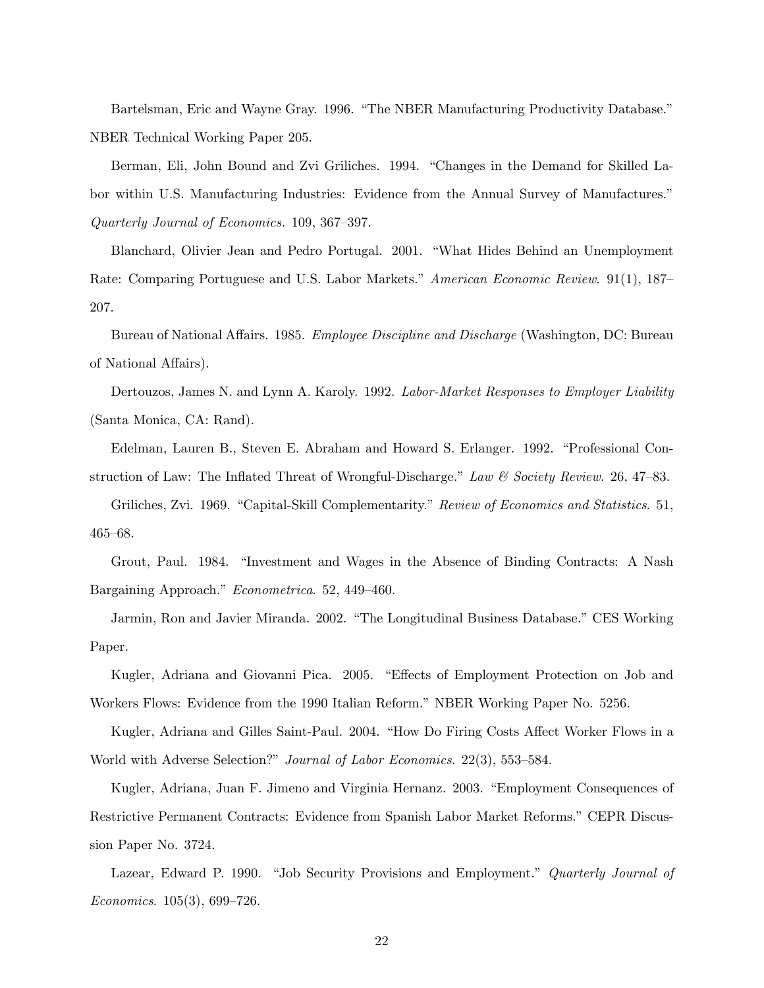Bartelsman, Eric and Wayne Gray. 1996. "The NBER Manufacturing Productivity Database." NBER Technical Working Paper 205.

Berman, Eli, John Bound and Zvi Griliches. 1994. "Changes in the Demand for Skilled Labor within U.S. Manufacturing Industries: Evidence from the Annual Survey of Manufactures.<sup>n</sup> Quarterly Journal of Economics.  $109, 367-397$ .

Blanchard, Olivier Jean and Pedro Portugal. 2001. "What Hides Behind an Unemployment Rate: Comparing Portuguese and U.S. Labor Markets." American Economic Review. 91(1), 187 207.

Bureau of National Affairs. 1985. Employee Discipline and Discharge (Washington, DC: Bureau of National Affairs).

Dertouzos, James N. and Lynn A. Karoly. 1992. Labor-Market Responses to Employer Liability (Santa Monica, CA: Rand).

Edelman, Lauren B., Steven E. Abraham and Howard S. Erlanger. 1992. "Professional Construction of Law: The Inflated Threat of Wrongful-Discharge." Law & Society Review. 26, 47-83.

Griliches, Zvi. 1969. "Capital-Skill Complementarity." Review of Economics and Statistics. 51, 465-68.

Grout, Paul. 1984. "Investment and Wages in the Absence of Binding Contracts: A Nash Bargaining Approach." Econometrica. 52, 449-460.

Jarmin, Ron and Javier Miranda. 2002. "The Longitudinal Business Database." CES Working Paper.

Kugler, Adriana and Giovanni Pica. 2005. "Effects of Employment Protection on Job and Workers Flows: Evidence from the 1990 Italian Reform." NBER Working Paper No. 5256.

Kugler, Adriana and Gilles Saint-Paul. 2004. "How Do Firing Costs Affect Worker Flows in a World with Adverse Selection?" Journal of Labor Economics. 22(3), 553–584.

Kugler, Adriana, Juan F. Jimeno and Virginia Hernanz. 2003. "Employment Consequences of Restrictive Permanent Contracts: Evidence from Spanish Labor Market Reforms." CEPR Discussion Paper No. 3724.

Lazear, Edward P. 1990. "Job Security Provisions and Employment." Quarterly Journal of Economics.  $105(3)$ , 699–726.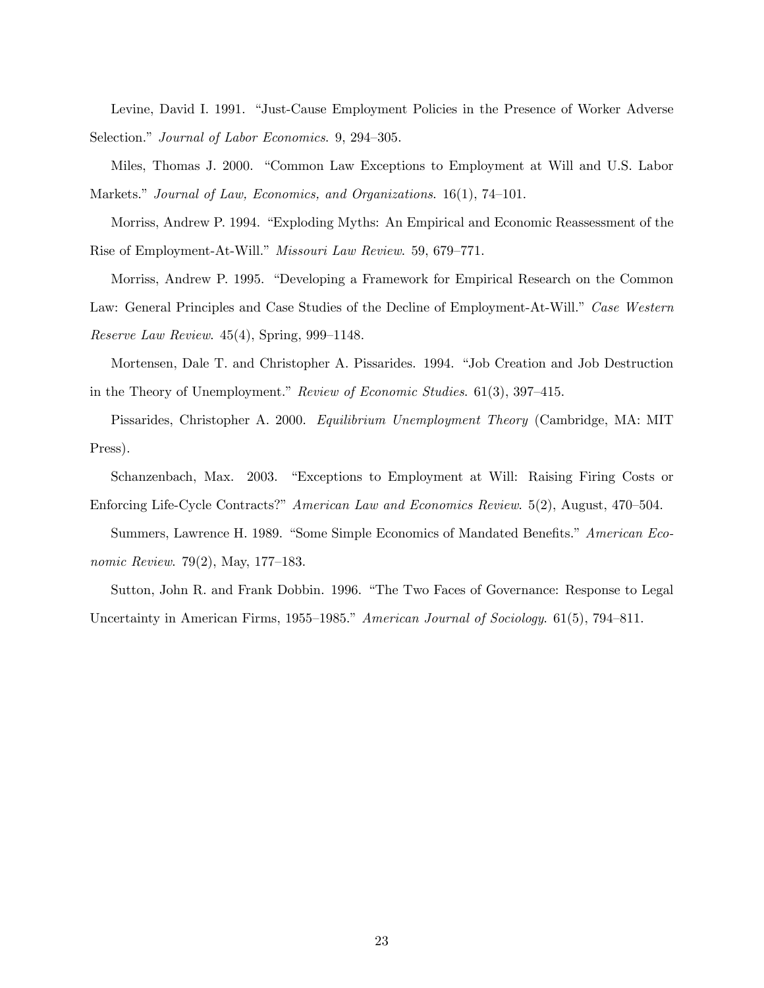Levine, David I. 1991. "Just-Cause Employment Policies in the Presence of Worker Adverse Selection." Journal of Labor Economics. 9, 294–305.

Miles, Thomas J. 2000. "Common Law Exceptions to Employment at Will and U.S. Labor Markets." Journal of Law, Economics, and Organizations.  $16(1)$ , 74–101.

Morriss, Andrew P. 1994. "Exploding Myths: An Empirical and Economic Reassessment of the Rise of Employment-At-Will." Missouri Law Review. 59, 679-771.

Morriss, Andrew P. 1995. "Developing a Framework for Empirical Research on the Common Law: General Principles and Case Studies of the Decline of Employment-At-Will.<sup>n</sup> Case Western Reserve Law Review.  $45(4)$ , Spring, 999–1148.

Mortensen, Dale T. and Christopher A. Pissarides. 1994. "Job Creation and Job Destruction in the Theory of Unemployment." Review of Economic Studies.  $61(3)$ , 397–415.

Pissarides, Christopher A. 2000. Equilibrium Unemployment Theory (Cambridge, MA: MIT Press).

Schanzenbach, Max. 2003. "Exceptions to Employment at Will: Raising Firing Costs or Enforcing Life-Cycle Contracts?" American Law and Economics Review. 5(2), August, 470–504.

Summers, Lawrence H. 1989. "Some Simple Economics of Mandated Benefits." American Economic Review. 79(2), May, 177-183.

Sutton, John R. and Frank Dobbin. 1996. "The Two Faces of Governance: Response to Legal Uncertainty in American Firms, 1955–1985.<sup>n</sup> American Journal of Sociology. 61(5), 794–811.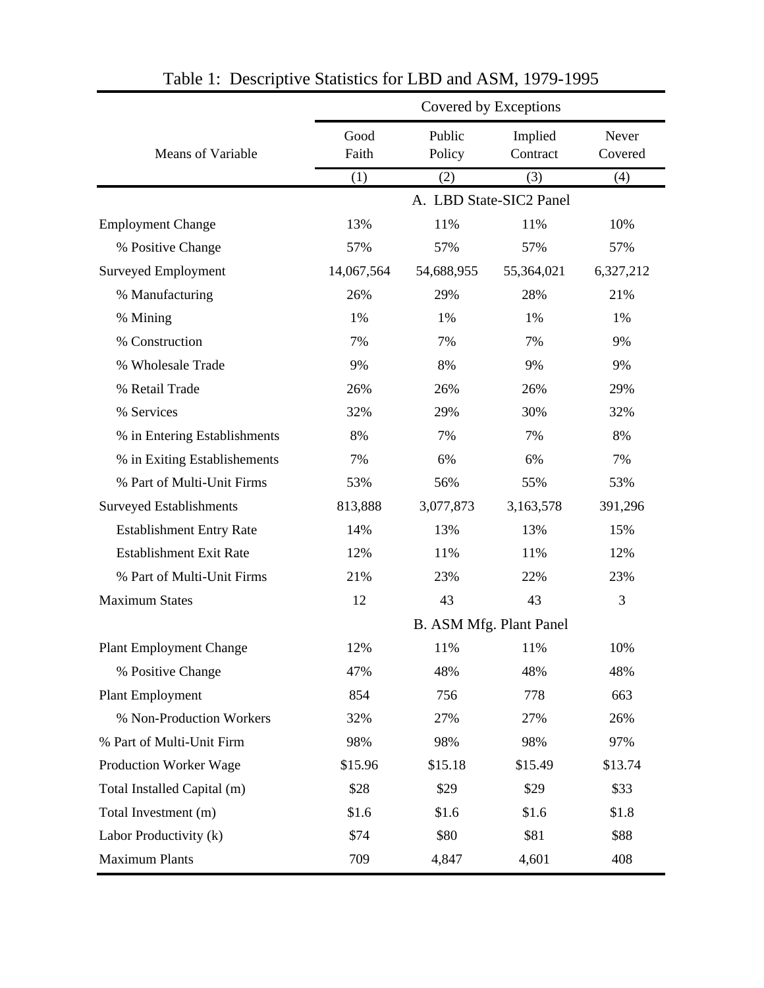|                                 |            |            | Covered by Exceptions   |           |
|---------------------------------|------------|------------|-------------------------|-----------|
|                                 | Good       | Public     | Implied                 | Never     |
| Means of Variable               | Faith      | Policy     | Contract                | Covered   |
|                                 | (1)        | (2)        | (3)                     | (4)       |
|                                 |            |            | A. LBD State-SIC2 Panel |           |
| <b>Employment Change</b>        | 13%        | 11%        | 11%                     | 10%       |
| % Positive Change               | 57%        | 57%        | 57%                     | 57%       |
| <b>Surveyed Employment</b>      | 14,067,564 | 54,688,955 | 55,364,021              | 6,327,212 |
| % Manufacturing                 | 26%        | 29%        | 28%                     | 21%       |
| % Mining                        | 1%         | 1%         | 1%                      | 1%        |
| % Construction                  | 7%         | 7%         | 7%                      | 9%        |
| % Wholesale Trade               | 9%         | 8%         | 9%                      | 9%        |
| % Retail Trade                  | 26%        | 26%        | 26%                     | 29%       |
| % Services                      | 32%        | 29%        | 30%                     | 32%       |
| % in Entering Establishments    | 8%         | 7%         | 7%                      | 8%        |
| % in Exiting Establishements    | 7%         | 6%         | 6%                      | 7%        |
| % Part of Multi-Unit Firms      | 53%        | 56%        | 55%                     | 53%       |
| <b>Surveyed Establishments</b>  | 813,888    | 3,077,873  | 3,163,578               | 391,296   |
| <b>Establishment Entry Rate</b> | 14%        | 13%        | 13%                     | 15%       |
| <b>Establishment Exit Rate</b>  | 12%        | 11%        | 11%                     | 12%       |
| % Part of Multi-Unit Firms      | 21%        | 23%        | 22%                     | 23%       |
| <b>Maximum States</b>           | 12         | 43         | 43                      | 3         |
|                                 |            |            | B. ASM Mfg. Plant Panel |           |
| <b>Plant Employment Change</b>  | 12%        | 11%        | 11%                     | 10%       |
| % Positive Change               | 47%        | 48%        | 48%                     | 48%       |
| Plant Employment                | 854        | 756        | 778                     | 663       |
| % Non-Production Workers        | 32%        | 27%        | 27%                     | 26%       |
| % Part of Multi-Unit Firm       | 98%        | 98%        | 98%                     | 97%       |
| Production Worker Wage          | \$15.96    | \$15.18    | \$15.49                 | \$13.74   |
| Total Installed Capital (m)     | \$28       | \$29       | \$29                    | \$33      |
| Total Investment (m)            | \$1.6      | \$1.6      | \$1.6                   | \$1.8     |
| Labor Productivity (k)          | \$74       | \$80       | \$81                    | \$88      |
| <b>Maximum Plants</b>           | 709        | 4,847      | 4,601                   | 408       |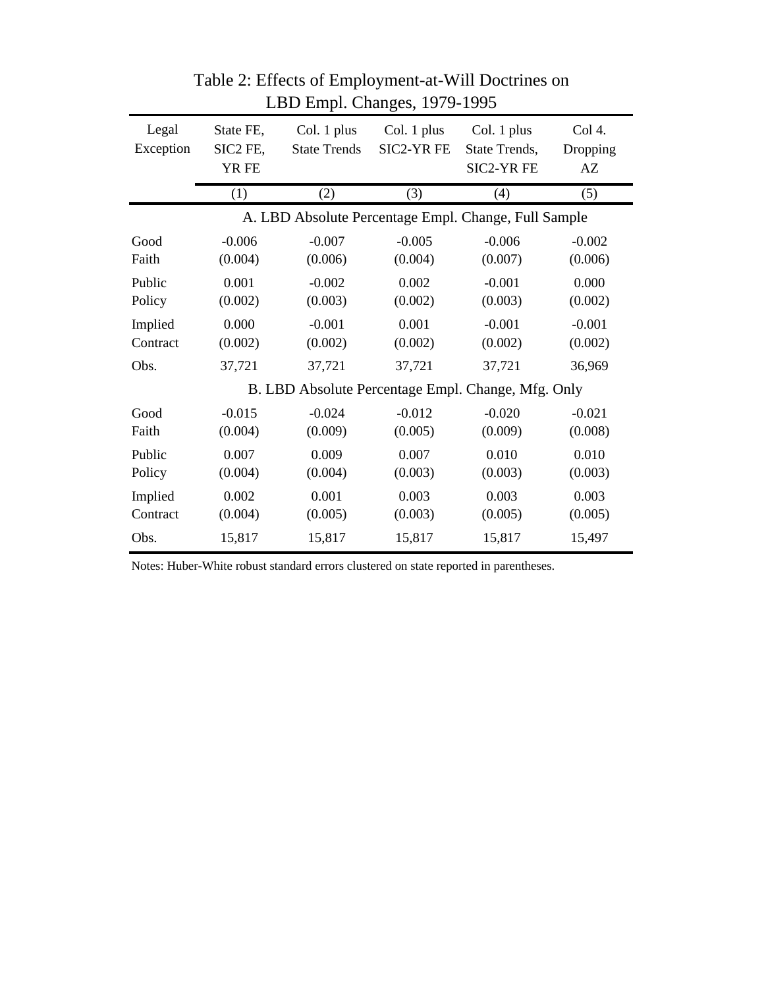| Legal<br>Exception  | State FE,<br>SIC2 FE,<br>YR FE | Col. 1 plus<br><b>State Trends</b>                   | Col. 1 plus<br><b>SIC2-YR FE</b> | Col. 1 plus<br>State Trends,<br><b>SIC2-YRFE</b> | Col 4.<br>Dropping<br>AZ |
|---------------------|--------------------------------|------------------------------------------------------|----------------------------------|--------------------------------------------------|--------------------------|
|                     | (1)                            | (2)                                                  | (3)                              | (4)                                              | (5)                      |
|                     |                                | A. LBD Absolute Percentage Empl. Change, Full Sample |                                  |                                                  |                          |
| Good<br>Faith       | $-0.006$<br>(0.004)            | $-0.007$<br>(0.006)                                  | $-0.005$<br>(0.004)              | $-0.006$<br>(0.007)                              | $-0.002$<br>(0.006)      |
| Public<br>Policy    | 0.001<br>(0.002)               | $-0.002$<br>(0.003)                                  | 0.002<br>(0.002)                 | $-0.001$<br>(0.003)                              | 0.000<br>(0.002)         |
| Implied<br>Contract | 0.000<br>(0.002)               | $-0.001$<br>(0.002)                                  | 0.001<br>(0.002)                 | $-0.001$<br>(0.002)                              | $-0.001$<br>(0.002)      |
| Obs.                | 37,721                         | 37,721                                               | 37,721                           | 37,721                                           | 36,969                   |
|                     |                                | B. LBD Absolute Percentage Empl. Change, Mfg. Only   |                                  |                                                  |                          |
| Good<br>Faith       | $-0.015$<br>(0.004)            | $-0.024$<br>(0.009)                                  | $-0.012$<br>(0.005)              | $-0.020$<br>(0.009)                              | $-0.021$<br>(0.008)      |
| Public<br>Policy    | 0.007<br>(0.004)               | 0.009<br>(0.004)                                     | 0.007<br>(0.003)                 | 0.010<br>(0.003)                                 | 0.010<br>(0.003)         |
| Implied<br>Contract | 0.002<br>(0.004)               | 0.001<br>(0.005)                                     | 0.003<br>(0.003)                 | 0.003<br>(0.005)                                 | 0.003<br>(0.005)         |
| Obs.                | 15,817                         | 15,817                                               | 15,817                           | 15,817                                           | 15,497                   |

Table 2: Effects of Employment-at-Will Doctrines on LBD Empl. Changes, 1979-1995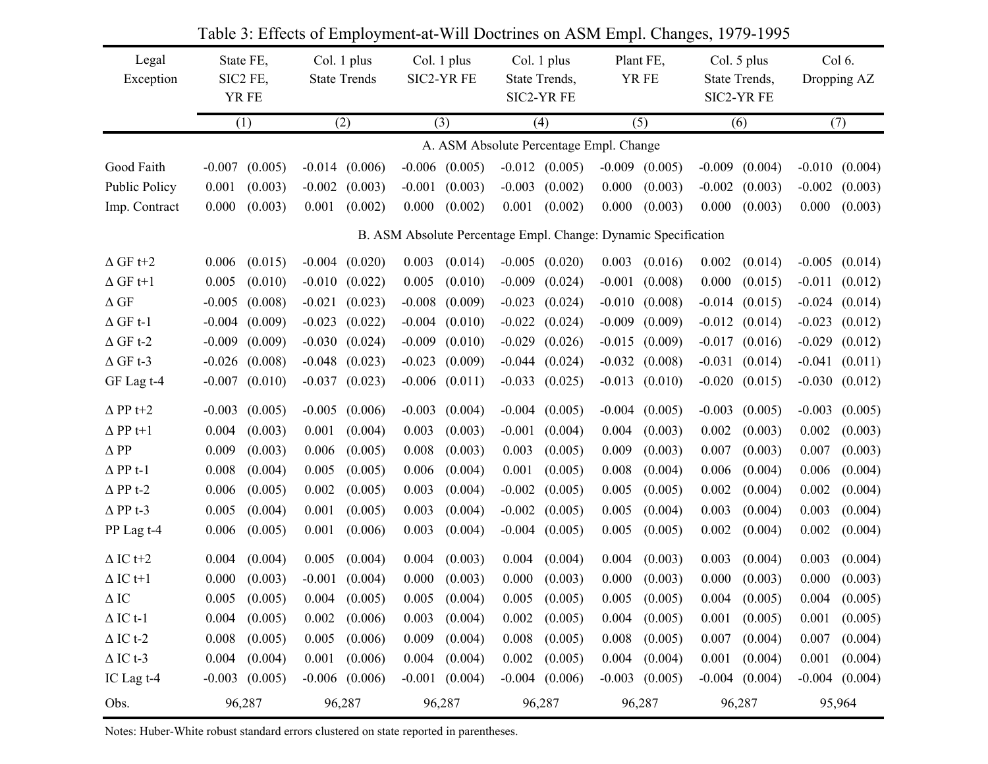| Legal<br>Exception   | State FE,<br>SIC2 FE,<br>YR FE                                 |                    |          | Col. 1 plus<br><b>State Trends</b> | Col. 1 plus<br>SIC2-YR FE |                    | Col. 1 plus<br>State Trends,<br>SIC2-YR FE |                    |          | Plant FE,<br>YR FE |          | Col. 5 plus<br>State Trends,<br>SIC2-YR FE |          | Col 6.<br>Dropping AZ |
|----------------------|----------------------------------------------------------------|--------------------|----------|------------------------------------|---------------------------|--------------------|--------------------------------------------|--------------------|----------|--------------------|----------|--------------------------------------------|----------|-----------------------|
|                      |                                                                | (1)                |          | (2)                                |                           | (3)                |                                            | (4)                |          | (5)                |          | (6)                                        |          | (7)                   |
|                      |                                                                |                    |          |                                    |                           |                    | A. ASM Absolute Percentage Empl. Change    |                    |          |                    |          |                                            |          |                       |
| Good Faith           | $-0.007$                                                       | (0.005)            |          | $-0.014$ $(0.006)$                 |                           | $-0.006$ $(0.005)$ |                                            | $-0.012$ $(0.005)$ | $-0.009$ | (0.005)            | $-0.009$ | (0.004)                                    | $-0.010$ | (0.004)               |
| <b>Public Policy</b> | 0.001                                                          | (0.003)            | $-0.002$ | (0.003)                            | $-0.001$                  | (0.003)            | $-0.003$                                   | (0.002)            | 0.000    | (0.003)            | $-0.002$ | (0.003)                                    | $-0.002$ | (0.003)               |
| Imp. Contract        | 0.000                                                          | (0.003)            | 0.001    | (0.002)                            | 0.000                     | (0.002)            | 0.001                                      | (0.002)            | 0.000    | (0.003)            | 0.000    | (0.003)                                    | 0.000    | (0.003)               |
|                      | B. ASM Absolute Percentage Empl. Change: Dynamic Specification |                    |          |                                    |                           |                    |                                            |                    |          |                    |          |                                            |          |                       |
| $\Delta$ GF t+2      | 0.006                                                          | (0.015)            |          | $-0.004$ $(0.020)$                 | 0.003                     | (0.014)            |                                            | $-0.005$ $(0.020)$ | 0.003    | (0.016)            | 0.002    | (0.014)                                    |          | $-0.005$ $(0.014)$    |
| $\Delta$ GF t+1      | 0.005                                                          | (0.010)            | $-0.010$ | (0.022)                            | 0.005                     | (0.010)            | $-0.009$                                   | (0.024)            | $-0.001$ | (0.008)            | 0.000    | (0.015)                                    | $-0.011$ | (0.012)               |
| $\Delta$ GF          | $-0.005$                                                       | (0.008)            | $-0.021$ | (0.023)                            | $-0.008$                  | (0.009)            | $-0.023$                                   | (0.024)            | $-0.010$ | (0.008)            |          | $-0.014$ $(0.015)$                         | $-0.024$ | (0.014)               |
| $\Delta$ GF t-1      | $-0.004$                                                       | (0.009)            | $-0.023$ | (0.022)                            | $-0.004$                  | (0.010)            | $-0.022$                                   | (0.024)            | $-0.009$ | (0.009)            |          | $-0.012$ $(0.014)$                         | $-0.023$ | (0.012)               |
| $\Delta$ GF t-2      | $-0.009$                                                       | (0.009)            | $-0.030$ | (0.024)                            | $-0.009$                  | (0.010)            | $-0.029$                                   | (0.026)            | $-0.015$ | (0.009)            |          | $-0.017$ $(0.016)$                         | $-0.029$ | (0.012)               |
| $\Delta$ GF t-3      | $-0.026$                                                       | (0.008)            | $-0.048$ | (0.023)                            | $-0.023$                  | (0.009)            | $-0.044$                                   | (0.024)            | $-0.032$ | (0.008)            |          | $-0.031$ $(0.014)$                         | $-0.041$ | (0.011)               |
| GF Lag t-4           | $-0.007$                                                       | (0.010)            | $-0.037$ | (0.023)                            | $-0.006$                  | (0.011)            | $-0.033$                                   | (0.025)            | $-0.013$ | (0.010)            |          | $-0.020$ $(0.015)$                         | $-0.030$ | (0.012)               |
| $\Delta$ PP t+2      | $-0.003$                                                       | (0.005)            | $-0.005$ | (0.006)                            | $-0.003$                  | (0.004)            | $-0.004$                                   | (0.005)            | $-0.004$ | (0.005)            | $-0.003$ | (0.005)                                    | $-0.003$ | (0.005)               |
| $\Delta$ PP t+1      | 0.004                                                          | (0.003)            | 0.001    | (0.004)                            | 0.003                     | (0.003)            | $-0.001$                                   | (0.004)            | 0.004    | (0.003)            | 0.002    | (0.003)                                    | 0.002    | (0.003)               |
| $\Delta$ PP          | 0.009                                                          | (0.003)            | 0.006    | (0.005)                            | 0.008                     | (0.003)            | 0.003                                      | (0.005)            | 0.009    | (0.003)            | 0.007    | (0.003)                                    | 0.007    | (0.003)               |
| $\Delta$ PP t-1      | 0.008                                                          | (0.004)            | 0.005    | (0.005)                            | 0.006                     | (0.004)            | 0.001                                      | (0.005)            | 0.008    | (0.004)            | 0.006    | (0.004)                                    | 0.006    | (0.004)               |
| $\Delta$ PP t-2      | 0.006                                                          | (0.005)            | 0.002    | (0.005)                            | 0.003                     | (0.004)            | $-0.002$                                   | (0.005)            | 0.005    | (0.005)            | 0.002    | (0.004)                                    | 0.002    | (0.004)               |
| $\Delta$ PP t-3      | 0.005                                                          | (0.004)            | 0.001    | (0.005)                            | 0.003                     | (0.004)            | $-0.002$                                   | (0.005)            | 0.005    | (0.004)            | 0.003    | (0.004)                                    | 0.003    | (0.004)               |
| PP Lag t-4           | 0.006                                                          | (0.005)            | 0.001    | (0.006)                            | 0.003                     | (0.004)            | $-0.004$                                   | (0.005)            | 0.005    | (0.005)            | 0.002    | (0.004)                                    | 0.002    | (0.004)               |
| $\Delta$ IC t+2      | 0.004                                                          | (0.004)            | 0.005    | (0.004)                            | 0.004                     | (0.003)            | 0.004                                      | (0.004)            | 0.004    | (0.003)            | 0.003    | (0.004)                                    | 0.003    | (0.004)               |
| $\Delta$ IC t+1      | 0.000                                                          | (0.003)            | $-0.001$ | (0.004)                            | 0.000                     | (0.003)            | 0.000                                      | (0.003)            | 0.000    | (0.003)            | 0.000    | (0.003)                                    | 0.000    | (0.003)               |
| $\Delta$ IC          |                                                                | $0.005$ $(0.005)$  |          | $0.004$ $(0.005)$                  |                           | $0.005$ $(0.004)$  |                                            | $0.005$ $(0.005)$  |          | $0.005$ $(0.005)$  |          | $0.004$ $(0.005)$                          | 0.004    | (0.005)               |
| $\Delta$ IC t-1      | 0.004                                                          | (0.005)            | 0.002    | (0.006)                            | 0.003                     | (0.004)            | 0.002                                      | (0.005)            | 0.004    | (0.005)            | 0.001    | (0.005)                                    | 0.001    | (0.005)               |
| $\Delta$ IC t-2      | 0.008                                                          | (0.005)            | 0.005    | (0.006)                            | 0.009                     | (0.004)            | 0.008                                      | (0.005)            | 0.008    | (0.005)            | 0.007    | (0.004)                                    | 0.007    | (0.004)               |
| $\Delta$ IC t-3      | 0.004                                                          | (0.004)            | 0.001    | (0.006)                            | 0.004                     | (0.004)            | 0.002                                      | (0.005)            | 0.004    | (0.004)            | 0.001    | (0.004)                                    | 0.001    | (0.004)               |
| IC Lag t-4           |                                                                | $-0.003$ $(0.005)$ |          | $-0.006$ $(0.006)$                 |                           | $-0.001$ $(0.004)$ |                                            | $-0.004$ $(0.006)$ |          | $-0.003$ $(0.005)$ |          | $-0.004$ $(0.004)$                         |          | $-0.004$ $(0.004)$    |
| Obs.                 |                                                                | 96,287             |          | 96,287                             |                           | 96,287             |                                            | 96,287             |          | 96,287             |          | 96,287                                     |          | 95,964                |

Table 3: Effects of Employment-at-Will Doctrines on ASM Empl. Changes, 1979-1995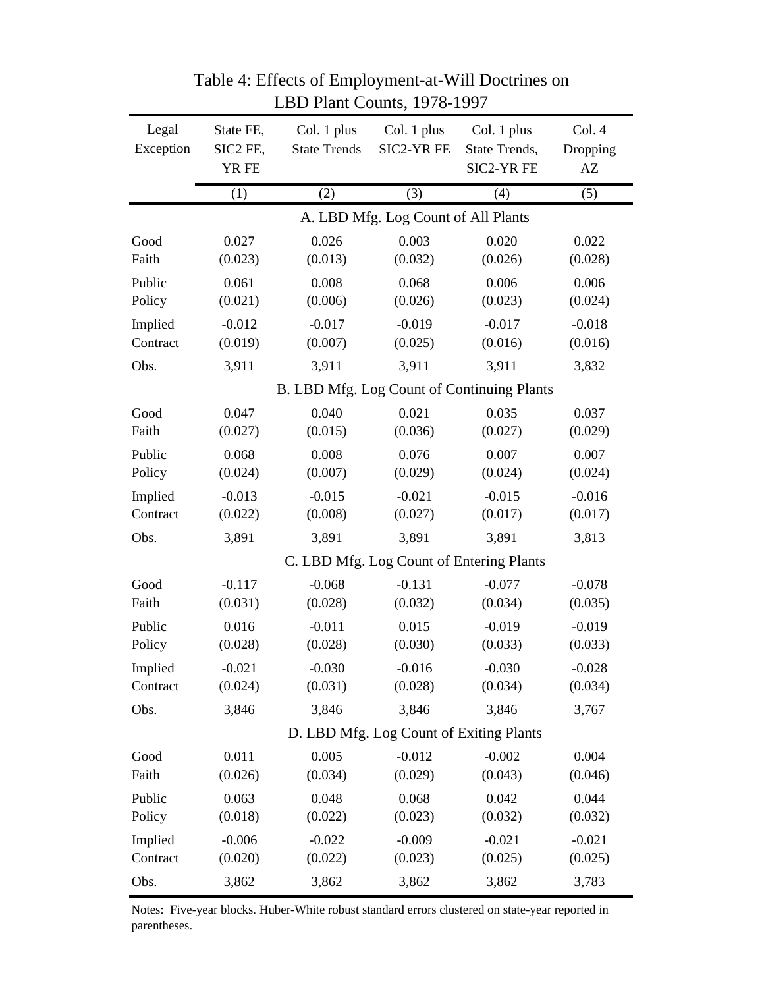|                     |                                |                                    | $22$ T Rant Counts, 1970 1997            |                                            |                                              |
|---------------------|--------------------------------|------------------------------------|------------------------------------------|--------------------------------------------|----------------------------------------------|
| Legal<br>Exception  | State FE,<br>SIC2 FE,<br>YR FE | Col. 1 plus<br><b>State Trends</b> | Col. 1 plus<br>SIC2-YR FE                | Col. 1 plus<br>State Trends,<br>SIC2-YR FE | Col. 4<br>Dropping<br>$\mathbf{A}\mathbf{Z}$ |
|                     | (1)                            | (2)                                | (3)                                      | (4)                                        | (5)                                          |
|                     |                                |                                    | A. LBD Mfg. Log Count of All Plants      |                                            |                                              |
| Good                | 0.027                          | 0.026                              | 0.003                                    | 0.020                                      | 0.022                                        |
| Faith               | (0.023)                        | (0.013)                            | (0.032)                                  | (0.026)                                    | (0.028)                                      |
| Public              | 0.061                          | 0.008                              | 0.068                                    | 0.006                                      | 0.006                                        |
| Policy              | (0.021)                        | (0.006)                            | (0.026)                                  | (0.023)                                    | (0.024)                                      |
| Implied             | $-0.012$                       | $-0.017$                           | $-0.019$                                 | $-0.017$                                   | $-0.018$                                     |
| Contract            | (0.019)                        | (0.007)                            | (0.025)                                  | (0.016)                                    | (0.016)                                      |
| Obs.                | 3,911                          | 3,911                              | 3,911                                    | 3,911                                      | 3,832                                        |
|                     |                                |                                    |                                          | B. LBD Mfg. Log Count of Continuing Plants |                                              |
| Good                | 0.047                          | 0.040                              | 0.021                                    | 0.035                                      | 0.037                                        |
| Faith               | (0.027)                        | (0.015)                            | (0.036)                                  | (0.027)                                    | (0.029)                                      |
| Public              | 0.068                          | 0.008                              | 0.076                                    | 0.007                                      | 0.007                                        |
| Policy              | (0.024)                        | (0.007)                            | (0.029)                                  | (0.024)                                    | (0.024)                                      |
| Implied             | $-0.013$                       | $-0.015$                           | $-0.021$                                 | $-0.015$                                   | $-0.016$                                     |
| Contract            | (0.022)                        | (0.008)                            | (0.027)                                  | (0.017)                                    | (0.017)                                      |
| Obs.                | 3,891                          | 3,891                              | 3,891                                    | 3,891                                      | 3,813                                        |
|                     |                                |                                    | C. LBD Mfg. Log Count of Entering Plants |                                            |                                              |
| Good                | $-0.117$                       | $-0.068$                           | $-0.131$                                 | $-0.077$                                   | $-0.078$                                     |
| Faith               | (0.031)                        | (0.028)                            | (0.032)                                  | (0.034)                                    | (0.035)                                      |
| Public              | 0.016                          | $-0.011$                           | 0.015                                    | $-0.019$                                   | $-0.019$                                     |
| Policy              | (0.028)                        | (0.028)                            | (0.030)                                  | (0.033)                                    | (0.033)                                      |
| Implied             | $-0.021$                       | $-0.030$                           | $-0.016$                                 | $-0.030$                                   | $-0.028$                                     |
| Contract            | (0.024)                        | (0.031)                            | (0.028)                                  | (0.034)                                    | (0.034)                                      |
| Obs.                | 3,846                          | 3,846                              | 3,846                                    | 3,846                                      | 3,767                                        |
|                     |                                |                                    | D. LBD Mfg. Log Count of Exiting Plants  |                                            |                                              |
| Good                | 0.011                          | 0.005                              | $-0.012$                                 | $-0.002$                                   | 0.004                                        |
| Faith               | (0.026)                        | (0.034)                            | (0.029)                                  | (0.043)                                    | (0.046)                                      |
| Public              | 0.063                          | 0.048                              | 0.068                                    | 0.042                                      | 0.044                                        |
| Policy              | (0.018)                        | (0.022)                            | (0.023)                                  | (0.032)                                    | (0.032)                                      |
| Implied<br>Contract | $-0.006$                       | $-0.022$                           | $-0.009$                                 | $-0.021$<br>(0.025)                        | $-0.021$                                     |
|                     | (0.020)                        | (0.022)                            | (0.023)                                  |                                            | (0.025)                                      |
| Obs.                | 3,862                          | 3,862                              | 3,862                                    | 3,862                                      | 3,783                                        |

Table 4: Effects of Employment-at-Will Doctrines on LBD Plant Counts, 1978-1997

Notes: Five-year blocks. Huber-White robust standard errors clustered on state-year reported in parentheses.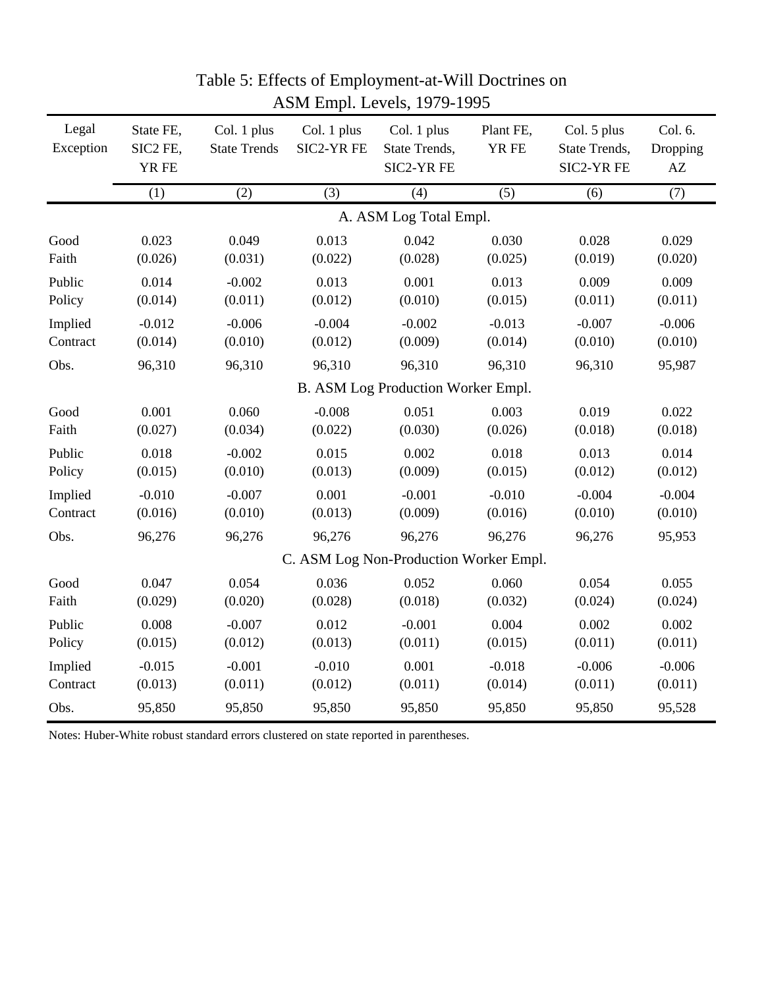| Legal<br>Exception | State FE,<br>SIC2 FE,<br>YR FE     | Col. 1 plus<br>Col. 1 plus<br><b>State Trends</b><br>SIC2-YR FE |          | Col. 1 plus<br>State Trends,<br>SIC2-YR FE | Plant FE,<br>YR FE | Col. 5 plus<br>State Trends,<br>SIC2-YR FE | Col. 6.<br>Dropping<br>$\mathbf{A}\mathbf{Z}$ |  |  |  |  |
|--------------------|------------------------------------|-----------------------------------------------------------------|----------|--------------------------------------------|--------------------|--------------------------------------------|-----------------------------------------------|--|--|--|--|
|                    | (1)                                | (2)                                                             | (3)      | (4)                                        | (5)                | (6)                                        | (7)                                           |  |  |  |  |
|                    | A. ASM Log Total Empl.             |                                                                 |          |                                            |                    |                                            |                                               |  |  |  |  |
| Good               | 0.023                              | 0.049                                                           | 0.013    | 0.042                                      | 0.030              | 0.028                                      | 0.029                                         |  |  |  |  |
| Faith              | (0.026)                            | (0.031)                                                         | (0.022)  | (0.028)                                    | (0.025)            | (0.019)                                    | (0.020)                                       |  |  |  |  |
| Public             | 0.014                              | $-0.002$                                                        | 0.013    | 0.001                                      | 0.013              | 0.009                                      | 0.009                                         |  |  |  |  |
| Policy             | (0.014)                            | (0.011)                                                         | (0.012)  | (0.010)                                    | (0.015)            | (0.011)                                    | (0.011)                                       |  |  |  |  |
| Implied            | $-0.012$                           | $-0.006$                                                        | $-0.004$ | $-0.002$                                   | $-0.013$           | $-0.007$                                   | $-0.006$                                      |  |  |  |  |
| Contract           | (0.014)                            | (0.010)                                                         | (0.012)  | (0.009)                                    | (0.014)            | (0.010)                                    | (0.010)                                       |  |  |  |  |
| Obs.               | 96,310                             | 96,310                                                          | 96,310   | 96,310                                     | 96,310             | 96,310                                     | 95,987                                        |  |  |  |  |
|                    | B. ASM Log Production Worker Empl. |                                                                 |          |                                            |                    |                                            |                                               |  |  |  |  |
| Good               | 0.001                              | 0.060                                                           | $-0.008$ | 0.051                                      | 0.003              | 0.019                                      | 0.022                                         |  |  |  |  |
| Faith              | (0.027)                            | (0.034)                                                         | (0.022)  | (0.030)                                    | (0.026)            | (0.018)                                    | (0.018)                                       |  |  |  |  |
| Public             | 0.018                              | $-0.002$                                                        | 0.015    | 0.002                                      | 0.018              | 0.013                                      | 0.014                                         |  |  |  |  |
| Policy             | (0.015)                            | (0.010)                                                         | (0.013)  | (0.009)                                    | (0.015)            | (0.012)                                    | (0.012)                                       |  |  |  |  |
| Implied            | $-0.010$                           | $-0.007$                                                        | 0.001    | $-0.001$                                   | $-0.010$           | $-0.004$                                   | $-0.004$                                      |  |  |  |  |
| Contract           | (0.016)                            | (0.010)                                                         | (0.013)  | (0.009)                                    | (0.016)            | (0.010)                                    | (0.010)                                       |  |  |  |  |
| Obs.               | 96,276                             | 96,276                                                          | 96,276   | 96,276                                     | 96,276             | 96,276                                     | 95,953                                        |  |  |  |  |
|                    |                                    |                                                                 |          | C. ASM Log Non-Production Worker Empl.     |                    |                                            |                                               |  |  |  |  |
| Good               | 0.047                              | 0.054                                                           | 0.036    | 0.052                                      | 0.060              | 0.054                                      | 0.055                                         |  |  |  |  |
| Faith              | (0.029)                            | (0.020)                                                         | (0.028)  | (0.018)                                    | (0.032)            | (0.024)                                    | (0.024)                                       |  |  |  |  |
| Public             | 0.008                              | $-0.007$                                                        | 0.012    | $-0.001$                                   | 0.004              | 0.002                                      | 0.002                                         |  |  |  |  |
| Policy             | (0.015)                            | (0.012)                                                         | (0.013)  | (0.011)                                    | (0.015)            | (0.011)                                    | (0.011)                                       |  |  |  |  |
| Implied            | $-0.015$                           | $-0.001$                                                        | $-0.010$ | 0.001                                      | $-0.018$           | $-0.006$                                   | $-0.006$                                      |  |  |  |  |
| Contract           | (0.013)                            | (0.011)                                                         | (0.012)  | (0.011)                                    | (0.014)            | (0.011)                                    | (0.011)                                       |  |  |  |  |
| Obs.               | 95,850                             | 95,850                                                          | 95,850   | 95,850                                     | 95,850             | 95,850                                     | 95,528                                        |  |  |  |  |

## Table 5: Effects of Employment-at-Will Doctrines on ASM Empl. Levels, 1979-1995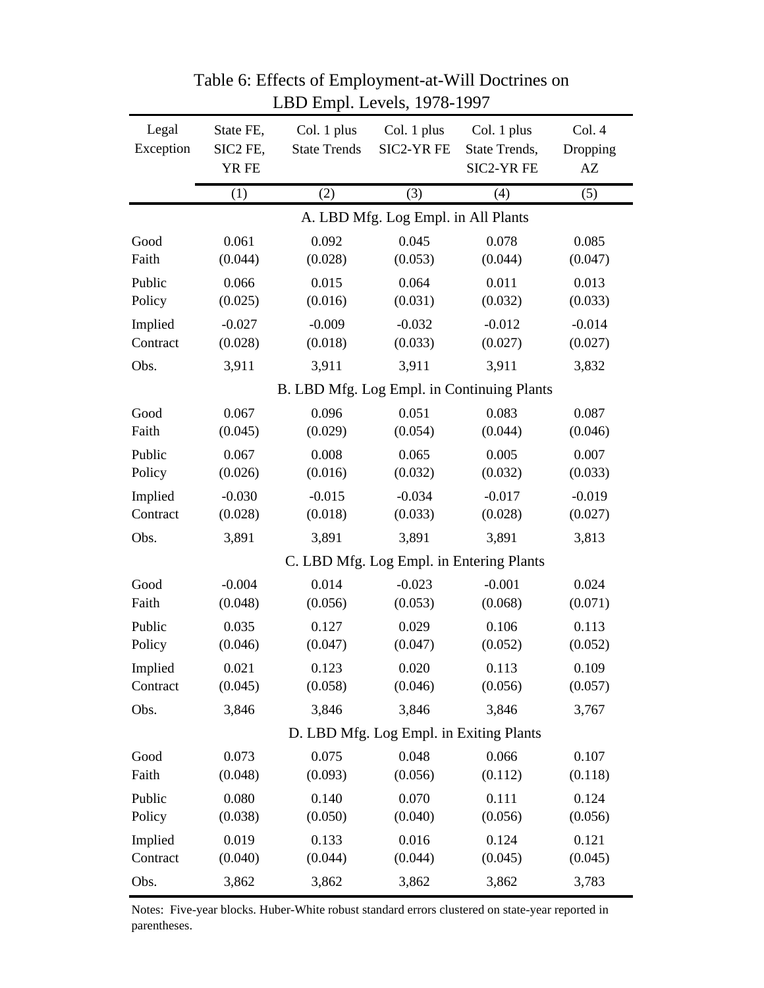| Legal<br>Col. 1 plus<br>Col. 1 plus<br>Col. 4<br>State FE,<br>Col. 1 plus<br>Exception<br>SIC2-YR FE<br>SIC2 FE,<br><b>State Trends</b><br>State Trends,<br>Dropping<br>YR FE<br>SIC2-YR FE<br>$\mathbf{A}\mathbf{Z}$<br>(1)<br>(5)<br>(2)<br>(3)<br>(4)<br>A. LBD Mfg. Log Empl. in All Plants<br>0.061<br>0.092<br>0.045<br>0.078<br>0.085<br>Good<br>Faith<br>(0.044)<br>(0.028)<br>(0.053)<br>(0.044)<br>(0.047)<br>0.066<br>0.015<br>0.064<br>0.011<br>0.013<br>Public<br>Policy<br>(0.025)<br>(0.016)<br>(0.031)<br>(0.032)<br>(0.033)<br>$-0.014$<br>Implied<br>$-0.027$<br>$-0.009$<br>$-0.032$<br>$-0.012$<br>Contract<br>(0.028)<br>(0.018)<br>(0.033)<br>(0.027)<br>(0.027)<br>Obs.<br>3,911<br>3,911<br>3,911<br>3,911<br>3,832<br>B. LBD Mfg. Log Empl. in Continuing Plants<br>0.096<br>0.051<br>0.083<br>0.067<br>0.087<br>Good<br>(0.044)<br>Faith<br>(0.045)<br>(0.029)<br>(0.054)<br>(0.046)<br>0.067<br>0.008<br>0.005<br>0.007<br>Public<br>0.065<br>Policy<br>(0.026)<br>(0.016)<br>(0.032)<br>(0.032)<br>(0.033)<br>Implied<br>$-0.030$<br>$-0.015$<br>$-0.034$<br>$-0.017$<br>$-0.019$<br>Contract<br>(0.027)<br>(0.028)<br>(0.018)<br>(0.033)<br>(0.028)<br>Obs.<br>3,891<br>3,891<br>3,891<br>3,891<br>3,813<br>C. LBD Mfg. Log Empl. in Entering Plants<br>0.014<br>$-0.001$<br>$-0.004$<br>$-0.023$<br>0.024<br>Good<br>Faith<br>(0.068)<br>(0.048)<br>(0.056)<br>(0.053)<br>(0.071)<br>Public<br>0.035<br>0.127<br>0.029<br>0.106<br>0.113<br>Policy<br>(0.046)<br>(0.047)<br>(0.047)<br>(0.052)<br>(0.052)<br>0.021<br>0.123<br>0.020<br>0.113<br>0.109<br>Implied<br>(0.045)<br>(0.057)<br>Contract<br>(0.058)<br>(0.046)<br>(0.056)<br>3,767<br>Obs.<br>3,846<br>3,846<br>3,846<br>3,846<br>D. LBD Mfg. Log Empl. in Exiting Plants<br>0.073<br>0.075<br>0.048<br>0.066<br>0.107<br>Good<br>Faith<br>(0.093)<br>(0.056)<br>(0.112)<br>(0.048)<br>(0.118)<br>Public<br>0.080<br>0.140<br>0.070<br>0.111<br>0.124<br>Policy<br>(0.038)<br>(0.050)<br>(0.040)<br>(0.056)<br>(0.056)<br>Implied<br>0.019<br>0.133<br>0.016<br>0.124<br>0.121<br>Contract<br>(0.040)<br>(0.044)<br>(0.044)<br>(0.045)<br>(0.045) |      |       | <b>EDD</b> Empire Crois, 1970 199 |       |       |       |
|--------------------------------------------------------------------------------------------------------------------------------------------------------------------------------------------------------------------------------------------------------------------------------------------------------------------------------------------------------------------------------------------------------------------------------------------------------------------------------------------------------------------------------------------------------------------------------------------------------------------------------------------------------------------------------------------------------------------------------------------------------------------------------------------------------------------------------------------------------------------------------------------------------------------------------------------------------------------------------------------------------------------------------------------------------------------------------------------------------------------------------------------------------------------------------------------------------------------------------------------------------------------------------------------------------------------------------------------------------------------------------------------------------------------------------------------------------------------------------------------------------------------------------------------------------------------------------------------------------------------------------------------------------------------------------------------------------------------------------------------------------------------------------------------------------------------------------------------------------------------------------------------------------------------------------------------------------------------------------------------------------------------------------------------------------------------------------------------------------------------------------------------|------|-------|-----------------------------------|-------|-------|-------|
|                                                                                                                                                                                                                                                                                                                                                                                                                                                                                                                                                                                                                                                                                                                                                                                                                                                                                                                                                                                                                                                                                                                                                                                                                                                                                                                                                                                                                                                                                                                                                                                                                                                                                                                                                                                                                                                                                                                                                                                                                                                                                                                                            |      |       |                                   |       |       |       |
|                                                                                                                                                                                                                                                                                                                                                                                                                                                                                                                                                                                                                                                                                                                                                                                                                                                                                                                                                                                                                                                                                                                                                                                                                                                                                                                                                                                                                                                                                                                                                                                                                                                                                                                                                                                                                                                                                                                                                                                                                                                                                                                                            |      |       |                                   |       |       |       |
|                                                                                                                                                                                                                                                                                                                                                                                                                                                                                                                                                                                                                                                                                                                                                                                                                                                                                                                                                                                                                                                                                                                                                                                                                                                                                                                                                                                                                                                                                                                                                                                                                                                                                                                                                                                                                                                                                                                                                                                                                                                                                                                                            |      |       |                                   |       |       |       |
|                                                                                                                                                                                                                                                                                                                                                                                                                                                                                                                                                                                                                                                                                                                                                                                                                                                                                                                                                                                                                                                                                                                                                                                                                                                                                                                                                                                                                                                                                                                                                                                                                                                                                                                                                                                                                                                                                                                                                                                                                                                                                                                                            |      |       |                                   |       |       |       |
|                                                                                                                                                                                                                                                                                                                                                                                                                                                                                                                                                                                                                                                                                                                                                                                                                                                                                                                                                                                                                                                                                                                                                                                                                                                                                                                                                                                                                                                                                                                                                                                                                                                                                                                                                                                                                                                                                                                                                                                                                                                                                                                                            |      |       |                                   |       |       |       |
|                                                                                                                                                                                                                                                                                                                                                                                                                                                                                                                                                                                                                                                                                                                                                                                                                                                                                                                                                                                                                                                                                                                                                                                                                                                                                                                                                                                                                                                                                                                                                                                                                                                                                                                                                                                                                                                                                                                                                                                                                                                                                                                                            |      |       |                                   |       |       |       |
|                                                                                                                                                                                                                                                                                                                                                                                                                                                                                                                                                                                                                                                                                                                                                                                                                                                                                                                                                                                                                                                                                                                                                                                                                                                                                                                                                                                                                                                                                                                                                                                                                                                                                                                                                                                                                                                                                                                                                                                                                                                                                                                                            |      |       |                                   |       |       |       |
|                                                                                                                                                                                                                                                                                                                                                                                                                                                                                                                                                                                                                                                                                                                                                                                                                                                                                                                                                                                                                                                                                                                                                                                                                                                                                                                                                                                                                                                                                                                                                                                                                                                                                                                                                                                                                                                                                                                                                                                                                                                                                                                                            |      |       |                                   |       |       |       |
|                                                                                                                                                                                                                                                                                                                                                                                                                                                                                                                                                                                                                                                                                                                                                                                                                                                                                                                                                                                                                                                                                                                                                                                                                                                                                                                                                                                                                                                                                                                                                                                                                                                                                                                                                                                                                                                                                                                                                                                                                                                                                                                                            |      |       |                                   |       |       |       |
|                                                                                                                                                                                                                                                                                                                                                                                                                                                                                                                                                                                                                                                                                                                                                                                                                                                                                                                                                                                                                                                                                                                                                                                                                                                                                                                                                                                                                                                                                                                                                                                                                                                                                                                                                                                                                                                                                                                                                                                                                                                                                                                                            |      |       |                                   |       |       |       |
|                                                                                                                                                                                                                                                                                                                                                                                                                                                                                                                                                                                                                                                                                                                                                                                                                                                                                                                                                                                                                                                                                                                                                                                                                                                                                                                                                                                                                                                                                                                                                                                                                                                                                                                                                                                                                                                                                                                                                                                                                                                                                                                                            |      |       |                                   |       |       |       |
|                                                                                                                                                                                                                                                                                                                                                                                                                                                                                                                                                                                                                                                                                                                                                                                                                                                                                                                                                                                                                                                                                                                                                                                                                                                                                                                                                                                                                                                                                                                                                                                                                                                                                                                                                                                                                                                                                                                                                                                                                                                                                                                                            |      |       |                                   |       |       |       |
|                                                                                                                                                                                                                                                                                                                                                                                                                                                                                                                                                                                                                                                                                                                                                                                                                                                                                                                                                                                                                                                                                                                                                                                                                                                                                                                                                                                                                                                                                                                                                                                                                                                                                                                                                                                                                                                                                                                                                                                                                                                                                                                                            |      |       |                                   |       |       |       |
|                                                                                                                                                                                                                                                                                                                                                                                                                                                                                                                                                                                                                                                                                                                                                                                                                                                                                                                                                                                                                                                                                                                                                                                                                                                                                                                                                                                                                                                                                                                                                                                                                                                                                                                                                                                                                                                                                                                                                                                                                                                                                                                                            |      |       |                                   |       |       |       |
|                                                                                                                                                                                                                                                                                                                                                                                                                                                                                                                                                                                                                                                                                                                                                                                                                                                                                                                                                                                                                                                                                                                                                                                                                                                                                                                                                                                                                                                                                                                                                                                                                                                                                                                                                                                                                                                                                                                                                                                                                                                                                                                                            |      |       |                                   |       |       |       |
|                                                                                                                                                                                                                                                                                                                                                                                                                                                                                                                                                                                                                                                                                                                                                                                                                                                                                                                                                                                                                                                                                                                                                                                                                                                                                                                                                                                                                                                                                                                                                                                                                                                                                                                                                                                                                                                                                                                                                                                                                                                                                                                                            |      |       |                                   |       |       |       |
|                                                                                                                                                                                                                                                                                                                                                                                                                                                                                                                                                                                                                                                                                                                                                                                                                                                                                                                                                                                                                                                                                                                                                                                                                                                                                                                                                                                                                                                                                                                                                                                                                                                                                                                                                                                                                                                                                                                                                                                                                                                                                                                                            |      |       |                                   |       |       |       |
|                                                                                                                                                                                                                                                                                                                                                                                                                                                                                                                                                                                                                                                                                                                                                                                                                                                                                                                                                                                                                                                                                                                                                                                                                                                                                                                                                                                                                                                                                                                                                                                                                                                                                                                                                                                                                                                                                                                                                                                                                                                                                                                                            |      |       |                                   |       |       |       |
|                                                                                                                                                                                                                                                                                                                                                                                                                                                                                                                                                                                                                                                                                                                                                                                                                                                                                                                                                                                                                                                                                                                                                                                                                                                                                                                                                                                                                                                                                                                                                                                                                                                                                                                                                                                                                                                                                                                                                                                                                                                                                                                                            |      |       |                                   |       |       |       |
|                                                                                                                                                                                                                                                                                                                                                                                                                                                                                                                                                                                                                                                                                                                                                                                                                                                                                                                                                                                                                                                                                                                                                                                                                                                                                                                                                                                                                                                                                                                                                                                                                                                                                                                                                                                                                                                                                                                                                                                                                                                                                                                                            |      |       |                                   |       |       |       |
|                                                                                                                                                                                                                                                                                                                                                                                                                                                                                                                                                                                                                                                                                                                                                                                                                                                                                                                                                                                                                                                                                                                                                                                                                                                                                                                                                                                                                                                                                                                                                                                                                                                                                                                                                                                                                                                                                                                                                                                                                                                                                                                                            |      |       |                                   |       |       |       |
|                                                                                                                                                                                                                                                                                                                                                                                                                                                                                                                                                                                                                                                                                                                                                                                                                                                                                                                                                                                                                                                                                                                                                                                                                                                                                                                                                                                                                                                                                                                                                                                                                                                                                                                                                                                                                                                                                                                                                                                                                                                                                                                                            |      |       |                                   |       |       |       |
|                                                                                                                                                                                                                                                                                                                                                                                                                                                                                                                                                                                                                                                                                                                                                                                                                                                                                                                                                                                                                                                                                                                                                                                                                                                                                                                                                                                                                                                                                                                                                                                                                                                                                                                                                                                                                                                                                                                                                                                                                                                                                                                                            |      |       |                                   |       |       |       |
|                                                                                                                                                                                                                                                                                                                                                                                                                                                                                                                                                                                                                                                                                                                                                                                                                                                                                                                                                                                                                                                                                                                                                                                                                                                                                                                                                                                                                                                                                                                                                                                                                                                                                                                                                                                                                                                                                                                                                                                                                                                                                                                                            |      |       |                                   |       |       |       |
|                                                                                                                                                                                                                                                                                                                                                                                                                                                                                                                                                                                                                                                                                                                                                                                                                                                                                                                                                                                                                                                                                                                                                                                                                                                                                                                                                                                                                                                                                                                                                                                                                                                                                                                                                                                                                                                                                                                                                                                                                                                                                                                                            |      |       |                                   |       |       |       |
|                                                                                                                                                                                                                                                                                                                                                                                                                                                                                                                                                                                                                                                                                                                                                                                                                                                                                                                                                                                                                                                                                                                                                                                                                                                                                                                                                                                                                                                                                                                                                                                                                                                                                                                                                                                                                                                                                                                                                                                                                                                                                                                                            |      |       |                                   |       |       |       |
|                                                                                                                                                                                                                                                                                                                                                                                                                                                                                                                                                                                                                                                                                                                                                                                                                                                                                                                                                                                                                                                                                                                                                                                                                                                                                                                                                                                                                                                                                                                                                                                                                                                                                                                                                                                                                                                                                                                                                                                                                                                                                                                                            |      |       |                                   |       |       |       |
|                                                                                                                                                                                                                                                                                                                                                                                                                                                                                                                                                                                                                                                                                                                                                                                                                                                                                                                                                                                                                                                                                                                                                                                                                                                                                                                                                                                                                                                                                                                                                                                                                                                                                                                                                                                                                                                                                                                                                                                                                                                                                                                                            |      |       |                                   |       |       |       |
|                                                                                                                                                                                                                                                                                                                                                                                                                                                                                                                                                                                                                                                                                                                                                                                                                                                                                                                                                                                                                                                                                                                                                                                                                                                                                                                                                                                                                                                                                                                                                                                                                                                                                                                                                                                                                                                                                                                                                                                                                                                                                                                                            |      |       |                                   |       |       |       |
|                                                                                                                                                                                                                                                                                                                                                                                                                                                                                                                                                                                                                                                                                                                                                                                                                                                                                                                                                                                                                                                                                                                                                                                                                                                                                                                                                                                                                                                                                                                                                                                                                                                                                                                                                                                                                                                                                                                                                                                                                                                                                                                                            |      |       |                                   |       |       |       |
|                                                                                                                                                                                                                                                                                                                                                                                                                                                                                                                                                                                                                                                                                                                                                                                                                                                                                                                                                                                                                                                                                                                                                                                                                                                                                                                                                                                                                                                                                                                                                                                                                                                                                                                                                                                                                                                                                                                                                                                                                                                                                                                                            |      |       |                                   |       |       |       |
|                                                                                                                                                                                                                                                                                                                                                                                                                                                                                                                                                                                                                                                                                                                                                                                                                                                                                                                                                                                                                                                                                                                                                                                                                                                                                                                                                                                                                                                                                                                                                                                                                                                                                                                                                                                                                                                                                                                                                                                                                                                                                                                                            |      |       |                                   |       |       |       |
|                                                                                                                                                                                                                                                                                                                                                                                                                                                                                                                                                                                                                                                                                                                                                                                                                                                                                                                                                                                                                                                                                                                                                                                                                                                                                                                                                                                                                                                                                                                                                                                                                                                                                                                                                                                                                                                                                                                                                                                                                                                                                                                                            | Obs. | 3,862 | 3,862                             | 3,862 | 3,862 | 3,783 |

Table 6: Effects of Employment-at-Will Doctrines on LBD Empl. Levels, 1978-1997

Notes: Five-year blocks. Huber-White robust standard errors clustered on state-year reported in parentheses.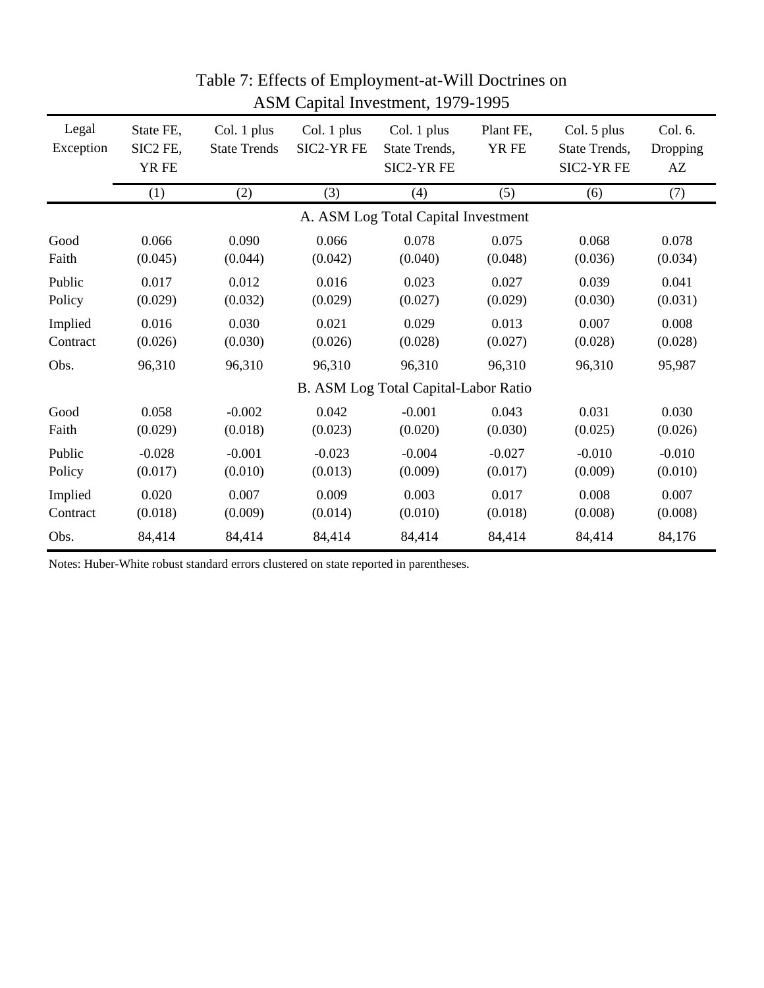| Legal<br>Exception | State FE,<br>SIC2 FE,<br>YR FE | Col. 1 plus<br>Col. 1 plus<br>SIC2-YR FE<br><b>State Trends</b> |          | Col. 1 plus<br>State Trends,<br>SIC2-YR FE | Plant FE,<br>YR FE |          | Col. 6.<br>Dropping<br>AZ |
|--------------------|--------------------------------|-----------------------------------------------------------------|----------|--------------------------------------------|--------------------|----------|---------------------------|
|                    | (1)                            | (2)                                                             | (3)      | (4)                                        | (5)                | (6)      | (7)                       |
|                    |                                |                                                                 |          | A. ASM Log Total Capital Investment        |                    |          |                           |
| Good               | 0.066                          | 0.090                                                           | 0.066    | 0.078                                      | 0.075              | 0.068    | 0.078                     |
| Faith              | (0.045)                        | (0.044)                                                         | (0.042)  | (0.040)                                    | (0.048)            | (0.036)  | (0.034)                   |
| Public             | 0.017                          | 0.012                                                           | 0.016    | 0.023                                      | 0.027              | 0.039    | 0.041                     |
| Policy             | (0.029)                        | (0.032)                                                         | (0.029)  | (0.027)                                    | (0.029)            | (0.030)  | (0.031)                   |
| Implied            | 0.016                          | 0.030                                                           | 0.021    | 0.029                                      | 0.013              | 0.007    | 0.008                     |
| Contract           | (0.026)                        | (0.030)                                                         | (0.026)  | (0.028)                                    | (0.027)            | (0.028)  | (0.028)                   |
| Obs.               | 96,310                         | 96,310                                                          | 96,310   | 96,310                                     | 96,310             | 96,310   | 95,987                    |
|                    |                                |                                                                 |          | B. ASM Log Total Capital-Labor Ratio       |                    |          |                           |
| Good               | 0.058                          | $-0.002$                                                        | 0.042    | $-0.001$                                   | 0.043              | 0.031    | 0.030                     |
| Faith              | (0.029)                        | (0.018)                                                         | (0.023)  | (0.020)                                    | (0.030)            | (0.025)  | (0.026)                   |
| Public             | $-0.028$                       | $-0.001$                                                        | $-0.023$ | $-0.004$                                   | $-0.027$           | $-0.010$ | $-0.010$                  |
| Policy             | (0.017)                        | (0.010)                                                         | (0.013)  | (0.009)                                    | (0.017)            | (0.009)  | (0.010)                   |
| Implied            | 0.020                          | 0.007                                                           | 0.009    | 0.003                                      | 0.017              | 0.008    | 0.007                     |
| Contract           | (0.018)                        | (0.009)                                                         | (0.014)  | (0.010)                                    | (0.018)            | (0.008)  | (0.008)                   |
| Obs.               | 84,414                         | 84,414                                                          | 84,414   | 84,414                                     | 84,414             | 84,414   | 84,176                    |

## Table 7: Effects of Employment-at-Will Doctrines on ASM Capital Investment, 1979-1995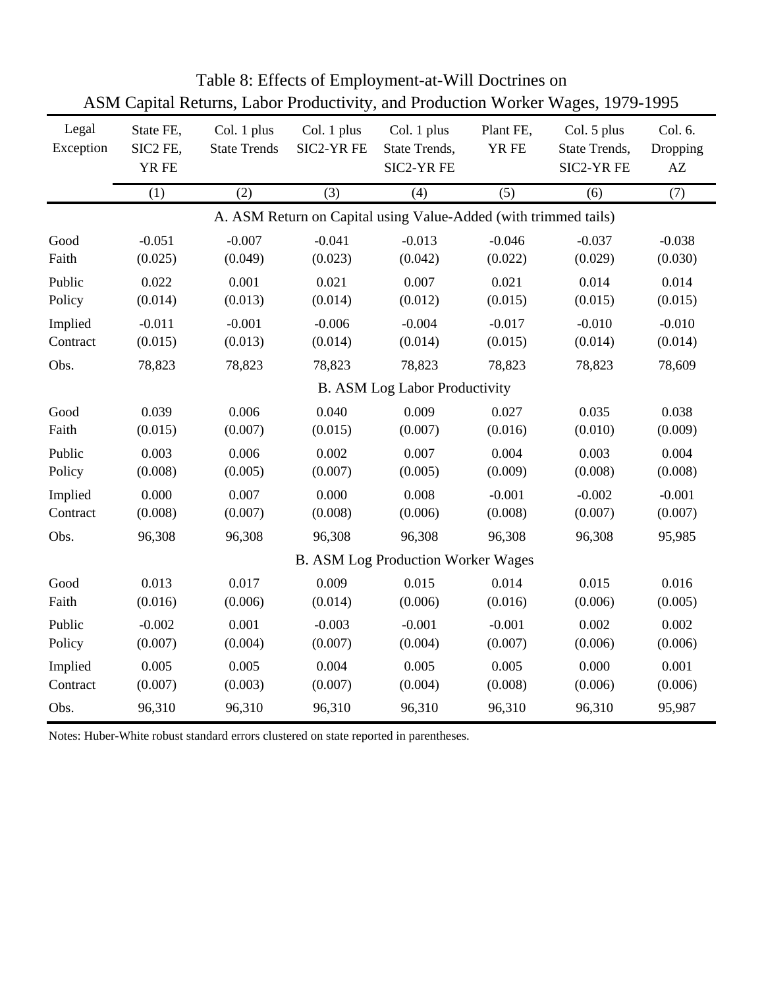| Legal<br>Exception | State FE,<br>SIC2 FE,<br>YR FE | Col. 1 plus<br>Col. 1 plus<br><b>State Trends</b><br>SIC2-YR FE |          | Col. 1 plus<br>State Trends,<br>SIC2-YR FE                      | Plant FE,<br>YR FE | Col. 5 plus<br>State Trends,<br>SIC2-YR FE | Col. 6.<br>Dropping<br>AZ |
|--------------------|--------------------------------|-----------------------------------------------------------------|----------|-----------------------------------------------------------------|--------------------|--------------------------------------------|---------------------------|
|                    | (1)                            | (2)                                                             | (3)      | (4)                                                             | (5)                | (6)                                        | (7)                       |
|                    |                                |                                                                 |          | A. ASM Return on Capital using Value-Added (with trimmed tails) |                    |                                            |                           |
| Good               | $-0.051$                       | $-0.007$                                                        | $-0.041$ | $-0.013$                                                        | $-0.046$           | $-0.037$                                   | $-0.038$                  |
| Faith              | (0.025)                        | (0.049)                                                         | (0.023)  | (0.042)                                                         | (0.022)            | (0.029)                                    | (0.030)                   |
| Public             | 0.022                          | 0.001                                                           | 0.021    | 0.007                                                           | 0.021              | 0.014                                      | 0.014                     |
| Policy             | (0.014)                        | (0.013)                                                         | (0.014)  | (0.012)                                                         | (0.015)            | (0.015)                                    | (0.015)                   |
| Implied            | $-0.011$                       | $-0.001$                                                        | $-0.006$ | $-0.004$                                                        | $-0.017$           | $-0.010$                                   | $-0.010$                  |
| Contract           | (0.015)                        | (0.013)                                                         | (0.014)  | (0.014)                                                         | (0.015)            | (0.014)                                    | (0.014)                   |
| Obs.               | 78,823                         | 78,823                                                          | 78,823   | 78,823<br>B. ASM Log Labor Productivity                         | 78,823             | 78,823                                     | 78,609                    |
|                    |                                |                                                                 |          |                                                                 |                    |                                            |                           |
| Good               | 0.039                          | 0.006                                                           | 0.040    | 0.009                                                           | 0.027              | 0.035                                      | 0.038                     |
| Faith              | (0.015)                        | (0.007)                                                         | (0.015)  | (0.007)                                                         | (0.016)            | (0.010)                                    | (0.009)                   |
| Public             | 0.003                          | 0.006                                                           | 0.002    | 0.007                                                           | 0.004              | 0.003                                      | 0.004                     |
| Policy             | (0.008)                        | (0.005)                                                         | (0.007)  | (0.005)                                                         | (0.009)            | (0.008)                                    | (0.008)                   |
| Implied            | 0.000                          | 0.007                                                           | 0.000    | 0.008                                                           | $-0.001$           | $-0.002$                                   | $-0.001$                  |
| Contract           | (0.008)                        | (0.007)                                                         | (0.008)  | (0.006)                                                         | (0.008)            | (0.007)                                    | (0.007)                   |
| Obs.               | 96,308                         | 96,308                                                          | 96,308   | 96,308                                                          | 96,308             | 96,308                                     | 95,985                    |
|                    |                                |                                                                 |          | <b>B. ASM Log Production Worker Wages</b>                       |                    |                                            |                           |
| Good               | 0.013                          | 0.017                                                           | 0.009    | 0.015                                                           | 0.014              | 0.015                                      | 0.016                     |
| Faith              | (0.016)                        | (0.006)                                                         | (0.014)  | (0.006)                                                         | (0.016)            | (0.006)                                    | (0.005)                   |
| Public             | $-0.002$                       | 0.001                                                           | $-0.003$ | $-0.001$                                                        | $-0.001$           | 0.002                                      | 0.002                     |
| Policy             | (0.007)                        | (0.004)                                                         | (0.007)  | (0.004)                                                         | (0.007)            | (0.006)                                    | (0.006)                   |
| Implied            | 0.005                          | 0.005                                                           | 0.004    | 0.005                                                           | 0.005              | 0.000                                      | 0.001                     |
| Contract           | (0.007)                        | (0.003)                                                         | (0.007)  | (0.004)                                                         | (0.008)            | (0.006)                                    | (0.006)                   |
| Obs.               | 96,310                         | 96,310                                                          | 96,310   | 96,310                                                          | 96,310             | 96,310                                     | 95,987                    |

Table 8: Effects of Employment-at-Will Doctrines on ASM Capital Returns, Labor Productivity, and Production Worker Wages, 1979-1995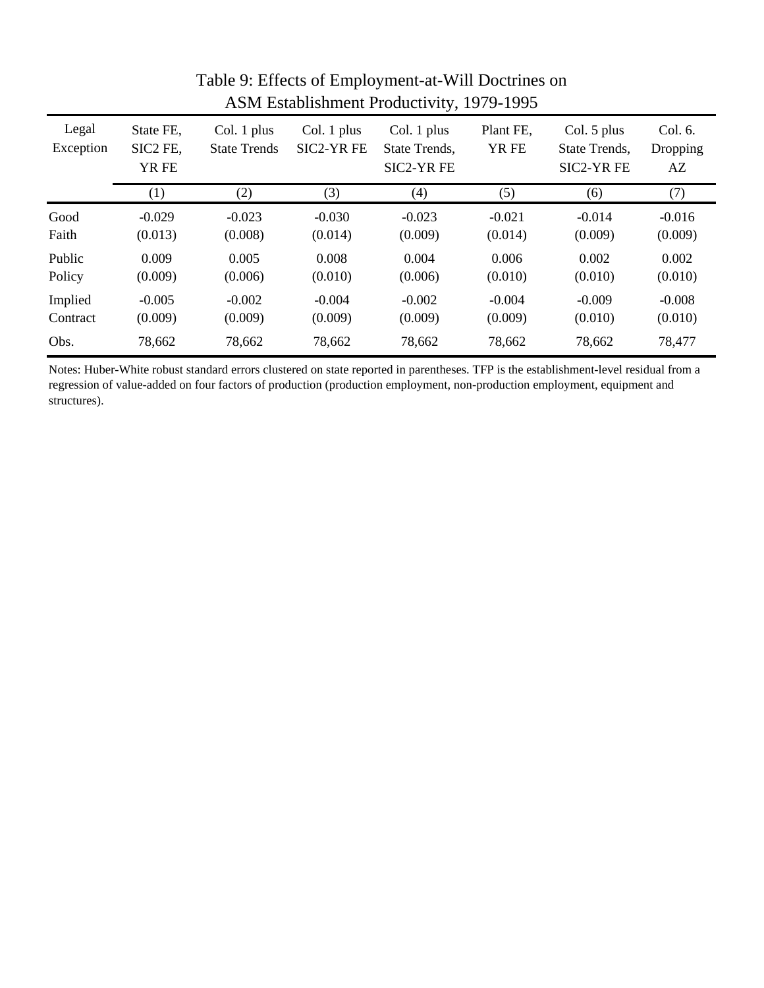| Legal<br>Exception | State FE,<br>SIC2 FE,<br>YR FE | Col. 1 plus<br><b>State Trends</b> | Col. 1 plus<br>SIC2-YR FE | Col. 1 plus<br>State Trends.<br>SIC2-YR FE | Plant FE,<br>YR FE | Col. 5 plus<br>State Trends,<br>SIC2-YR FE | Col. 6.<br>Dropping<br>AZ |
|--------------------|--------------------------------|------------------------------------|---------------------------|--------------------------------------------|--------------------|--------------------------------------------|---------------------------|
|                    | $\left( 1\right)$              | (2)                                | (3)                       | (4)                                        | (5)                | (6)                                        | (7)                       |
| Good               | $-0.029$                       | $-0.023$                           | $-0.030$                  | $-0.023$                                   | $-0.021$           | $-0.014$                                   | $-0.016$                  |
| Faith              | (0.013)                        | (0.008)                            | (0.014)                   | (0.009)                                    | (0.014)            | (0.009)                                    | (0.009)                   |
| Public             | 0.009                          | 0.005                              | 0.008                     | 0.004                                      | 0.006              | 0.002                                      | 0.002                     |
| Policy             | (0.009)                        | (0.006)                            | (0.010)                   | (0.006)                                    | (0.010)            | (0.010)                                    | (0.010)                   |
| Implied            | $-0.005$                       | $-0.002$                           | $-0.004$                  | $-0.002$                                   | $-0.004$           | $-0.009$                                   | $-0.008$                  |
| Contract           | (0.009)                        | (0.009)                            | (0.009)                   | (0.009)                                    | (0.009)            | (0.010)                                    | (0.010)                   |
| Obs.               | 78,662                         | 78,662                             | 78,662                    | 78,662                                     | 78,662             | 78,662                                     | 78,477                    |

## Table 9: Effects of Employment-at-Will Doctrines on ASM Establishment Productivity, 1979-1995

Notes: Huber-White robust standard errors clustered on state reported in parentheses. TFP is the establishment-level residual from a regression of value-added on four factors of production (production employment, non-production employment, equipment and structures).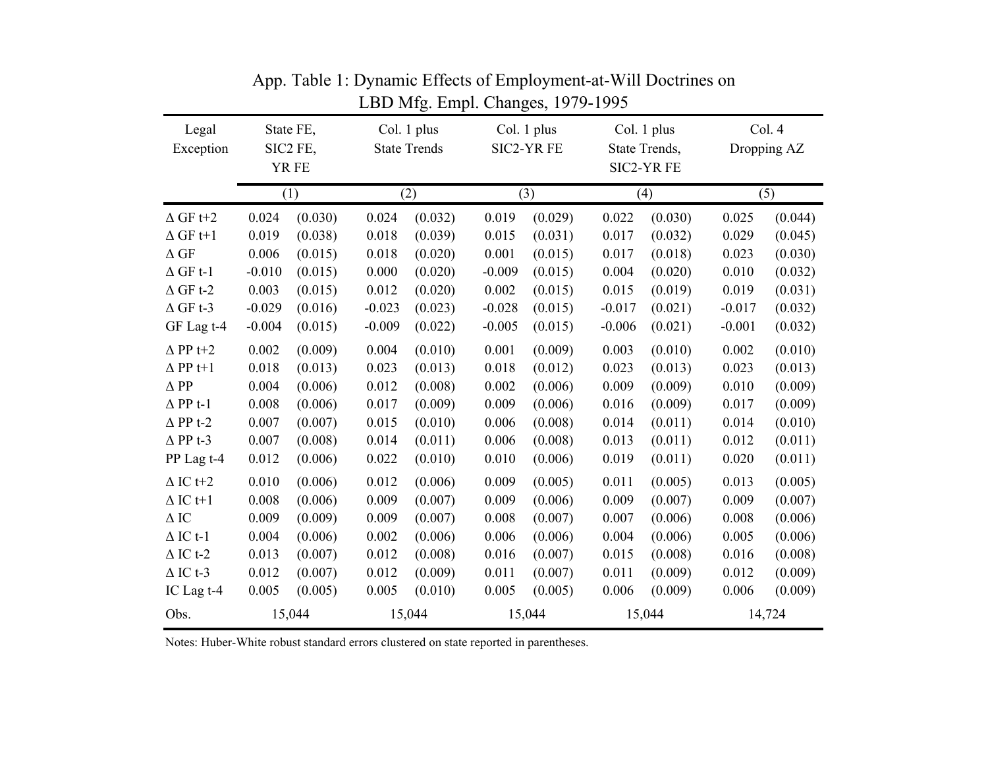| Legal<br>Exception | State FE,<br>SIC2 FE,<br>YR FE |         |          | Col. 1 plus<br><b>State Trends</b> |          | Col. 1 plus<br><b>SIC2-YR FE</b> |          | Col. 1 plus<br>State Trends,<br><b>SIC2-YR FE</b> |          | Col. 4<br>Dropping AZ |
|--------------------|--------------------------------|---------|----------|------------------------------------|----------|----------------------------------|----------|---------------------------------------------------|----------|-----------------------|
|                    |                                | (1)     |          | (2)                                |          | (3)                              |          | (4)                                               |          | (5)                   |
| $\Delta$ GF t+2    | 0.024                          | (0.030) | 0.024    | (0.032)                            | 0.019    | (0.029)                          | 0.022    | (0.030)                                           | 0.025    | (0.044)               |
| $\Delta$ GF t+1    | 0.019                          | (0.038) | 0.018    | (0.039)                            | 0.015    | (0.031)                          | 0.017    | (0.032)                                           | 0.029    | (0.045)               |
| $\Delta$ GF        | 0.006                          | (0.015) | 0.018    | (0.020)                            | 0.001    | (0.015)                          | 0.017    | (0.018)                                           | 0.023    | (0.030)               |
| $\Delta$ GF t-1    | $-0.010$                       | (0.015) | 0.000    | (0.020)                            | $-0.009$ | (0.015)                          | 0.004    | (0.020)                                           | 0.010    | (0.032)               |
| $\Delta$ GF t-2    | 0.003                          | (0.015) | 0.012    | (0.020)                            | 0.002    | (0.015)                          | 0.015    | (0.019)                                           | 0.019    | (0.031)               |
| $\Delta$ GF t-3    | $-0.029$                       | (0.016) | $-0.023$ | (0.023)                            | $-0.028$ | (0.015)                          | $-0.017$ | (0.021)                                           | $-0.017$ | (0.032)               |
| GF Lag t-4         | $-0.004$                       | (0.015) | $-0.009$ | (0.022)                            | $-0.005$ | (0.015)                          | $-0.006$ | (0.021)                                           | $-0.001$ | (0.032)               |
| $\Delta$ PP t+2    | 0.002                          | (0.009) | 0.004    | (0.010)                            | 0.001    | (0.009)                          | 0.003    | (0.010)                                           | 0.002    | (0.010)               |
| $\Delta$ PP t+1    | 0.018                          | (0.013) | 0.023    | (0.013)                            | 0.018    | (0.012)                          | 0.023    | (0.013)                                           | 0.023    | (0.013)               |
| $\Delta$ PP        | 0.004                          | (0.006) | 0.012    | (0.008)                            | 0.002    | (0.006)                          | 0.009    | (0.009)                                           | 0.010    | (0.009)               |
| $\Delta$ PP t-1    | 0.008                          | (0.006) | 0.017    | (0.009)                            | 0.009    | (0.006)                          | 0.016    | (0.009)                                           | 0.017    | (0.009)               |
| $\Delta$ PP t-2    | 0.007                          | (0.007) | 0.015    | (0.010)                            | 0.006    | (0.008)                          | 0.014    | (0.011)                                           | 0.014    | (0.010)               |
| $\Delta$ PP t-3    | 0.007                          | (0.008) | 0.014    | (0.011)                            | 0.006    | (0.008)                          | 0.013    | (0.011)                                           | 0.012    | (0.011)               |
| PP Lag t-4         | 0.012                          | (0.006) | 0.022    | (0.010)                            | 0.010    | (0.006)                          | 0.019    | (0.011)                                           | 0.020    | (0.011)               |
| $\Delta$ IC t+2    | 0.010                          | (0.006) | 0.012    | (0.006)                            | 0.009    | (0.005)                          | 0.011    | (0.005)                                           | 0.013    | (0.005)               |
| $\Delta$ IC t+1    | 0.008                          | (0.006) | 0.009    | (0.007)                            | 0.009    | (0.006)                          | 0.009    | (0.007)                                           | 0.009    | (0.007)               |
| $\Delta$ IC        | 0.009                          | (0.009) | 0.009    | (0.007)                            | 0.008    | (0.007)                          | 0.007    | (0.006)                                           | 0.008    | (0.006)               |
| $\Delta$ IC t-1    | 0.004                          | (0.006) | 0.002    | (0.006)                            | 0.006    | (0.006)                          | 0.004    | (0.006)                                           | 0.005    | (0.006)               |
| $\Delta$ IC t-2    | 0.013                          | (0.007) | 0.012    | (0.008)                            | 0.016    | (0.007)                          | 0.015    | (0.008)                                           | 0.016    | (0.008)               |
| $\Delta$ IC t-3    | 0.012                          | (0.007) | 0.012    | (0.009)                            | 0.011    | (0.007)                          | 0.011    | (0.009)                                           | 0.012    | (0.009)               |
| IC Lag t-4         | 0.005                          | (0.005) | 0.005    | (0.010)                            | 0.005    | (0.005)                          | 0.006    | (0.009)                                           | 0.006    | (0.009)               |
| Obs.               |                                | 15,044  |          | 15,044                             |          | 15,044                           |          | 15,044                                            | 14,724   |                       |

LBD Mfg. Empl. Changes, 1979-1995 App. Table 1: Dynamic Effects of Employment-at-Will Doctrines on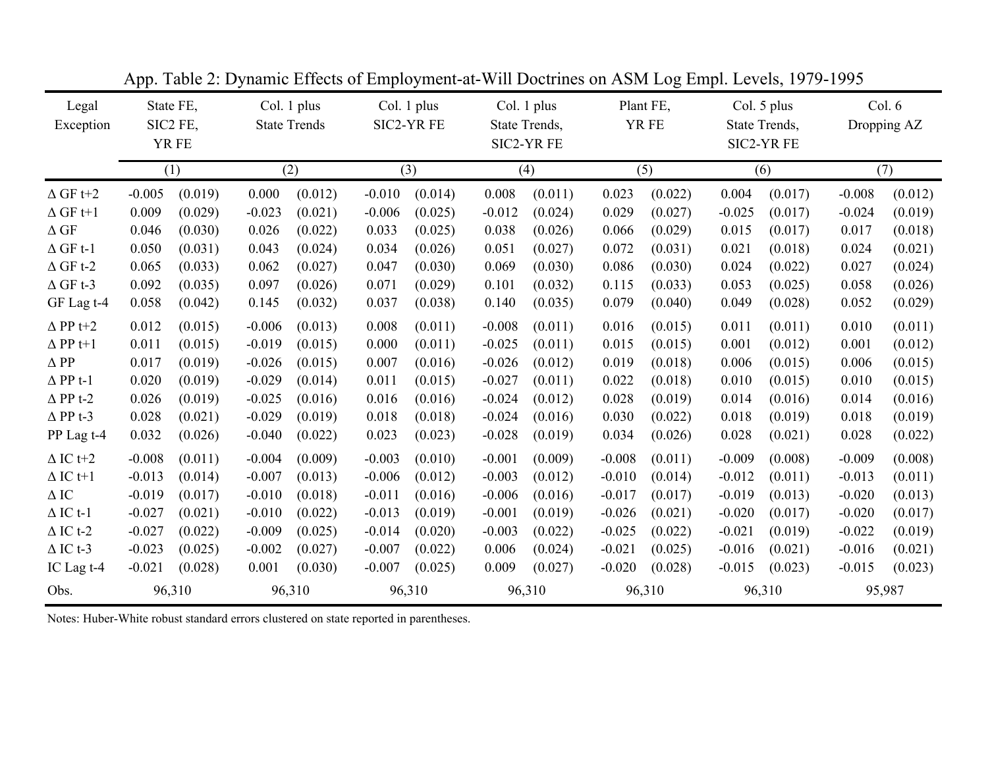| Legal<br>Exception |          | State FE,<br>SIC2 FE,<br>YR FE |          | Col. 1 plus<br><b>State Trends</b> |          | Col. 1 plus<br>SIC2-YR FE |          | Col. 1 plus<br>State Trends,<br>SIC2-YR FE |          | Plant FE,<br>YR FE |          | Col. 5 plus<br>State Trends,<br>SIC2-YR FE |          | Col. 6<br>Dropping AZ |  |
|--------------------|----------|--------------------------------|----------|------------------------------------|----------|---------------------------|----------|--------------------------------------------|----------|--------------------|----------|--------------------------------------------|----------|-----------------------|--|
|                    |          | (1)                            |          | (2)                                |          | (3)                       |          | (4)                                        |          | (5)                |          | (6)                                        |          | (7)                   |  |
| $\Delta$ GF t+2    | $-0.005$ | (0.019)                        | 0.000    | (0.012)                            | $-0.010$ | (0.014)                   | 0.008    | (0.011)                                    | 0.023    | (0.022)            | 0.004    | (0.017)                                    | $-0.008$ | (0.012)               |  |
| $\Delta$ GF t+1    | 0.009    | (0.029)                        | $-0.023$ | (0.021)                            | $-0.006$ | (0.025)                   | $-0.012$ | (0.024)                                    | 0.029    | (0.027)            | $-0.025$ | (0.017)                                    | $-0.024$ | (0.019)               |  |
| $\Delta$ GF        | 0.046    | (0.030)                        | 0.026    | (0.022)                            | 0.033    | (0.025)                   | 0.038    | (0.026)                                    | 0.066    | (0.029)            | 0.015    | (0.017)                                    | 0.017    | (0.018)               |  |
| $\Delta$ GF t-1    | 0.050    | (0.031)                        | 0.043    | (0.024)                            | 0.034    | (0.026)                   | 0.051    | (0.027)                                    | 0.072    | (0.031)            | 0.021    | (0.018)                                    | 0.024    | (0.021)               |  |
| $\Delta$ GF t-2    | 0.065    | (0.033)                        | 0.062    | (0.027)                            | 0.047    | (0.030)                   | 0.069    | (0.030)                                    | 0.086    | (0.030)            | 0.024    | (0.022)                                    | 0.027    | (0.024)               |  |
| $\Delta$ GF t-3    | 0.092    | (0.035)                        | 0.097    | (0.026)                            | 0.071    | (0.029)                   | 0.101    | (0.032)                                    | 0.115    | (0.033)            | 0.053    | (0.025)                                    | 0.058    | (0.026)               |  |
| GF Lag t-4         | 0.058    | (0.042)                        | 0.145    | (0.032)                            | 0.037    | (0.038)                   | 0.140    | (0.035)                                    | 0.079    | (0.040)            | 0.049    | (0.028)                                    | 0.052    | (0.029)               |  |
| $\Delta$ PP t+2    | 0.012    | (0.015)                        | $-0.006$ | (0.013)                            | 0.008    | (0.011)                   | $-0.008$ | (0.011)                                    | 0.016    | (0.015)            | 0.011    | (0.011)                                    | 0.010    | (0.011)               |  |
| $\Delta$ PP t+1    | 0.011    | (0.015)                        | $-0.019$ | (0.015)                            | 0.000    | (0.011)                   | $-0.025$ | (0.011)                                    | 0.015    | (0.015)            | 0.001    | (0.012)                                    | 0.001    | (0.012)               |  |
| $\Delta$ PP        | 0.017    | (0.019)                        | $-0.026$ | (0.015)                            | 0.007    | (0.016)                   | $-0.026$ | (0.012)                                    | 0.019    | (0.018)            | 0.006    | (0.015)                                    | 0.006    | (0.015)               |  |
| $\Delta$ PP t-1    | 0.020    | (0.019)                        | $-0.029$ | (0.014)                            | 0.011    | (0.015)                   | $-0.027$ | (0.011)                                    | 0.022    | (0.018)            | 0.010    | (0.015)                                    | 0.010    | (0.015)               |  |
| $\Delta$ PP t-2    | 0.026    | (0.019)                        | $-0.025$ | (0.016)                            | 0.016    | (0.016)                   | $-0.024$ | (0.012)                                    | 0.028    | (0.019)            | 0.014    | (0.016)                                    | 0.014    | (0.016)               |  |
| $\Delta$ PP t-3    | 0.028    | (0.021)                        | $-0.029$ | (0.019)                            | 0.018    | (0.018)                   | $-0.024$ | (0.016)                                    | 0.030    | (0.022)            | 0.018    | (0.019)                                    | 0.018    | (0.019)               |  |
| PP Lag t-4         | 0.032    | (0.026)                        | $-0.040$ | (0.022)                            | 0.023    | (0.023)                   | $-0.028$ | (0.019)                                    | 0.034    | (0.026)            | 0.028    | (0.021)                                    | 0.028    | (0.022)               |  |
| $\Delta$ IC t+2    | $-0.008$ | (0.011)                        | $-0.004$ | (0.009)                            | $-0.003$ | (0.010)                   | $-0.001$ | (0.009)                                    | $-0.008$ | (0.011)            | $-0.009$ | (0.008)                                    | $-0.009$ | (0.008)               |  |
| $\Delta$ IC t+1    | $-0.013$ | (0.014)                        | $-0.007$ | (0.013)                            | $-0.006$ | (0.012)                   | $-0.003$ | (0.012)                                    | $-0.010$ | (0.014)            | $-0.012$ | (0.011)                                    | $-0.013$ | (0.011)               |  |
| $\Delta$ IC        | $-0.019$ | (0.017)                        | $-0.010$ | (0.018)                            | $-0.011$ | (0.016)                   | $-0.006$ | (0.016)                                    | $-0.017$ | (0.017)            | $-0.019$ | (0.013)                                    | $-0.020$ | (0.013)               |  |
| $\Delta$ IC t-1    | $-0.027$ | (0.021)                        | $-0.010$ | (0.022)                            | $-0.013$ | (0.019)                   | $-0.001$ | (0.019)                                    | $-0.026$ | (0.021)            | $-0.020$ | (0.017)                                    | $-0.020$ | (0.017)               |  |
| $\Delta$ IC t-2    | $-0.027$ | (0.022)                        | $-0.009$ | (0.025)                            | $-0.014$ | (0.020)                   | $-0.003$ | (0.022)                                    | $-0.025$ | (0.022)            | $-0.021$ | (0.019)                                    | $-0.022$ | (0.019)               |  |
| $\Delta$ IC t-3    | $-0.023$ | (0.025)                        | $-0.002$ | (0.027)                            | $-0.007$ | (0.022)                   | 0.006    | (0.024)                                    | $-0.021$ | (0.025)            | $-0.016$ | (0.021)                                    | $-0.016$ | (0.021)               |  |
| IC Lag t-4         | $-0.021$ | (0.028)                        | 0.001    | (0.030)                            | $-0.007$ | (0.025)                   | 0.009    | (0.027)                                    | $-0.020$ | (0.028)            | $-0.015$ | (0.023)                                    | $-0.015$ | (0.023)               |  |
| Obs.               |          | 96,310                         |          | 96,310                             |          | 96,310                    |          | 96,310                                     |          | 96,310             | 96,310   |                                            | 95,987   |                       |  |

App. Table 2: Dynamic Effects of Employment-at-Will Doctrines on ASM Log Empl. Levels, 1979-1995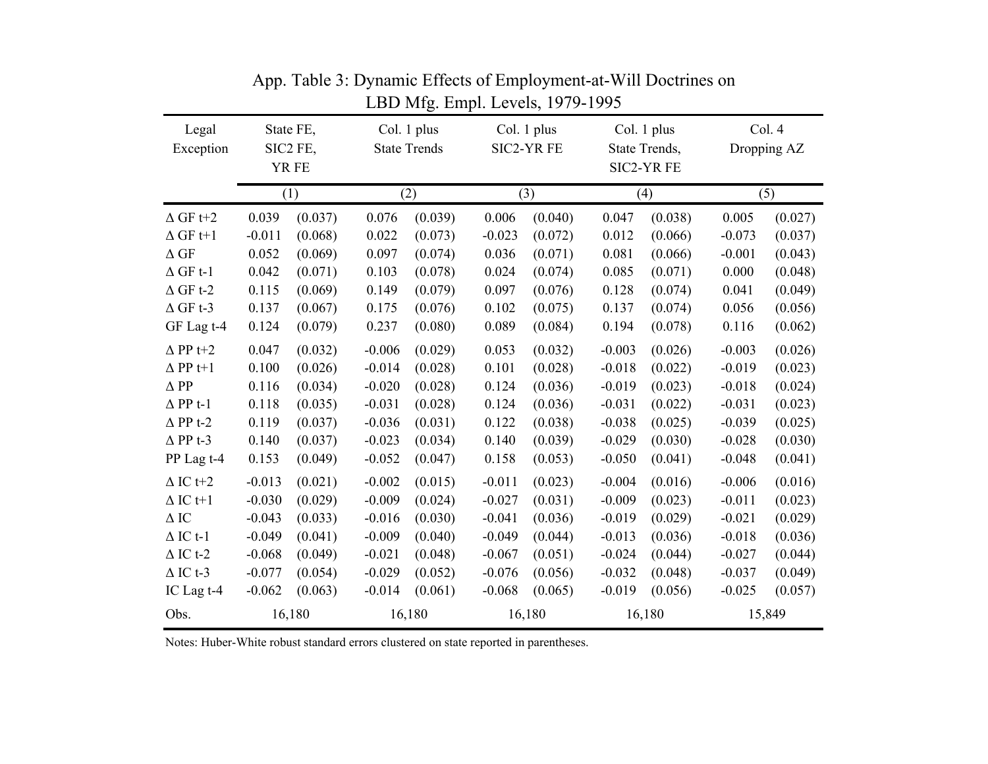| Legal<br>Exception | State FE,<br>SIC2 FE,<br>YR FE |         |          | Col. 1 plus<br><b>State Trends</b> |          | Col. 1 plus<br>SIC2-YR FE |          | Col. 1 plus<br>State Trends,<br>SIC2-YR FE | Col. 4<br>Dropping AZ |         |  |  |
|--------------------|--------------------------------|---------|----------|------------------------------------|----------|---------------------------|----------|--------------------------------------------|-----------------------|---------|--|--|
|                    | (1)                            |         |          | (2)                                |          | (3)                       |          | (4)                                        | (5)                   |         |  |  |
| $\Delta$ GF t+2    | 0.039                          | (0.037) | 0.076    | (0.039)                            | 0.006    | (0.040)                   | 0.047    | (0.038)                                    | 0.005                 | (0.027) |  |  |
| $\Delta$ GF t+1    | $-0.011$                       | (0.068) | 0.022    | (0.073)                            | $-0.023$ | (0.072)                   | 0.012    | (0.066)                                    | $-0.073$              | (0.037) |  |  |
| $\Delta$ GF        | 0.052                          | (0.069) | 0.097    | (0.074)                            | 0.036    | (0.071)                   | 0.081    | (0.066)                                    | $-0.001$              | (0.043) |  |  |
| $\Delta$ GF t-1    | 0.042                          | (0.071) | 0.103    | (0.078)                            | 0.024    | (0.074)                   | 0.085    | (0.071)                                    | 0.000                 | (0.048) |  |  |
| $\Delta$ GF t-2    | 0.115                          | (0.069) | 0.149    | (0.079)                            | 0.097    | (0.076)                   | 0.128    | (0.074)                                    | 0.041                 | (0.049) |  |  |
| $\Delta$ GF t-3    | 0.137                          | (0.067) | 0.175    | (0.076)                            | 0.102    | (0.075)                   | 0.137    | (0.074)                                    | 0.056                 | (0.056) |  |  |
| GF Lag t-4         | 0.124                          | (0.079) | 0.237    | (0.080)                            | 0.089    | (0.084)                   | 0.194    | (0.078)                                    | 0.116                 | (0.062) |  |  |
| $\Delta$ PP t+2    | 0.047                          | (0.032) | $-0.006$ | (0.029)                            | 0.053    | (0.032)                   | $-0.003$ | (0.026)                                    | $-0.003$              | (0.026) |  |  |
| $\Delta$ PP t+1    | 0.100                          | (0.026) | $-0.014$ | (0.028)                            | 0.101    | (0.028)                   | $-0.018$ | (0.022)                                    | $-0.019$              | (0.023) |  |  |
| $\Delta$ PP        | 0.116                          | (0.034) | $-0.020$ | (0.028)                            | 0.124    | (0.036)                   | $-0.019$ | (0.023)                                    | $-0.018$              | (0.024) |  |  |
| $\Delta$ PP t-1    | 0.118                          | (0.035) | $-0.031$ | (0.028)                            | 0.124    | (0.036)                   | $-0.031$ | (0.022)                                    | $-0.031$              | (0.023) |  |  |
| $\Delta$ PP t-2    | 0.119                          | (0.037) | $-0.036$ | (0.031)                            | 0.122    | (0.038)                   | $-0.038$ | (0.025)                                    | $-0.039$              | (0.025) |  |  |
| $\Delta$ PP t-3    | 0.140                          | (0.037) | $-0.023$ | (0.034)                            | 0.140    | (0.039)                   | $-0.029$ | (0.030)                                    | $-0.028$              | (0.030) |  |  |
| PP Lag t-4         | 0.153                          | (0.049) | $-0.052$ | (0.047)                            | 0.158    | (0.053)                   | $-0.050$ | (0.041)                                    | $-0.048$              | (0.041) |  |  |
| $\Delta$ IC t+2    | $-0.013$                       | (0.021) | $-0.002$ | (0.015)                            | $-0.011$ | (0.023)                   | $-0.004$ | (0.016)                                    | $-0.006$              | (0.016) |  |  |
| $\Delta$ IC t+1    | $-0.030$                       | (0.029) | $-0.009$ | (0.024)                            | $-0.027$ | (0.031)                   | $-0.009$ | (0.023)                                    | $-0.011$              | (0.023) |  |  |
| $\Delta$ IC        | $-0.043$                       | (0.033) | $-0.016$ | (0.030)                            | $-0.041$ | (0.036)                   | $-0.019$ | (0.029)                                    | $-0.021$              | (0.029) |  |  |
| $\Delta$ IC t-1    | $-0.049$                       | (0.041) | $-0.009$ | (0.040)                            | $-0.049$ | (0.044)                   | $-0.013$ | (0.036)                                    | $-0.018$              | (0.036) |  |  |
| $\Delta$ IC t-2    | $-0.068$                       | (0.049) | $-0.021$ | (0.048)                            | $-0.067$ | (0.051)                   | $-0.024$ | (0.044)                                    | $-0.027$              | (0.044) |  |  |
| $\Delta$ IC t-3    | $-0.077$                       | (0.054) | $-0.029$ | (0.052)                            | $-0.076$ | (0.056)                   | $-0.032$ | (0.048)                                    | $-0.037$              | (0.049) |  |  |
| IC Lag t-4         | $-0.062$                       | (0.063) | $-0.014$ | (0.061)                            | $-0.068$ | (0.065)                   | $-0.019$ | (0.056)                                    | $-0.025$              | (0.057) |  |  |
| Obs.               |                                | 16,180  |          | 16,180                             |          | 16,180                    |          | 16,180                                     |                       | 15,849  |  |  |

App. Table 3: Dynamic Effects of Employment-at-Will Doctrines on LBD Mfg. Empl. Levels, 1979-1995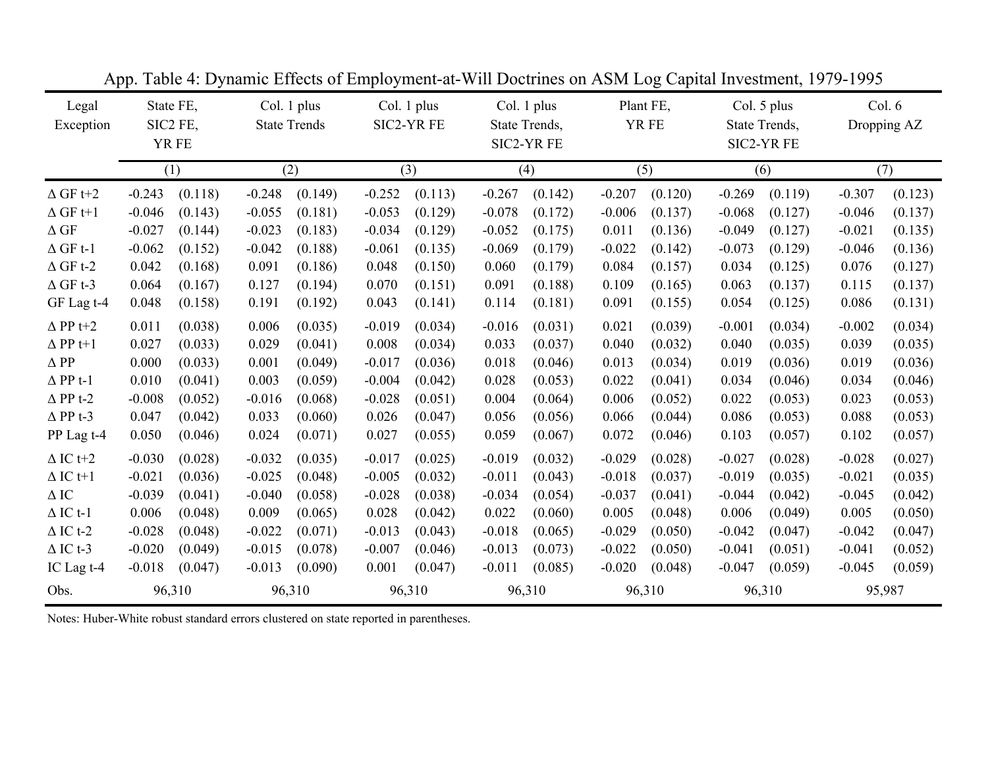| Legal<br>Exception | State FE,<br>SIC2 FE,<br>YR FE |         | Col. 1 plus<br><b>State Trends</b> | Col. 1 plus<br>SIC2-YR FE |          |         | Col. 1 plus<br>State Trends,<br>SIC2-YR FE |         | Plant FE,<br>YR FE |         | Col. 5 plus<br>State Trends,<br>SIC2-YR FE |         | Col. 6<br>Dropping AZ |         |  |
|--------------------|--------------------------------|---------|------------------------------------|---------------------------|----------|---------|--------------------------------------------|---------|--------------------|---------|--------------------------------------------|---------|-----------------------|---------|--|
|                    | (1)                            |         | (2)                                |                           |          | (3)     |                                            | (4)     |                    | (5)     |                                            | (6)     |                       | (7)     |  |
| $\Delta$ GF t+2    | $-0.243$                       | (0.118) | $-0.248$                           | (0.149)                   | $-0.252$ | (0.113) | $-0.267$                                   | (0.142) | $-0.207$           | (0.120) | $-0.269$                                   | (0.119) | $-0.307$              | (0.123) |  |
| $\Delta$ GF t+1    | $-0.046$                       | (0.143) | $-0.055$                           | (0.181)                   | $-0.053$ | (0.129) | $-0.078$                                   | (0.172) | $-0.006$           | (0.137) | $-0.068$                                   | (0.127) | $-0.046$              | (0.137) |  |
| $\Delta$ GF        | $-0.027$                       | (0.144) | $-0.023$                           | (0.183)                   | $-0.034$ | (0.129) | $-0.052$                                   | (0.175) | 0.011              | (0.136) | $-0.049$                                   | (0.127) | $-0.021$              | (0.135) |  |
| $\Delta$ GF t-1    | $-0.062$                       | (0.152) | $-0.042$                           | (0.188)                   | $-0.061$ | (0.135) | $-0.069$                                   | (0.179) | $-0.022$           | (0.142) | $-0.073$                                   | (0.129) | $-0.046$              | (0.136) |  |
| $\Delta$ GF t-2    | 0.042                          | (0.168) | 0.091                              | (0.186)                   | 0.048    | (0.150) | 0.060                                      | (0.179) | 0.084              | (0.157) | 0.034                                      | (0.125) | 0.076                 | (0.127) |  |
| $\Delta$ GF t-3    | 0.064                          | (0.167) | 0.127                              | (0.194)                   | 0.070    | (0.151) | 0.091                                      | (0.188) | 0.109              | (0.165) | 0.063                                      | (0.137) | 0.115                 | (0.137) |  |
| GF Lag t-4         | 0.048                          | (0.158) | 0.191                              | (0.192)                   | 0.043    | (0.141) | 0.114                                      | (0.181) | 0.091              | (0.155) | 0.054                                      | (0.125) | 0.086                 | (0.131) |  |
| $\Delta$ PP t+2    | 0.011                          | (0.038) | 0.006                              | (0.035)                   | $-0.019$ | (0.034) | $-0.016$                                   | (0.031) | 0.021              | (0.039) | $-0.001$                                   | (0.034) | $-0.002$              | (0.034) |  |
| $\Delta$ PP t+1    | 0.027                          | (0.033) | 0.029                              | (0.041)                   | 0.008    | (0.034) | 0.033                                      | (0.037) | 0.040              | (0.032) | 0.040                                      | (0.035) | 0.039                 | (0.035) |  |
| $\Delta$ PP        | 0.000                          | (0.033) | 0.001                              | (0.049)                   | $-0.017$ | (0.036) | 0.018                                      | (0.046) | 0.013              | (0.034) | 0.019                                      | (0.036) | 0.019                 | (0.036) |  |
| $\Delta$ PP t-1    | 0.010                          | (0.041) | 0.003                              | (0.059)                   | $-0.004$ | (0.042) | 0.028                                      | (0.053) | 0.022              | (0.041) | 0.034                                      | (0.046) | 0.034                 | (0.046) |  |
| $\Delta$ PP t-2    | $-0.008$                       | (0.052) | $-0.016$                           | (0.068)                   | $-0.028$ | (0.051) | 0.004                                      | (0.064) | 0.006              | (0.052) | 0.022                                      | (0.053) | 0.023                 | (0.053) |  |
| $\Delta$ PP t-3    | 0.047                          | (0.042) | 0.033                              | (0.060)                   | 0.026    | (0.047) | 0.056                                      | (0.056) | 0.066              | (0.044) | 0.086                                      | (0.053) | 0.088                 | (0.053) |  |
| PP Lag t-4         | 0.050                          | (0.046) | 0.024                              | (0.071)                   | 0.027    | (0.055) | 0.059                                      | (0.067) | 0.072              | (0.046) | 0.103                                      | (0.057) | 0.102                 | (0.057) |  |
| $\Delta$ IC t+2    | $-0.030$                       | (0.028) | $-0.032$                           | (0.035)                   | $-0.017$ | (0.025) | $-0.019$                                   | (0.032) | $-0.029$           | (0.028) | $-0.027$                                   | (0.028) | $-0.028$              | (0.027) |  |
| $\Delta$ IC t+1    | $-0.021$                       | (0.036) | $-0.025$                           | (0.048)                   | $-0.005$ | (0.032) | $-0.011$                                   | (0.043) | $-0.018$           | (0.037) | $-0.019$                                   | (0.035) | $-0.021$              | (0.035) |  |
| $\Delta$ IC        | $-0.039$                       | (0.041) | $-0.040$                           | (0.058)                   | $-0.028$ | (0.038) | $-0.034$                                   | (0.054) | $-0.037$           | (0.041) | $-0.044$                                   | (0.042) | $-0.045$              | (0.042) |  |
| $\Delta$ IC t-1    | 0.006                          | (0.048) | 0.009                              | (0.065)                   | 0.028    | (0.042) | 0.022                                      | (0.060) | 0.005              | (0.048) | 0.006                                      | (0.049) | 0.005                 | (0.050) |  |
| $\Delta$ IC t-2    | $-0.028$                       | (0.048) | $-0.022$                           | (0.071)                   | $-0.013$ | (0.043) | $-0.018$                                   | (0.065) | $-0.029$           | (0.050) | $-0.042$                                   | (0.047) | $-0.042$              | (0.047) |  |
| $\Delta$ IC t-3    | $-0.020$                       | (0.049) | $-0.015$                           | (0.078)                   | $-0.007$ | (0.046) | $-0.013$                                   | (0.073) | $-0.022$           | (0.050) | $-0.041$                                   | (0.051) | $-0.041$              | (0.052) |  |
| IC Lag t-4         | $-0.018$                       | (0.047) | $-0.013$                           | (0.090)                   | 0.001    | (0.047) | $-0.011$                                   | (0.085) | $-0.020$           | (0.048) | $-0.047$                                   | (0.059) | $-0.045$              | (0.059) |  |
| Obs.               | 96,310                         |         | 96,310                             |                           |          | 96,310  |                                            | 96,310  |                    | 96,310  |                                            | 96,310  |                       | 95,987  |  |

App. Table 4: Dynamic Effects of Employment-at-Will Doctrines on ASM Log Capital Investment, 1979-1995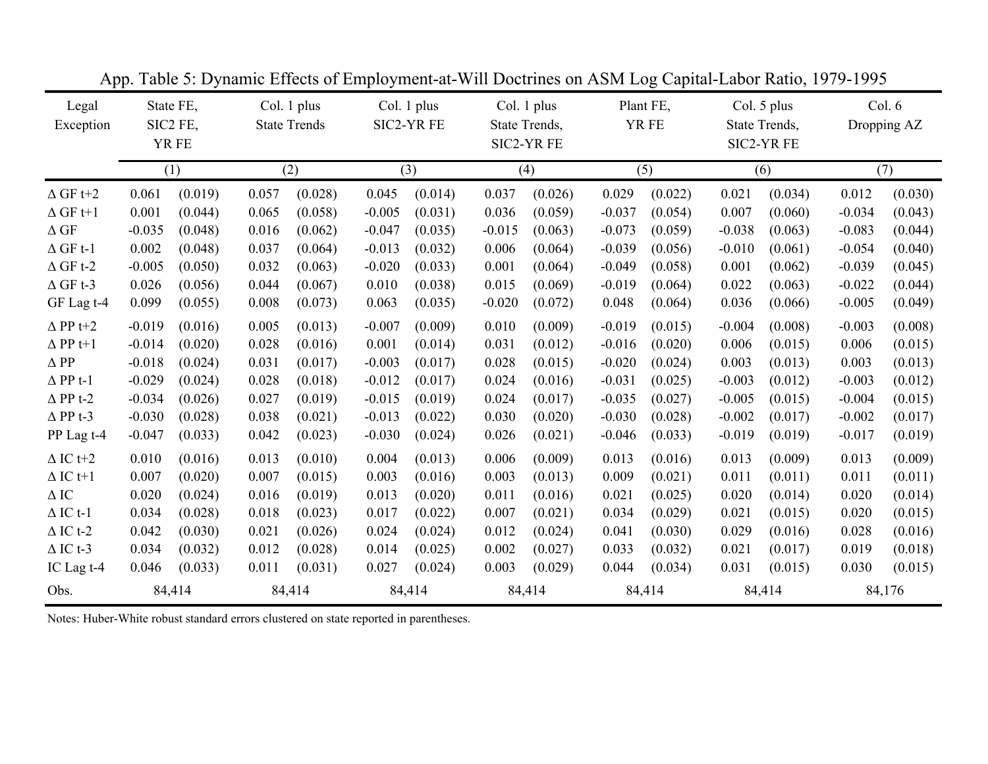| Legal<br>Exception | State FE,<br>SIC2 FE,<br>YR FE |         |       |         |          | Col. 1 plus<br><b>State Trends</b> | Col. 1 plus<br>SIC2-YR FE |         |          | Col. 1 plus<br>State Trends,<br>SIC2-YR FE |          | Plant FE,<br>YR FE |          | Col. 5 plus<br>State Trends,<br>SIC2-YR FE |  | Col. 6<br>Dropping AZ |  |
|--------------------|--------------------------------|---------|-------|---------|----------|------------------------------------|---------------------------|---------|----------|--------------------------------------------|----------|--------------------|----------|--------------------------------------------|--|-----------------------|--|
|                    | (1)                            |         | (2)   |         |          | (3)                                |                           | (4)     |          | (5)                                        |          | (6)                |          | (7)                                        |  |                       |  |
| $\Delta$ GF t+2    | 0.061                          | (0.019) | 0.057 | (0.028) | 0.045    | (0.014)                            | 0.037                     | (0.026) | 0.029    | (0.022)                                    | 0.021    | (0.034)            | 0.012    | (0.030)                                    |  |                       |  |
| $\Delta$ GF t+1    | 0.001                          | (0.044) | 0.065 | (0.058) | $-0.005$ | (0.031)                            | 0.036                     | (0.059) | $-0.037$ | (0.054)                                    | 0.007    | (0.060)            | $-0.034$ | (0.043)                                    |  |                       |  |
| $\Delta$ GF        | $-0.035$                       | (0.048) | 0.016 | (0.062) | $-0.047$ | (0.035)                            | $-0.015$                  | (0.063) | $-0.073$ | (0.059)                                    | $-0.038$ | (0.063)            | $-0.083$ | (0.044)                                    |  |                       |  |
| $\Delta$ GF t-1    | 0.002                          | (0.048) | 0.037 | (0.064) | $-0.013$ | (0.032)                            | 0.006                     | (0.064) | $-0.039$ | (0.056)                                    | $-0.010$ | (0.061)            | $-0.054$ | (0.040)                                    |  |                       |  |
| $\Delta$ GF t-2    | $-0.005$                       | (0.050) | 0.032 | (0.063) | $-0.020$ | (0.033)                            | 0.001                     | (0.064) | $-0.049$ | (0.058)                                    | 0.001    | (0.062)            | $-0.039$ | (0.045)                                    |  |                       |  |
| $\Delta$ GF t-3    | 0.026                          | (0.056) | 0.044 | (0.067) | 0.010    | (0.038)                            | 0.015                     | (0.069) | $-0.019$ | (0.064)                                    | 0.022    | (0.063)            | $-0.022$ | (0.044)                                    |  |                       |  |
| GF Lag t-4         | 0.099                          | (0.055) | 0.008 | (0.073) | 0.063    | (0.035)                            | $-0.020$                  | (0.072) | 0.048    | (0.064)                                    | 0.036    | (0.066)            | $-0.005$ | (0.049)                                    |  |                       |  |
| $\Delta$ PP t+2    | $-0.019$                       | (0.016) | 0.005 | (0.013) | $-0.007$ | (0.009)                            | 0.010                     | (0.009) | $-0.019$ | (0.015)                                    | $-0.004$ | (0.008)            | $-0.003$ | (0.008)                                    |  |                       |  |
| $\Delta$ PP t+1    | $-0.014$                       | (0.020) | 0.028 | (0.016) | 0.001    | (0.014)                            | 0.031                     | (0.012) | $-0.016$ | (0.020)                                    | 0.006    | (0.015)            | 0.006    | (0.015)                                    |  |                       |  |
| $\Delta$ PP        | $-0.018$                       | (0.024) | 0.031 | (0.017) | $-0.003$ | (0.017)                            | 0.028                     | (0.015) | $-0.020$ | (0.024)                                    | 0.003    | (0.013)            | 0.003    | (0.013)                                    |  |                       |  |
| $\Delta$ PP t-1    | $-0.029$                       | (0.024) | 0.028 | (0.018) | $-0.012$ | (0.017)                            | 0.024                     | (0.016) | $-0.031$ | (0.025)                                    | $-0.003$ | (0.012)            | $-0.003$ | (0.012)                                    |  |                       |  |
| $\Delta$ PP t-2    | $-0.034$                       | (0.026) | 0.027 | (0.019) | $-0.015$ | (0.019)                            | 0.024                     | (0.017) | $-0.035$ | (0.027)                                    | $-0.005$ | (0.015)            | $-0.004$ | (0.015)                                    |  |                       |  |
| $\Delta$ PP t-3    | $-0.030$                       | (0.028) | 0.038 | (0.021) | $-0.013$ | (0.022)                            | 0.030                     | (0.020) | $-0.030$ | (0.028)                                    | $-0.002$ | (0.017)            | $-0.002$ | (0.017)                                    |  |                       |  |
| PP Lag t-4         | $-0.047$                       | (0.033) | 0.042 | (0.023) | $-0.030$ | (0.024)                            | 0.026                     | (0.021) | $-0.046$ | (0.033)                                    | $-0.019$ | (0.019)            | $-0.017$ | (0.019)                                    |  |                       |  |
| $\Delta$ IC t+2    | 0.010                          | (0.016) | 0.013 | (0.010) | 0.004    | (0.013)                            | 0.006                     | (0.009) | 0.013    | (0.016)                                    | 0.013    | (0.009)            | 0.013    | (0.009)                                    |  |                       |  |
| $\Delta$ IC t+1    | 0.007                          | (0.020) | 0.007 | (0.015) | 0.003    | (0.016)                            | 0.003                     | (0.013) | 0.009    | (0.021)                                    | 0.011    | (0.011)            | 0.011    | (0.011)                                    |  |                       |  |
| $\Delta$ IC        | 0.020                          | (0.024) | 0.016 | (0.019) | 0.013    | (0.020)                            | 0.011                     | (0.016) | 0.021    | (0.025)                                    | 0.020    | (0.014)            | 0.020    | (0.014)                                    |  |                       |  |
| $\Delta$ IC t-1    | 0.034                          | (0.028) | 0.018 | (0.023) | 0.017    | (0.022)                            | 0.007                     | (0.021) | 0.034    | (0.029)                                    | 0.021    | (0.015)            | 0.020    | (0.015)                                    |  |                       |  |
| $\Delta$ IC t-2    | 0.042                          | (0.030) | 0.021 | (0.026) | 0.024    | (0.024)                            | 0.012                     | (0.024) | 0.041    | (0.030)                                    | 0.029    | (0.016)            | 0.028    | (0.016)                                    |  |                       |  |
| $\Delta$ IC t-3    | 0.034                          | (0.032) | 0.012 | (0.028) | 0.014    | (0.025)                            | 0.002                     | (0.027) | 0.033    | (0.032)                                    | 0.021    | (0.017)            | 0.019    | (0.018)                                    |  |                       |  |
| IC Lag t-4         | 0.046                          | (0.033) | 0.011 | (0.031) | 0.027    | (0.024)                            | 0.003                     | (0.029) | 0.044    | (0.034)                                    | 0.031    | (0.015)            | 0.030    | (0.015)                                    |  |                       |  |
| Obs.               |                                | 84,414  |       | 84,414  |          | 84,414                             |                           | 84,414  |          | 84,414                                     |          | 84,414             |          | 84,176                                     |  |                       |  |

App. Table 5: Dynamic Effects of Employment-at-Will Doctrines on ASM Log Capital-Labor Ratio, 1979-1995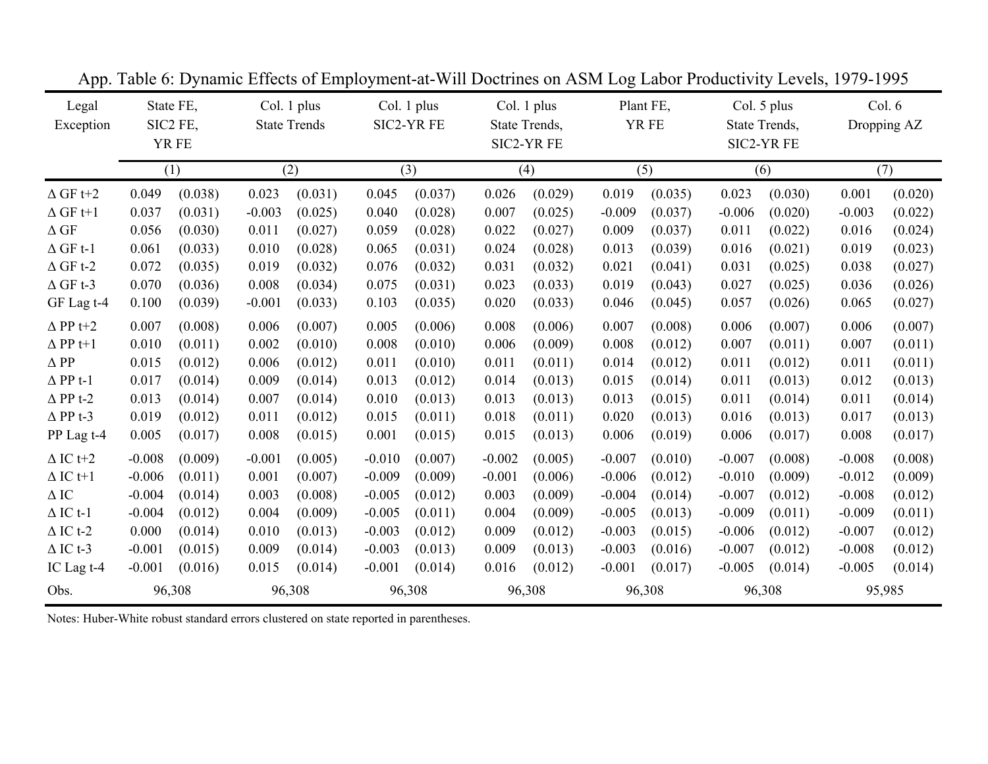| Legal<br>Exception |          | State FE,<br>SIC2 FE,<br>YR FE | Col. 1 plus<br><b>State Trends</b> |         |          | Col. 1 plus<br>Col. 1 plus<br>SIC2-YR FE<br>State Trends,<br>SIC2-YR FE |          |         |          | Plant FE,<br>YR FE | Col. 5 plus<br>State Trends,<br>SIC2-YR FE |         | Col. 6<br>Dropping AZ |         |  |
|--------------------|----------|--------------------------------|------------------------------------|---------|----------|-------------------------------------------------------------------------|----------|---------|----------|--------------------|--------------------------------------------|---------|-----------------------|---------|--|
|                    |          | (1)                            | (2)                                |         |          | (3)                                                                     |          | (4)     |          | (5)                |                                            | (6)     |                       | (7)     |  |
| $\Delta$ GF t+2    | 0.049    | (0.038)                        | 0.023                              | (0.031) | 0.045    | (0.037)                                                                 | 0.026    | (0.029) | 0.019    | (0.035)            | 0.023                                      | (0.030) | 0.001                 | (0.020) |  |
| $\Delta$ GF t+1    | 0.037    | (0.031)                        | $-0.003$                           | (0.025) | 0.040    | (0.028)                                                                 | 0.007    | (0.025) | $-0.009$ | (0.037)            | $-0.006$                                   | (0.020) | $-0.003$              | (0.022) |  |
| $\Delta$ GF        | 0.056    | (0.030)                        | 0.011                              | (0.027) | 0.059    | (0.028)                                                                 | 0.022    | (0.027) | 0.009    | (0.037)            | 0.011                                      | (0.022) | 0.016                 | (0.024) |  |
| $\Delta$ GF t-1    | 0.061    | (0.033)                        | 0.010                              | (0.028) | 0.065    | (0.031)                                                                 | 0.024    | (0.028) | 0.013    | (0.039)            | 0.016                                      | (0.021) | 0.019                 | (0.023) |  |
| $\Delta$ GF t-2    | 0.072    | (0.035)                        | 0.019                              | (0.032) | 0.076    | (0.032)                                                                 | 0.031    | (0.032) | 0.021    | (0.041)            | 0.031                                      | (0.025) | 0.038                 | (0.027) |  |
| $\Delta$ GF t-3    | 0.070    | (0.036)                        | 0.008                              | (0.034) | 0.075    | (0.031)                                                                 | 0.023    | (0.033) | 0.019    | (0.043)            | 0.027                                      | (0.025) | 0.036                 | (0.026) |  |
| GF Lag t-4         | 0.100    | (0.039)                        | $-0.001$                           | (0.033) | 0.103    | (0.035)                                                                 | 0.020    | (0.033) | 0.046    | (0.045)            | 0.057                                      | (0.026) | 0.065                 | (0.027) |  |
| $\Delta$ PP t+2    | 0.007    | (0.008)                        | 0.006                              | (0.007) | 0.005    | (0.006)                                                                 | 0.008    | (0.006) | 0.007    | (0.008)            | 0.006                                      | (0.007) | 0.006                 | (0.007) |  |
| $\Delta$ PP t+1    | 0.010    | (0.011)                        | 0.002                              | (0.010) | 0.008    | (0.010)                                                                 | 0.006    | (0.009) | 0.008    | (0.012)            | 0.007                                      | (0.011) | 0.007                 | (0.011) |  |
| $\Delta$ PP        | 0.015    | (0.012)                        | 0.006                              | (0.012) | 0.011    | (0.010)                                                                 | 0.011    | (0.011) | 0.014    | (0.012)            | 0.011                                      | (0.012) | 0.011                 | (0.011) |  |
| $\Delta$ PP t-1    | 0.017    | (0.014)                        | 0.009                              | (0.014) | 0.013    | (0.012)                                                                 | 0.014    | (0.013) | 0.015    | (0.014)            | 0.011                                      | (0.013) | 0.012                 | (0.013) |  |
| $\Delta$ PP t-2    | 0.013    | (0.014)                        | 0.007                              | (0.014) | 0.010    | (0.013)                                                                 | 0.013    | (0.013) | 0.013    | (0.015)            | 0.011                                      | (0.014) | 0.011                 | (0.014) |  |
| $\Delta$ PP t-3    | 0.019    | (0.012)                        | 0.011                              | (0.012) | 0.015    | (0.011)                                                                 | 0.018    | (0.011) | 0.020    | (0.013)            | 0.016                                      | (0.013) | 0.017                 | (0.013) |  |
| PP Lag t-4         | 0.005    | (0.017)                        | 0.008                              | (0.015) | 0.001    | (0.015)                                                                 | 0.015    | (0.013) | 0.006    | (0.019)            | 0.006                                      | (0.017) | 0.008                 | (0.017) |  |
| $\Delta$ IC t+2    | $-0.008$ | (0.009)                        | $-0.001$                           | (0.005) | $-0.010$ | (0.007)                                                                 | $-0.002$ | (0.005) | $-0.007$ | (0.010)            | $-0.007$                                   | (0.008) | $-0.008$              | (0.008) |  |
| $\Delta$ IC t+1    | $-0.006$ | (0.011)                        | 0.001                              | (0.007) | $-0.009$ | (0.009)                                                                 | $-0.001$ | (0.006) | $-0.006$ | (0.012)            | $-0.010$                                   | (0.009) | $-0.012$              | (0.009) |  |
| $\Delta$ IC        | $-0.004$ | (0.014)                        | 0.003                              | (0.008) | $-0.005$ | (0.012)                                                                 | 0.003    | (0.009) | $-0.004$ | (0.014)            | $-0.007$                                   | (0.012) | $-0.008$              | (0.012) |  |
| $\Delta$ IC t-1    | $-0.004$ | (0.012)                        | 0.004                              | (0.009) | $-0.005$ | (0.011)                                                                 | 0.004    | (0.009) | $-0.005$ | (0.013)            | $-0.009$                                   | (0.011) | $-0.009$              | (0.011) |  |
| $\Delta$ IC t-2    | 0.000    | (0.014)                        | 0.010                              | (0.013) | $-0.003$ | (0.012)                                                                 | 0.009    | (0.012) | $-0.003$ | (0.015)            | $-0.006$                                   | (0.012) | $-0.007$              | (0.012) |  |
| $\Delta$ IC t-3    | $-0.001$ | (0.015)                        | 0.009                              | (0.014) | $-0.003$ | (0.013)                                                                 | 0.009    | (0.013) | $-0.003$ | (0.016)            | $-0.007$                                   | (0.012) | $-0.008$              | (0.012) |  |
| IC Lag t-4         | $-0.001$ | (0.016)                        | 0.015                              | (0.014) | $-0.001$ | (0.014)                                                                 | 0.016    | (0.012) | $-0.001$ | (0.017)            | $-0.005$                                   | (0.014) | $-0.005$              | (0.014) |  |
| Obs.               |          | 96,308                         | 96,308                             |         |          | 96,308                                                                  |          | 96,308  |          | 96,308             |                                            | 96,308  |                       | 95,985  |  |

App. Table 6: Dynamic Effects of Employment-at-Will Doctrines on ASM Log Labor Productivity Levels, 1979-1995